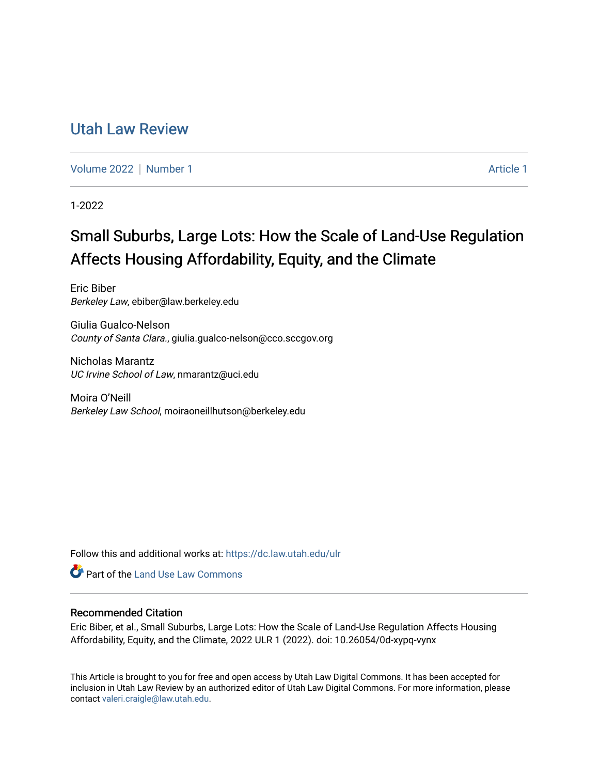# [Utah Law Review](https://dc.law.utah.edu/ulr)

[Volume 2022](https://dc.law.utah.edu/ulr/vol2022) | [Number 1](https://dc.law.utah.edu/ulr/vol2022/iss1) [Article 1](https://dc.law.utah.edu/ulr/vol2022/iss1/1) Article 1 Article 1 Article 1 Article 1 Article 1

1-2022

# Small Suburbs, Large Lots: How the Scale of Land-Use Regulation Affects Housing Affordability, Equity, and the Climate

Eric Biber Berkeley Law, ebiber@law.berkeley.edu

Giulia Gualco-Nelson County of Santa Clara., giulia.gualco-nelson@cco.sccgov.org

Nicholas Marantz UC Irvine School of Law, nmarantz@uci.edu

Moira O'Neill Berkeley Law School, moiraoneillhutson@berkeley.edu

Follow this and additional works at: [https://dc.law.utah.edu/ulr](https://dc.law.utah.edu/ulr?utm_source=dc.law.utah.edu%2Fulr%2Fvol2022%2Fiss1%2F1&utm_medium=PDF&utm_campaign=PDFCoverPages)

**Part of the Land Use Law Commons** 

# Recommended Citation

Eric Biber, et al., Small Suburbs, Large Lots: How the Scale of Land-Use Regulation Affects Housing Affordability, Equity, and the Climate, 2022 ULR 1 (2022). doi: 10.26054/0d-xypq-vynx

This Article is brought to you for free and open access by Utah Law Digital Commons. It has been accepted for inclusion in Utah Law Review by an authorized editor of Utah Law Digital Commons. For more information, please contact [valeri.craigle@law.utah.edu.](mailto:valeri.craigle@law.utah.edu)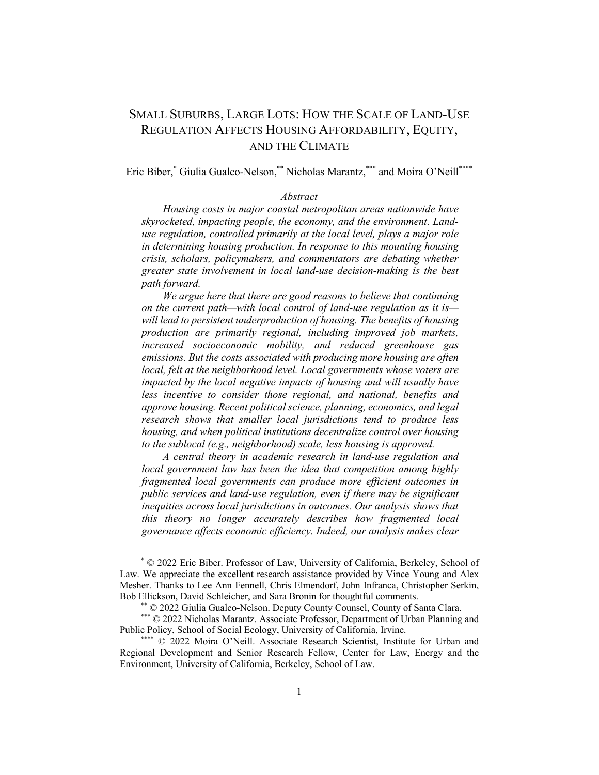# SMALL SUBURBS, LARGE LOTS: HOW THE SCALE OF LAND-USE REGULATION AFFECTS HOUSING AFFORDABILITY, EQUITY, AND THE CLIMATE

Eric Biber,\* Giulia Gualco-Nelson,\*\* Nicholas Marantz,\*\*\* and Moira O'Neill\*\*\*\*

#### *Abstract*

*Housing costs in major coastal metropolitan areas nationwide have skyrocketed, impacting people, the economy, and the environment. Landuse regulation, controlled primarily at the local level, plays a major role in determining housing production. In response to this mounting housing crisis, scholars, policymakers, and commentators are debating whether greater state involvement in local land-use decision-making is the best path forward.*

*We argue here that there are good reasons to believe that continuing on the current path—with local control of land-use regulation as it is will lead to persistent underproduction of housing. The benefits of housing production are primarily regional, including improved job markets, increased socioeconomic mobility, and reduced greenhouse gas emissions. But the costs associated with producing more housing are often local, felt at the neighborhood level. Local governments whose voters are impacted by the local negative impacts of housing and will usually have less incentive to consider those regional, and national, benefits and approve housing. Recent political science, planning, economics, and legal research shows that smaller local jurisdictions tend to produce less housing, and when political institutions decentralize control over housing to the sublocal (e.g., neighborhood) scale, less housing is approved.*

*A central theory in academic research in land-use regulation and local government law has been the idea that competition among highly fragmented local governments can produce more efficient outcomes in public services and land-use regulation, even if there may be significant inequities across local jurisdictions in outcomes. Our analysis shows that this theory no longer accurately describes how fragmented local governance affects economic efficiency. Indeed, our analysis makes clear* 

<sup>\*</sup> © 2022 Eric Biber. Professor of Law, University of California, Berkeley, School of Law. We appreciate the excellent research assistance provided by Vince Young and Alex Mesher. Thanks to Lee Ann Fennell, Chris Elmendorf, John Infranca, Christopher Serkin, Bob Ellickson, David Schleicher, and Sara Bronin for thoughtful comments.

<sup>\*\*</sup> © 2022 Giulia Gualco-Nelson. Deputy County Counsel, County of Santa Clara.

<sup>\*\*\*</sup> © 2022 Nicholas Marantz. Associate Professor, Department of Urban Planning and Public Policy, School of Social Ecology, University of California, Irvine.

<sup>\*\*\*\* © 2022</sup> Moira O'Neill. Associate Research Scientist, Institute for Urban and Regional Development and Senior Research Fellow, Center for Law, Energy and the Environment, University of California, Berkeley, School of Law.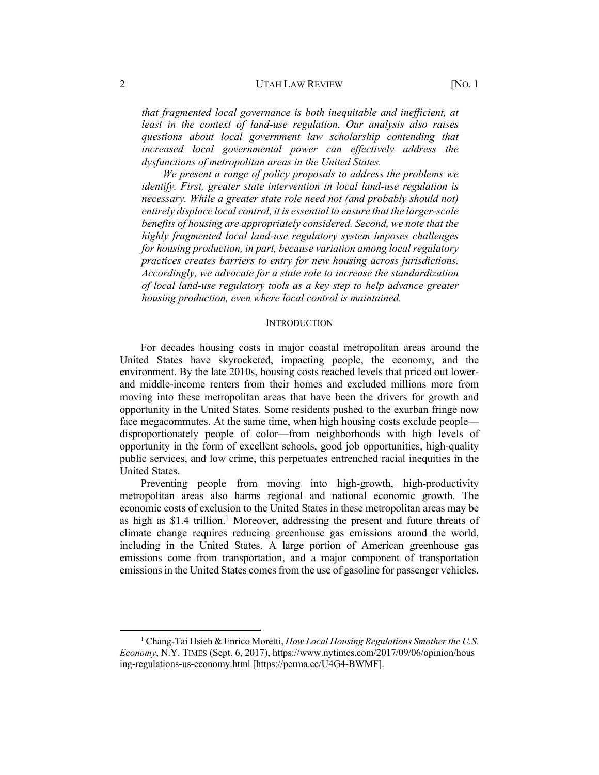#### 2 UTAH LAW REVIEW [NO. 1]

*that fragmented local governance is both inequitable and inefficient, at least in the context of land-use regulation. Our analysis also raises questions about local government law scholarship contending that increased local governmental power can effectively address the dysfunctions of metropolitan areas in the United States.*

*We present a range of policy proposals to address the problems we identify. First, greater state intervention in local land-use regulation is necessary. While a greater state role need not (and probably should not) entirely displace local control, it is essential to ensure that the larger-scale benefits of housing are appropriately considered. Second, we note that the highly fragmented local land-use regulatory system imposes challenges for housing production, in part, because variation among local regulatory practices creates barriers to entry for new housing across jurisdictions. Accordingly, we advocate for a state role to increase the standardization of local land-use regulatory tools as a key step to help advance greater housing production, even where local control is maintained.*

#### **INTRODUCTION**

For decades housing costs in major coastal metropolitan areas around the United States have skyrocketed, impacting people, the economy, and the environment. By the late 2010s, housing costs reached levels that priced out lowerand middle-income renters from their homes and excluded millions more from moving into these metropolitan areas that have been the drivers for growth and opportunity in the United States. Some residents pushed to the exurban fringe now face megacommutes. At the same time, when high housing costs exclude people disproportionately people of color—from neighborhoods with high levels of opportunity in the form of excellent schools, good job opportunities, high-quality public services, and low crime, this perpetuates entrenched racial inequities in the United States.

Preventing people from moving into high-growth, high-productivity metropolitan areas also harms regional and national economic growth. The economic costs of exclusion to the United States in these metropolitan areas may be as high as \$1.4 trillion. <sup>1</sup> Moreover, addressing the present and future threats of climate change requires reducing greenhouse gas emissions around the world, including in the United States. A large portion of American greenhouse gas emissions come from transportation, and a major component of transportation emissions in the United States comes from the use of gasoline for passenger vehicles.

<sup>1</sup> Chang-Tai Hsieh & Enrico Moretti, *How Local Housing Regulations Smother the U.S. Economy*, N.Y. TIMES (Sept. 6, 2017), https://www.nytimes.com/2017/09/06/opinion/hous ing-regulations-us-economy.html [https://perma.cc/U4G4-BWMF].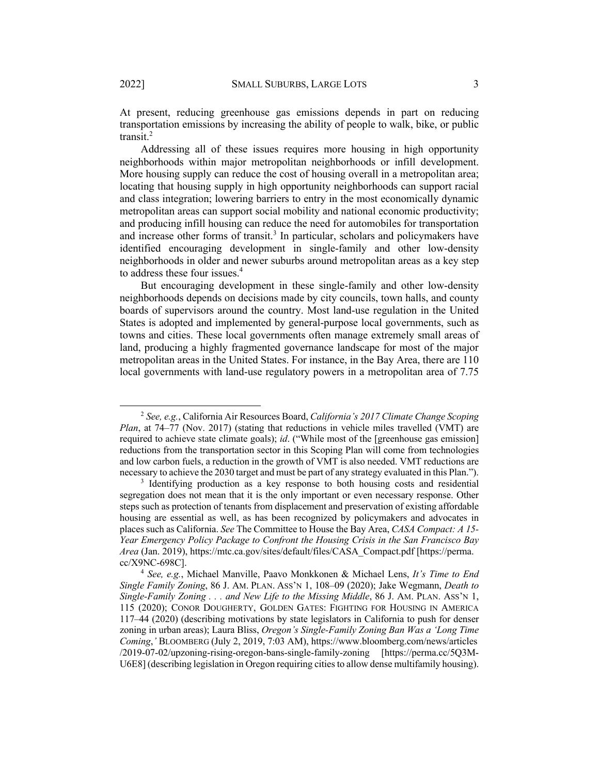At present, reducing greenhouse gas emissions depends in part on reducing transportation emissions by increasing the ability of people to walk, bike, or public transit. 2

Addressing all of these issues requires more housing in high opportunity neighborhoods within major metropolitan neighborhoods or infill development. More housing supply can reduce the cost of housing overall in a metropolitan area; locating that housing supply in high opportunity neighborhoods can support racial and class integration; lowering barriers to entry in the most economically dynamic metropolitan areas can support social mobility and national economic productivity; and producing infill housing can reduce the need for automobiles for transportation and increase other forms of transit. <sup>3</sup> In particular, scholars and policymakers have identified encouraging development in single-family and other low-density neighborhoods in older and newer suburbs around metropolitan areas as a key step to address these four issues.<sup>4</sup>

But encouraging development in these single-family and other low-density neighborhoods depends on decisions made by city councils, town halls, and county boards of supervisors around the country. Most land-use regulation in the United States is adopted and implemented by general-purpose local governments, such as towns and cities. These local governments often manage extremely small areas of land, producing a highly fragmented governance landscape for most of the major metropolitan areas in the United States. For instance, in the Bay Area, there are 110 local governments with land-use regulatory powers in a metropolitan area of 7.75

<sup>2</sup> *See, e.g.*, California Air Resources Board, *California's 2017 Climate Change Scoping Plan*, at 74–77 (Nov. 2017) (stating that reductions in vehicle miles travelled (VMT) are required to achieve state climate goals); *id*. ("While most of the [greenhouse gas emission] reductions from the transportation sector in this Scoping Plan will come from technologies and low carbon fuels, a reduction in the growth of VMT is also needed. VMT reductions are necessary to achieve the 2030 target and must be part of any strategy evaluated in this Plan.").

<sup>&</sup>lt;sup>3</sup> Identifying production as a key response to both housing costs and residential segregation does not mean that it is the only important or even necessary response. Other steps such as protection of tenants from displacement and preservation of existing affordable housing are essential as well, as has been recognized by policymakers and advocates in places such as California. *See* The Committee to House the Bay Area, *CASA Compact: A 15- Year Emergency Policy Package to Confront the Housing Crisis in the San Francisco Bay Area* (Jan. 2019), https://mtc.ca.gov/sites/default/files/CASA\_Compact.pdf [https://perma. cc/X9NC-698C].

<sup>4</sup> *See, e.g.*, Michael Manville, Paavo Monkkonen & Michael Lens, *It's Time to End Single Family Zoning*, 86 J. AM. PLAN. ASS'N 1, 108–09 (2020); Jake Wegmann, *Death to Single-Family Zoning . . . and New Life to the Missing Middle*, 86 J. AM. PLAN. ASS'N 1, 115 (2020); CONOR DOUGHERTY, GOLDEN GATES: FIGHTING FOR HOUSING IN AMERICA 117–44 (2020) (describing motivations by state legislators in California to push for denser zoning in urban areas); Laura Bliss, *Oregon's Single-Family Zoning Ban Was a 'Long Time Coming*,*'* BLOOMBERG (July 2, 2019, 7:03 AM), https://www.bloomberg.com/news/articles /2019-07-02/upzoning-rising-oregon-bans-single-family-zoning [https://perma.cc/5Q3M-U6E8] (describing legislation in Oregon requiring cities to allow dense multifamily housing).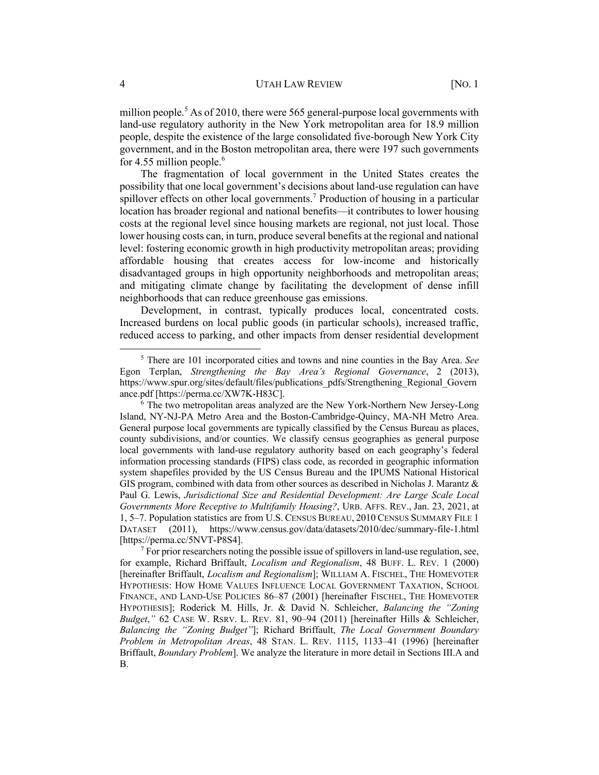million people.<sup>5</sup> As of 2010, there were 565 general-purpose local governments with land-use regulatory authority in the New York metropolitan area for 18.9 million people, despite the existence of the large consolidated five-borough New York City government, and in the Boston metropolitan area, there were 197 such governments for 4.55 million people.<sup>6</sup>

The fragmentation of local government in the United States creates the possibility that one local government's decisions about land-use regulation can have spillover effects on other local governments.<sup>7</sup> Production of housing in a particular location has broader regional and national benefits—it contributes to lower housing costs at the regional level since housing markets are regional, not just local. Those lower housing costs can, in turn, produce several benefits at the regional and national level: fostering economic growth in high productivity metropolitan areas; providing affordable housing that creates access for low-income and historically disadvantaged groups in high opportunity neighborhoods and metropolitan areas; and mitigating climate change by facilitating the development of dense infill neighborhoods that can reduce greenhouse gas emissions.

Development, in contrast, typically produces local, concentrated costs. Increased burdens on local public goods (in particular schools), increased traffic, reduced access to parking, and other impacts from denser residential development

<sup>5</sup> There are 101 incorporated cities and towns and nine counties in the Bay Area. *See* Egon Terplan, *Strengthening the Bay Area's Regional Governance*, 2 (2013), https://www.spur.org/sites/default/files/publications\_pdfs/Strengthening\_Regional\_Govern ance.pdf [https://perma.cc/XW7K-H83C].<br><sup>6</sup> The two metropolitan areas analyzed are the New York-Northern New Jersey-Long

Island, NY-NJ-PA Metro Area and the Boston-Cambridge-Quincy, MA-NH Metro Area. General purpose local governments are typically classified by the Census Bureau as places, county subdivisions, and/or counties. We classify census geographies as general purpose local governments with land-use regulatory authority based on each geography's federal information processing standards (FIPS) class code, as recorded in geographic information system shapefiles provided by the US Census Bureau and the IPUMS National Historical GIS program, combined with data from other sources as described in Nicholas J. Marantz & Paul G. Lewis, *Jurisdictional Size and Residential Development: Are Large Scale Local Governments More Receptive to Multifamily Housing?*, URB. AFFS. REV., Jan. 23, 2021, at 1, 5–7. Population statistics are from U.S. CENSUS BUREAU, 2010 CENSUS SUMMARY FILE 1 DATASET (2011), https://www.census.gov/data/datasets/2010/dec/summary-file-1.html [https://perma.cc/5NVT-P8S4].

 $<sup>7</sup>$  For prior researchers noting the possible issue of spillovers in land-use regulation, see,</sup> for example, Richard Briffault, *Localism and Regionalism*, 48 BUFF. L. REV. 1 (2000) [hereinafter Briffault, *Localism and Regionalism*]; WILLIAM A. FISCHEL, THE HOMEVOTER HYPOTHESIS: HOW HOME VALUES INFLUENCE LOCAL GOVERNMENT TAXATION, SCHOOL FINANCE, AND LAND-USE POLICIES 86–87 (2001) [hereinafter FISCHEL, THE HOMEVOTER HYPOTHESIS]; Roderick M. Hills, Jr. & David N. Schleicher, *Balancing the "Zoning Budget*,*"* 62 CASE W. RSRV. L. REV. 81, 90–94 (2011) [hereinafter Hills & Schleicher, *Balancing the "Zoning Budget"*]; Richard Briffault, *The Local Government Boundary Problem in Metropolitan Areas*, 48 STAN. L. REV. 1115, 1133–41 (1996) [hereinafter Briffault, *Boundary Problem*]. We analyze the literature in more detail in Sections III.A and B.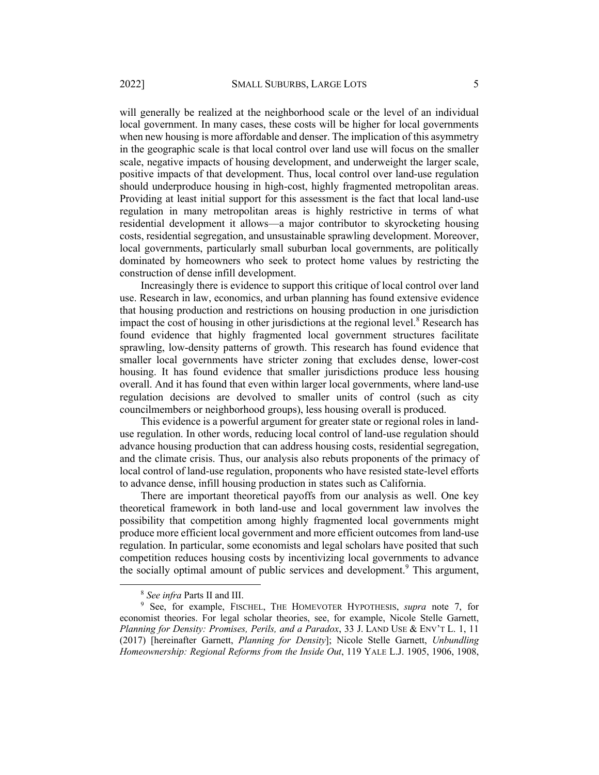will generally be realized at the neighborhood scale or the level of an individual local government. In many cases, these costs will be higher for local governments when new housing is more affordable and denser. The implication of this asymmetry in the geographic scale is that local control over land use will focus on the smaller scale, negative impacts of housing development, and underweight the larger scale, positive impacts of that development. Thus, local control over land-use regulation should underproduce housing in high-cost, highly fragmented metropolitan areas. Providing at least initial support for this assessment is the fact that local land-use regulation in many metropolitan areas is highly restrictive in terms of what residential development it allows—a major contributor to skyrocketing housing costs, residential segregation, and unsustainable sprawling development. Moreover, local governments, particularly small suburban local governments, are politically dominated by homeowners who seek to protect home values by restricting the construction of dense infill development.

Increasingly there is evidence to support this critique of local control over land use. Research in law, economics, and urban planning has found extensive evidence that housing production and restrictions on housing production in one jurisdiction impact the cost of housing in other jurisdictions at the regional level.<sup>8</sup> Research has found evidence that highly fragmented local government structures facilitate sprawling, low-density patterns of growth. This research has found evidence that smaller local governments have stricter zoning that excludes dense, lower-cost housing. It has found evidence that smaller jurisdictions produce less housing overall. And it has found that even within larger local governments, where land-use regulation decisions are devolved to smaller units of control (such as city councilmembers or neighborhood groups), less housing overall is produced.

This evidence is a powerful argument for greater state or regional roles in landuse regulation. In other words, reducing local control of land-use regulation should advance housing production that can address housing costs, residential segregation, and the climate crisis. Thus, our analysis also rebuts proponents of the primacy of local control of land-use regulation, proponents who have resisted state-level efforts to advance dense, infill housing production in states such as California.

There are important theoretical payoffs from our analysis as well. One key theoretical framework in both land-use and local government law involves the possibility that competition among highly fragmented local governments might produce more efficient local government and more efficient outcomes from land-use regulation. In particular, some economists and legal scholars have posited that such competition reduces housing costs by incentivizing local governments to advance the socially optimal amount of public services and development.<sup>9</sup> This argument,

<sup>8</sup> *See infra* Parts II and III.

<sup>9</sup> See, for example, FISCHEL, THE HOMEVOTER HYPOTHESIS, *supra* note 7, for economist theories. For legal scholar theories, see, for example, Nicole Stelle Garnett, *Planning for Density: Promises, Perils, and a Paradox*, 33 J. LAND USE & ENV'T L. 1, 11 (2017) [hereinafter Garnett, *Planning for Density*]; Nicole Stelle Garnett, *Unbundling Homeownership: Regional Reforms from the Inside Out*, 119 YALE L.J. 1905, 1906, 1908,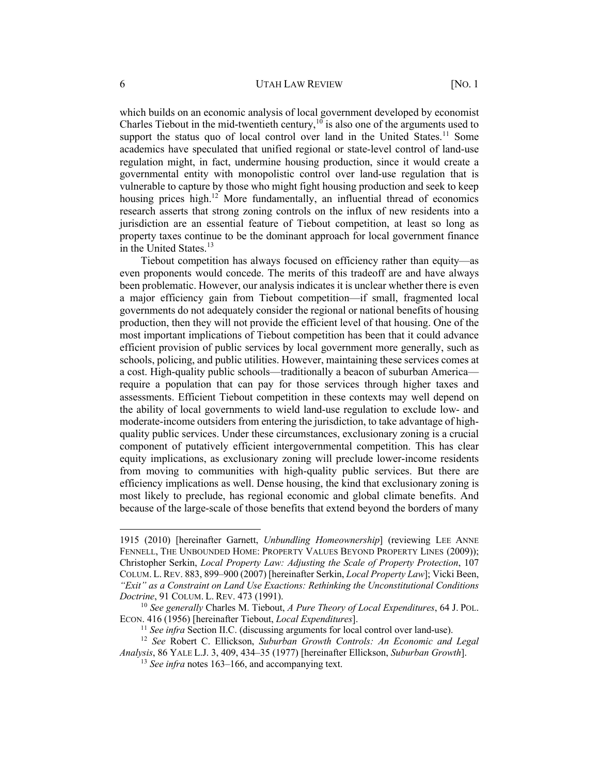which builds on an economic analysis of local government developed by economist Charles Tiebout in the mid-twentieth century,  $10^{\circ}$  is also one of the arguments used to support the status quo of local control over land in the United States.<sup>11</sup> Some academics have speculated that unified regional or state-level control of land-use regulation might, in fact, undermine housing production, since it would create a governmental entity with monopolistic control over land-use regulation that is vulnerable to capture by those who might fight housing production and seek to keep housing prices high.<sup>12</sup> More fundamentally, an influential thread of economics research asserts that strong zoning controls on the influx of new residents into a jurisdiction are an essential feature of Tiebout competition, at least so long as property taxes continue to be the dominant approach for local government finance in the United States.<sup>13</sup>

Tiebout competition has always focused on efficiency rather than equity—as even proponents would concede. The merits of this tradeoff are and have always been problematic. However, our analysis indicates it is unclear whether there is even a major efficiency gain from Tiebout competition—if small, fragmented local governments do not adequately consider the regional or national benefits of housing production, then they will not provide the efficient level of that housing. One of the most important implications of Tiebout competition has been that it could advance efficient provision of public services by local government more generally, such as schools, policing, and public utilities. However, maintaining these services comes at a cost. High-quality public schools—traditionally a beacon of suburban America require a population that can pay for those services through higher taxes and assessments. Efficient Tiebout competition in these contexts may well depend on the ability of local governments to wield land-use regulation to exclude low- and moderate-income outsiders from entering the jurisdiction, to take advantage of highquality public services. Under these circumstances, exclusionary zoning is a crucial component of putatively efficient intergovernmental competition. This has clear equity implications, as exclusionary zoning will preclude lower-income residents from moving to communities with high-quality public services. But there are efficiency implications as well. Dense housing, the kind that exclusionary zoning is most likely to preclude, has regional economic and global climate benefits. And because of the large-scale of those benefits that extend beyond the borders of many

<sup>1915 (2010) [</sup>hereinafter Garnett, *Unbundling Homeownership*] (reviewing LEE ANNE FENNELL, THE UNBOUNDED HOME: PROPERTY VALUES BEYOND PROPERTY LINES (2009)); Christopher Serkin, *Local Property Law: Adjusting the Scale of Property Protection*, 107 COLUM. L. REV. 883, 899–900 (2007) [hereinafter Serkin, *Local Property Law*]; Vicki Been, *"Exit" as a Constraint on Land Use Exactions: Rethinking the Unconstitutional Conditions Doctrine*, 91 COLUM. L. REV. 473 (1991).

<sup>10</sup> *See generally* Charles M. Tiebout, *A Pure Theory of Local Expenditures*, 64 J. POL. ECON. 416 (1956) [hereinafter Tiebout, *Local Expenditures*].

<sup>&</sup>lt;sup>11</sup> *See infra* Section II.C. (discussing arguments for local control over land-use).

<sup>12</sup> *See* Robert C. Ellickson, *Suburban Growth Controls: An Economic and Legal Analysis*, 86 YALE L.J. 3, 409, 434–35 (1977) [hereinafter Ellickson, *Suburban Growth*].

<sup>&</sup>lt;sup>13</sup> *See infra* notes 163–166, and accompanying text.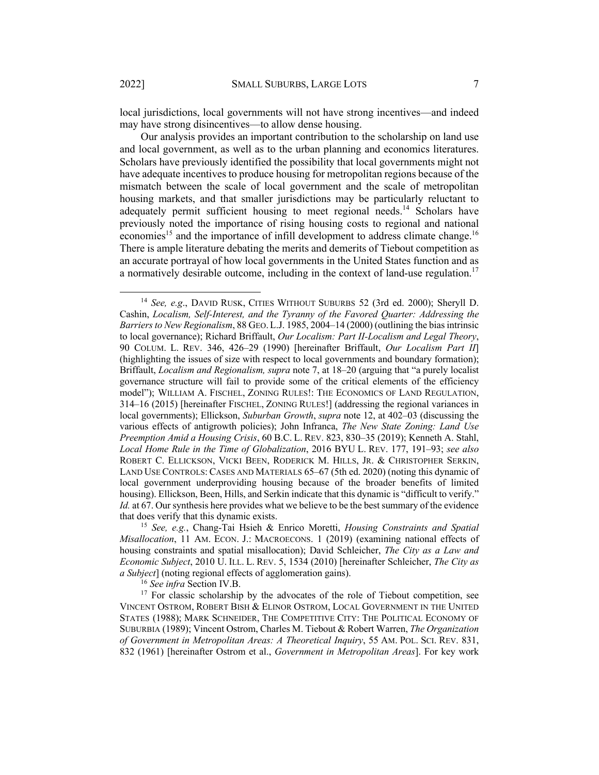local jurisdictions, local governments will not have strong incentives—and indeed may have strong disincentives—to allow dense housing.

Our analysis provides an important contribution to the scholarship on land use and local government, as well as to the urban planning and economics literatures. Scholars have previously identified the possibility that local governments might not have adequate incentives to produce housing for metropolitan regions because of the mismatch between the scale of local government and the scale of metropolitan housing markets, and that smaller jurisdictions may be particularly reluctant to adequately permit sufficient housing to meet regional needs.<sup>14</sup> Scholars have previously noted the importance of rising housing costs to regional and national economies<sup>15</sup> and the importance of infill development to address climate change.<sup>16</sup> There is ample literature debating the merits and demerits of Tiebout competition as an accurate portrayal of how local governments in the United States function and as a normatively desirable outcome, including in the context of land-use regulation.<sup>17</sup>

<sup>14</sup> *See, e.g*., DAVID RUSK, CITIES WITHOUT SUBURBS 52 (3rd ed. 2000); Sheryll D. Cashin, *Localism, Self-Interest, and the Tyranny of the Favored Quarter: Addressing the Barriers to New Regionalism*, 88 GEO. L.J. 1985, 2004–14 (2000) (outlining the bias intrinsic to local governance); Richard Briffault, *Our Localism: Part II-Localism and Legal Theory*, 90 COLUM. L. REV. 346, 426–29 (1990) [hereinafter Briffault, *Our Localism Part II*] (highlighting the issues of size with respect to local governments and boundary formation); Briffault, *Localism and Regionalism, supra* note 7, at 18–20 (arguing that "a purely localist governance structure will fail to provide some of the critical elements of the efficiency model"); WILLIAM A. FISCHEL, ZONING RULES!: THE ECONOMICS OF LAND REGULATION, 314–16 (2015) [hereinafter FISCHEL, ZONING RULES!] (addressing the regional variances in local governments); Ellickson, *Suburban Growth*, *supra* note 12, at 402–03 (discussing the various effects of antigrowth policies); John Infranca, *The New State Zoning: Land Use Preemption Amid a Housing Crisis*, 60 B.C. L. REV. 823, 830–35 (2019); Kenneth A. Stahl, *Local Home Rule in the Time of Globalization*, 2016 BYU L. REV. 177, 191–93; *see also*  ROBERT C. ELLICKSON, VICKI BEEN, RODERICK M. HILLS, JR. & CHRISTOPHER SERKIN, LAND USE CONTROLS: CASES AND MATERIALS 65–67 (5th ed. 2020) (noting this dynamic of local government underproviding housing because of the broader benefits of limited housing). Ellickson, Been, Hills, and Serkin indicate that this dynamic is "difficult to verify." *Id.* at 67. Our synthesis here provides what we believe to be the best summary of the evidence that does verify that this dynamic exists. 15 *See, e.g.*, Chang-Tai Hsieh & Enrico Moretti, *Housing Constraints and Spatial* 

*Misallocation*, 11 AM. ECON. J.: MACROECONS. 1 (2019) (examining national effects of housing constraints and spatial misallocation); David Schleicher, *The City as a Law and Economic Subject*, 2010 U. ILL. L. REV. 5, 1534 (2010) [hereinafter Schleicher, *The City as a Subject*] (noting regional effects of agglomeration gains).

<sup>&</sup>lt;sup>16</sup> *See infra* Section IV.B.<br><sup>17</sup> For classic scholarship by the advocates of the role of Tiebout competition, see VINCENT OSTROM, ROBERT BISH & ELINOR OSTROM, LOCAL GOVERNMENT IN THE UNITED STATES (1988); MARK SCHNEIDER, THE COMPETITIVE CITY: THE POLITICAL ECONOMY OF SUBURBIA (1989); Vincent Ostrom, Charles M. Tiebout & Robert Warren, *The Organization of Government in Metropolitan Areas: A Theoretical Inquiry*, 55 AM. POL. SCI. REV. 831, 832 (1961) [hereinafter Ostrom et al., *Government in Metropolitan Areas*]. For key work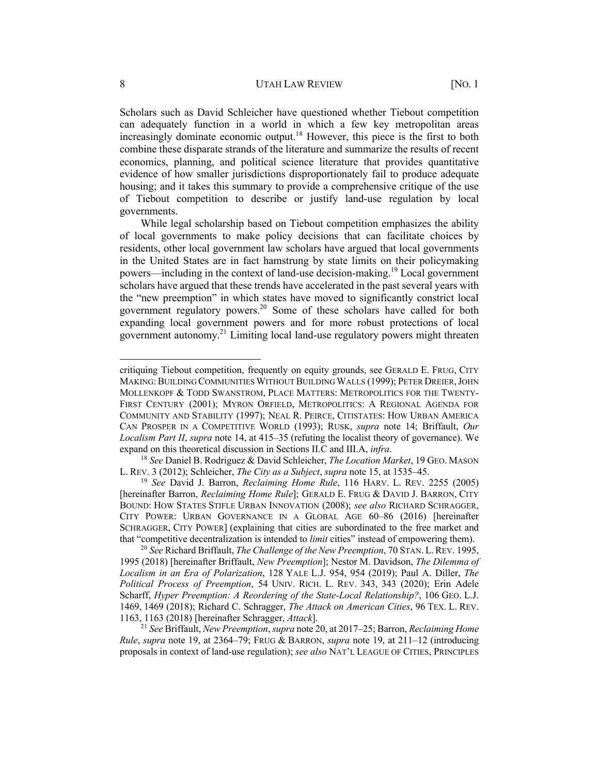Scholars such as David Schleicher have questioned whether Tiebout competition can adequately function in a world in which a few key metropolitan areas increasingly dominate economic output.<sup>18</sup> However, this piece is the first to both combine these disparate strands of the literature and summarize the results of recent economics, planning, and political science literature that provides quantitative evidence of how smaller jurisdictions disproportionately fail to produce adequate housing; and it takes this summary to provide a comprehensive critique of the use of Tiebout competition to describe or justify land-use regulation by local governments.

While legal scholarship based on Tiebout competition emphasizes the ability of local governments to make policy decisions that can facilitate choices by residents, other local government law scholars have argued that local governments in the United States are in fact hamstrung by state limits on their policymaking powers—including in the context of land-use decision-making.<sup>19</sup> Local government scholars have argued that these trends have accelerated in the past several years with the "new preemption" in which states have moved to significantly constrict local government regulatory powers.<sup>20</sup> Some of these scholars have called for both expanding local government powers and for more robust protections of local government autonomy. <sup>21</sup> Limiting local land-use regulatory powers might threaten

critiquing Tiebout competition, frequently on equity grounds, see GERALD E. FRUG, CITY MAKING:BUILDING COMMUNITIES WITHOUT BUILDING WALLS (1999); PETER DREIER,JOHN MOLLENKOPF & TODD SWANSTROM, PLACE MATTERS: METROPOLITICS FOR THE TWENTY-FIRST CENTURY (2001); MYRON ORFIELD, METROPOLITICS: A REGIONAL AGENDA FOR COMMUNITY AND STABILITY (1997); NEAL R. PEIRCE, CITISTATES: HOW URBAN AMERICA CAN PROSPER IN A COMPETITIVE WORLD (1993); RUSK, *supra* note 14; Briffault, *Our Localism Part II*, *supra* note 14, at 415–35 (refuting the localist theory of governance). We expand on this theoretical discussion in Sections II.C and III.A, *infra*.

<sup>18</sup> *See* Daniel B. Rodriguez & David Schleicher, *The Location Market*, 19 GEO. MASON L. REV. 3 (2012); Schleicher, *The City as a Subject*, *supra* note 15, at 1535–45.

<sup>19</sup> *See* David J. Barron, *Reclaiming Home Rule*, 116 HARV. L. REV. 2255 (2005) [hereinafter Barron, *Reclaiming Home Rule*]; GERALD E. FRUG & DAVID J. BARRON, CITY BOUND: HOW STATES STIFLE URBAN INNOVATION (2008); *see also* RICHARD SCHRAGGER, CITY POWER: URBAN GOVERNANCE IN A GLOBAL AGE 60–86 (2016) [hereinafter SCHRAGGER, CITY POWER] (explaining that cities are subordinated to the free market and that "competitive decentralization is intended to *limit* cities" instead of empowering them).

<sup>20</sup> *See* Richard Briffault, *The Challenge of the New Preemption*, 70 STAN. L.REV. 1995, 1995 (2018) [hereinafter Briffault, *New Preemption*]; Nestor M. Davidson, *The Dilemma of Localism in an Era of Polarization*, 128 YALE L.J. 954, 954 (2019); Paul A. Diller, *The Political Process of Preemption*, 54 UNIV. RICH. L. REV. 343, 343 (2020); Erin Adele Scharff, *Hyper Preemption: A Reordering of the State-Local Relationship?*, 106 GEO. L.J. 1469, 1469 (2018); Richard C. Schragger, *The Attack on American Cities*, 96 TEX. L. REV. 1163, 1163 (2018) [hereinafter Schragger, *Attack*].

<sup>21</sup> *See* Briffault, *New Preemption*, *supra* note 20, at 2017–25; Barron, *Reclaiming Home Rule*, *supra* note 19, at 2364–79; FRUG & BARRON, *supra* note 19, at 211–12 (introducing proposals in context of land-use regulation); *see also* NAT'L LEAGUE OF CITIES, PRINCIPLES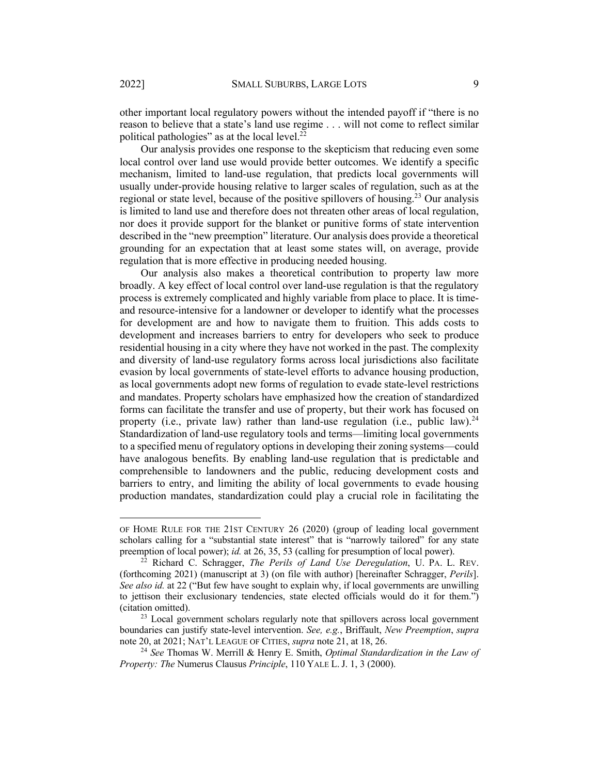other important local regulatory powers without the intended payoff if "there is no reason to believe that a state's land use regime . . . will not come to reflect similar political pathologies" as at the local level. $^{22}$ 

Our analysis provides one response to the skepticism that reducing even some local control over land use would provide better outcomes. We identify a specific mechanism, limited to land-use regulation, that predicts local governments will usually under-provide housing relative to larger scales of regulation, such as at the regional or state level, because of the positive spillovers of housing.<sup>23</sup> Our analysis is limited to land use and therefore does not threaten other areas of local regulation, nor does it provide support for the blanket or punitive forms of state intervention described in the "new preemption" literature. Our analysis does provide a theoretical grounding for an expectation that at least some states will, on average, provide regulation that is more effective in producing needed housing.

Our analysis also makes a theoretical contribution to property law more broadly. A key effect of local control over land-use regulation is that the regulatory process is extremely complicated and highly variable from place to place. It is timeand resource-intensive for a landowner or developer to identify what the processes for development are and how to navigate them to fruition. This adds costs to development and increases barriers to entry for developers who seek to produce residential housing in a city where they have not worked in the past. The complexity and diversity of land-use regulatory forms across local jurisdictions also facilitate evasion by local governments of state-level efforts to advance housing production, as local governments adopt new forms of regulation to evade state-level restrictions and mandates. Property scholars have emphasized how the creation of standardized forms can facilitate the transfer and use of property, but their work has focused on property (i.e., private law) rather than land-use regulation (i.e., public law).<sup>24</sup> Standardization of land-use regulatory tools and terms—limiting local governments to a specified menu of regulatory options in developing their zoning systems—could have analogous benefits. By enabling land-use regulation that is predictable and comprehensible to landowners and the public, reducing development costs and barriers to entry, and limiting the ability of local governments to evade housing production mandates, standardization could play a crucial role in facilitating the

OF HOME RULE FOR THE 21ST CENTURY 26 (2020) (group of leading local government scholars calling for a "substantial state interest" that is "narrowly tailored" for any state preemption of local power); *id.* at 26, 35, 53 (calling for presumption of local power).

<sup>22</sup> Richard C. Schragger, *The Perils of Land Use Deregulation*, U. PA. L. REV. (forthcoming 2021) (manuscript at 3) (on file with author) [hereinafter Schragger, *Perils*]. *See also id.* at 22 ("But few have sought to explain why, if local governments are unwilling to jettison their exclusionary tendencies, state elected officials would do it for them.") (citation omitted).

<sup>&</sup>lt;sup>23</sup> Local government scholars regularly note that spillovers across local government boundaries can justify state-level intervention. *See, e.g.*, Briffault, *New Preemption*, *supra*  note 20, at 2021; NAT'L LEAGUE OF CITIES, *supra* note 21, at 18, 26.

<sup>24</sup> *See* Thomas W. Merrill & Henry E. Smith, *Optimal Standardization in the Law of Property: The* Numerus Clausus *Principle*, 110 YALE L. J. 1, 3 (2000).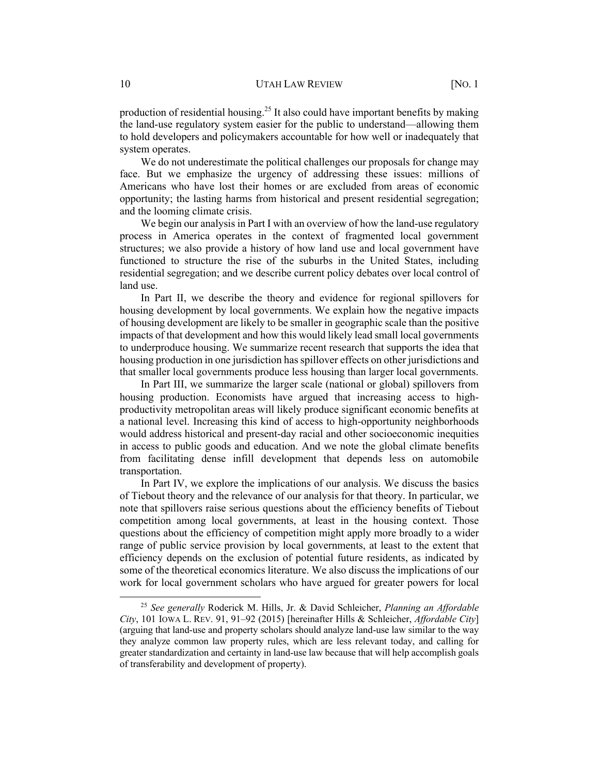production of residential housing.<sup>25</sup> It also could have important benefits by making the land-use regulatory system easier for the public to understand—allowing them to hold developers and policymakers accountable for how well or inadequately that system operates.

We do not underestimate the political challenges our proposals for change may face. But we emphasize the urgency of addressing these issues: millions of Americans who have lost their homes or are excluded from areas of economic opportunity; the lasting harms from historical and present residential segregation; and the looming climate crisis.

We begin our analysis in Part I with an overview of how the land-use regulatory process in America operates in the context of fragmented local government structures; we also provide a history of how land use and local government have functioned to structure the rise of the suburbs in the United States, including residential segregation; and we describe current policy debates over local control of land use.

In Part II, we describe the theory and evidence for regional spillovers for housing development by local governments. We explain how the negative impacts of housing development are likely to be smaller in geographic scale than the positive impacts of that development and how this would likely lead small local governments to underproduce housing. We summarize recent research that supports the idea that housing production in one jurisdiction has spillover effects on other jurisdictions and that smaller local governments produce less housing than larger local governments.

In Part III, we summarize the larger scale (national or global) spillovers from housing production. Economists have argued that increasing access to highproductivity metropolitan areas will likely produce significant economic benefits at a national level. Increasing this kind of access to high-opportunity neighborhoods would address historical and present-day racial and other socioeconomic inequities in access to public goods and education. And we note the global climate benefits from facilitating dense infill development that depends less on automobile transportation.

In Part IV, we explore the implications of our analysis. We discuss the basics of Tiebout theory and the relevance of our analysis for that theory. In particular, we note that spillovers raise serious questions about the efficiency benefits of Tiebout competition among local governments, at least in the housing context. Those questions about the efficiency of competition might apply more broadly to a wider range of public service provision by local governments, at least to the extent that efficiency depends on the exclusion of potential future residents, as indicated by some of the theoretical economics literature. We also discuss the implications of our work for local government scholars who have argued for greater powers for local

<sup>25</sup> *See generally* Roderick M. Hills, Jr. & David Schleicher, *Planning an Affordable City*, 101 IOWA L. REV. 91, 91–92 (2015) [hereinafter Hills & Schleicher, *Affordable City*] (arguing that land-use and property scholars should analyze land-use law similar to the way they analyze common law property rules, which are less relevant today, and calling for greater standardization and certainty in land-use law because that will help accomplish goals of transferability and development of property).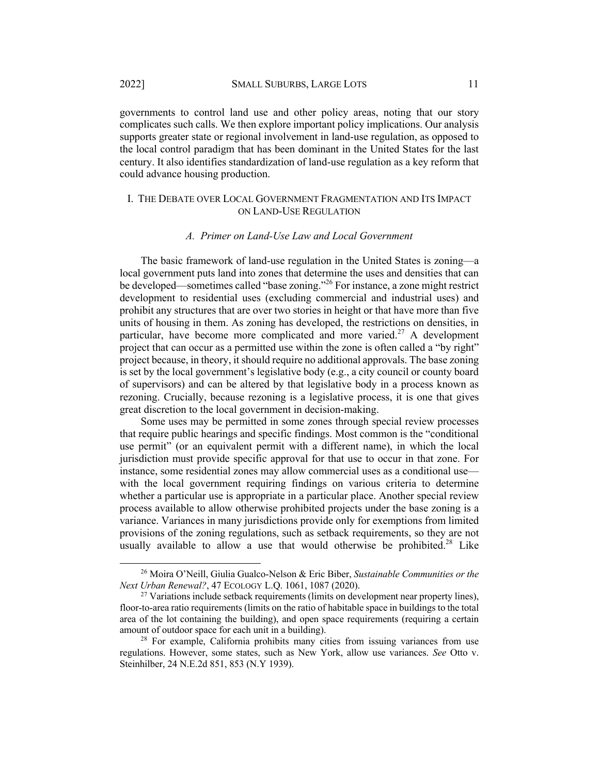governments to control land use and other policy areas, noting that our story complicates such calls. We then explore important policy implications. Our analysis supports greater state or regional involvement in land-use regulation, as opposed to the local control paradigm that has been dominant in the United States for the last century. It also identifies standardization of land-use regulation as a key reform that could advance housing production.

#### I. THE DEBATE OVER LOCAL GOVERNMENT FRAGMENTATION AND ITS IMPACT ON LAND-USE REGULATION

#### *A. Primer on Land-Use Law and Local Government*

The basic framework of land-use regulation in the United States is zoning—a local government puts land into zones that determine the uses and densities that can be developed—sometimes called "base zoning."<sup>26</sup> For instance, a zone might restrict development to residential uses (excluding commercial and industrial uses) and prohibit any structures that are over two stories in height or that have more than five units of housing in them. As zoning has developed, the restrictions on densities, in particular, have become more complicated and more varied.<sup>27</sup> A development project that can occur as a permitted use within the zone is often called a "by right" project because, in theory, it should require no additional approvals. The base zoning is set by the local government's legislative body (e.g., a city council or county board of supervisors) and can be altered by that legislative body in a process known as rezoning. Crucially, because rezoning is a legislative process, it is one that gives great discretion to the local government in decision-making.

Some uses may be permitted in some zones through special review processes that require public hearings and specific findings. Most common is the "conditional use permit" (or an equivalent permit with a different name), in which the local jurisdiction must provide specific approval for that use to occur in that zone. For instance, some residential zones may allow commercial uses as a conditional use with the local government requiring findings on various criteria to determine whether a particular use is appropriate in a particular place. Another special review process available to allow otherwise prohibited projects under the base zoning is a variance. Variances in many jurisdictions provide only for exemptions from limited provisions of the zoning regulations, such as setback requirements, so they are not usually available to allow a use that would otherwise be prohibited.<sup>28</sup> Like

<sup>26</sup> Moira O'Neill, Giulia Gualco-Nelson & Eric Biber, *Sustainable Communities or the Next Urban Renewal?*, 47 ECOLOGY L.Q. 1061, 1087 (2020).

 $27$  Variations include setback requirements (limits on development near property lines), floor-to-area ratio requirements (limits on the ratio of habitable space in buildings to the total area of the lot containing the building), and open space requirements (requiring a certain amount of outdoor space for each unit in a building).

<sup>&</sup>lt;sup>28</sup> For example, California prohibits many cities from issuing variances from use regulations. However, some states, such as New York, allow use variances. *See* Otto v. Steinhilber, 24 N.E.2d 851, 853 (N.Y 1939).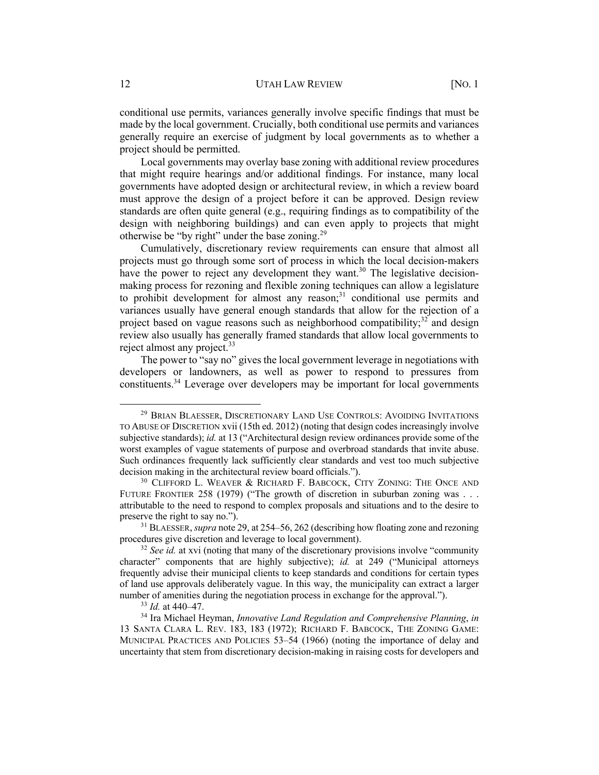conditional use permits, variances generally involve specific findings that must be made by the local government. Crucially, both conditional use permits and variances generally require an exercise of judgment by local governments as to whether a project should be permitted.

Local governments may overlay base zoning with additional review procedures that might require hearings and/or additional findings. For instance, many local governments have adopted design or architectural review, in which a review board must approve the design of a project before it can be approved. Design review standards are often quite general (e.g., requiring findings as to compatibility of the design with neighboring buildings) and can even apply to projects that might otherwise be "by right" under the base zoning.<sup>29</sup>

Cumulatively, discretionary review requirements can ensure that almost all projects must go through some sort of process in which the local decision-makers have the power to reject any development they want.<sup>30</sup> The legislative decisionmaking process for rezoning and flexible zoning techniques can allow a legislature to prohibit development for almost any reason; $31$  conditional use permits and variances usually have general enough standards that allow for the rejection of a project based on vague reasons such as neighborhood compatibility;<sup>32</sup> and design review also usually has generally framed standards that allow local governments to reject almost any project.<sup>33</sup>

The power to "say no" gives the local government leverage in negotiations with developers or landowners, as well as power to respond to pressures from constituents.<sup>34</sup> Leverage over developers may be important for local governments

<sup>29</sup> BRIAN BLAESSER, DISCRETIONARY LAND USE CONTROLS: AVOIDING INVITATIONS TO ABUSE OF DISCRETION xvii (15th ed. 2012) (noting that design codes increasingly involve subjective standards); *id.* at 13 ("Architectural design review ordinances provide some of the worst examples of vague statements of purpose and overbroad standards that invite abuse. Such ordinances frequently lack sufficiently clear standards and vest too much subjective decision making in the architectural review board officials.").

<sup>&</sup>lt;sup>30</sup> CLIFFORD L. WEAVER & RICHARD F. BABCOCK, CITY ZONING: THE ONCE AND FUTURE FRONTIER 258 (1979) ("The growth of discretion in suburban zoning was . . . attributable to the need to respond to complex proposals and situations and to the desire to preserve the right to say no.").

<sup>31</sup> BLAESSER, *supra* note 29, at 254–56, 262 (describing how floating zone and rezoning procedures give discretion and leverage to local government).

<sup>&</sup>lt;sup>32</sup> *See id.* at xvi (noting that many of the discretionary provisions involve "community" character" components that are highly subjective); *id.* at 249 ("Municipal attorneys frequently advise their municipal clients to keep standards and conditions for certain types of land use approvals deliberately vague. In this way, the municipality can extract a larger number of amenities during the negotiation process in exchange for the approval.").

<sup>33</sup> *Id.* at 440–47.

<sup>34</sup> Ira Michael Heyman, *Innovative Land Regulation and Comprehensive Planning*, *in* 13 SANTA CLARA L. REV. 183, 183 (1972); RICHARD F. BABCOCK, THE ZONING GAME: MUNICIPAL PRACTICES AND POLICIES 53–54 (1966) (noting the importance of delay and uncertainty that stem from discretionary decision-making in raising costs for developers and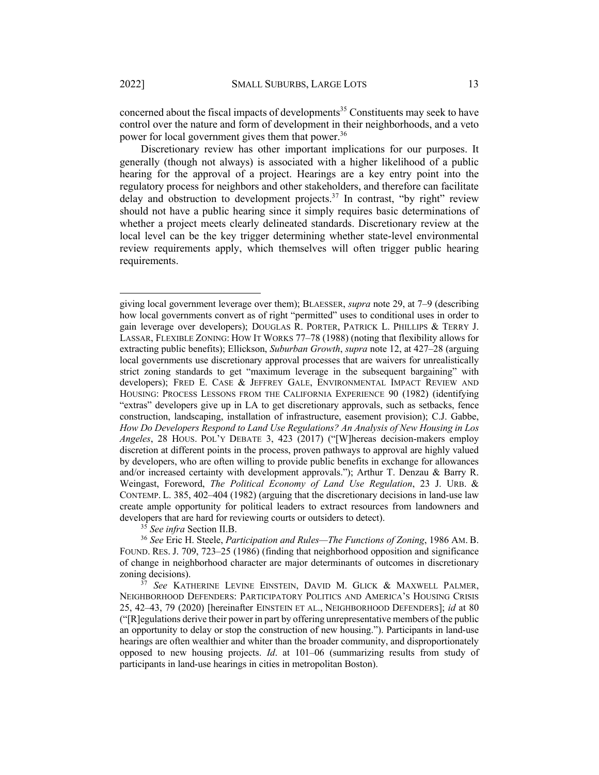concerned about the fiscal impacts of developments<sup>35</sup> Constituents may seek to have control over the nature and form of development in their neighborhoods, and a veto power for local government gives them that power.<sup>36</sup>

Discretionary review has other important implications for our purposes. It generally (though not always) is associated with a higher likelihood of a public hearing for the approval of a project. Hearings are a key entry point into the regulatory process for neighbors and other stakeholders, and therefore can facilitate delay and obstruction to development projects.<sup>37</sup> In contrast, "by right" review should not have a public hearing since it simply requires basic determinations of whether a project meets clearly delineated standards. Discretionary review at the local level can be the key trigger determining whether state-level environmental review requirements apply, which themselves will often trigger public hearing requirements.

<sup>35</sup> *See infra* Section II.B.

<sup>36</sup> *See* Eric H. Steele, *Participation and Rules—The Functions of Zoning*, 1986 AM. B. FOUND. RES. J. 709, 723–25 (1986) (finding that neighborhood opposition and significance of change in neighborhood character are major determinants of outcomes in discretionary zoning decisions).

giving local government leverage over them); BLAESSER, *supra* note 29, at 7–9 (describing how local governments convert as of right "permitted" uses to conditional uses in order to gain leverage over developers); DOUGLAS R. PORTER, PATRICK L. PHILLIPS & TERRY J. LASSAR, FLEXIBLE ZONING: HOW IT WORKS 77–78 (1988) (noting that flexibility allows for extracting public benefits); Ellickson, *Suburban Growth*, *supra* note 12, at 427–28 (arguing local governments use discretionary approval processes that are waivers for unrealistically strict zoning standards to get "maximum leverage in the subsequent bargaining" with developers); FRED E. CASE & JEFFREY GALE, ENVIRONMENTAL IMPACT REVIEW AND HOUSING: PROCESS LESSONS FROM THE CALIFORNIA EXPERIENCE 90 (1982) (identifying "extras" developers give up in LA to get discretionary approvals, such as setbacks, fence construction, landscaping, installation of infrastructure, easement provision); C.J. Gabbe, *How Do Developers Respond to Land Use Regulations? An Analysis of New Housing in Los Angeles*, 28 HOUS. POL'Y DEBATE 3, 423 (2017) ("[W]hereas decision-makers employ discretion at different points in the process, proven pathways to approval are highly valued by developers, who are often willing to provide public benefits in exchange for allowances and/or increased certainty with development approvals."); Arthur T. Denzau & Barry R. Weingast, Foreword, *The Political Economy of Land Use Regulation*, 23 J. URB. & CONTEMP. L. 385, 402–404 (1982) (arguing that the discretionary decisions in land-use law create ample opportunity for political leaders to extract resources from landowners and developers that are hard for reviewing courts or outsiders to detect).

See KATHERINE LEVINE EINSTEIN, DAVID M. GLICK & MAXWELL PALMER, NEIGHBORHOOD DEFENDERS: PARTICIPATORY POLITICS AND AMERICA'S HOUSING CRISIS 25, 42–43, 79 (2020) [hereinafter EINSTEIN ET AL., NEIGHBORHOOD DEFENDERS]; *id* at 80 ("[R]egulations derive their power in part by offering unrepresentative members of the public an opportunity to delay or stop the construction of new housing."). Participants in land-use hearings are often wealthier and whiter than the broader community, and disproportionately opposed to new housing projects. *Id*. at 101–06 (summarizing results from study of participants in land-use hearings in cities in metropolitan Boston).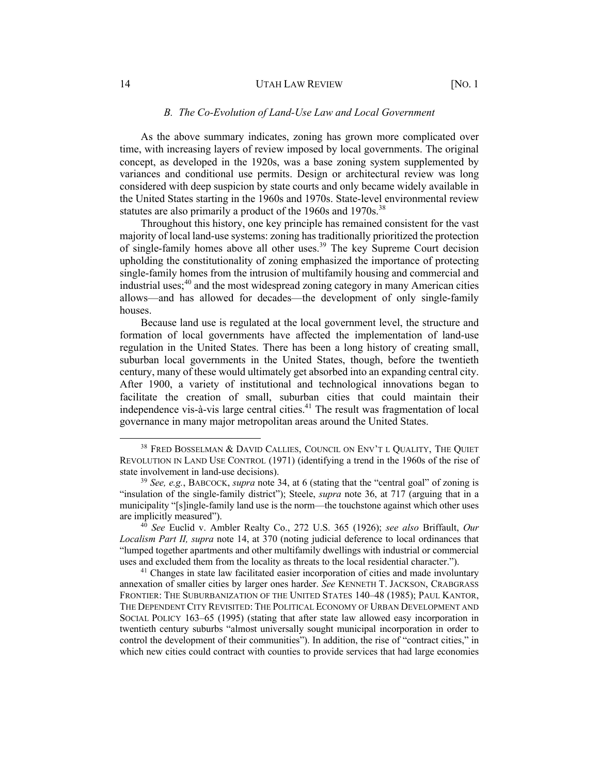#### 14 UTAH LAW REVIEW [NO. 1]

# *B. The Co-Evolution of Land-Use Law and Local Government*

As the above summary indicates, zoning has grown more complicated over time, with increasing layers of review imposed by local governments. The original concept, as developed in the 1920s, was a base zoning system supplemented by variances and conditional use permits. Design or architectural review was long considered with deep suspicion by state courts and only became widely available in the United States starting in the 1960s and 1970s. State-level environmental review statutes are also primarily a product of the  $1960s$  and  $1970s$ .<sup>38</sup>

Throughout this history, one key principle has remained consistent for the vast majority of local land-use systems: zoning has traditionally prioritized the protection of single-family homes above all other uses.<sup>39</sup> The key Supreme Court decision upholding the constitutionality of zoning emphasized the importance of protecting single-family homes from the intrusion of multifamily housing and commercial and industrial uses; $40$  and the most widespread zoning category in many American cities allows—and has allowed for decades—the development of only single-family houses.

Because land use is regulated at the local government level, the structure and formation of local governments have affected the implementation of land-use regulation in the United States. There has been a long history of creating small, suburban local governments in the United States, though, before the twentieth century, many of these would ultimately get absorbed into an expanding central city. After 1900, a variety of institutional and technological innovations began to facilitate the creation of small, suburban cities that could maintain their independence vis-à-vis large central cities. $41$  The result was fragmentation of local governance in many major metropolitan areas around the United States.

<sup>&</sup>lt;sup>38</sup> FRED BOSSELMAN & DAVID CALLIES, COUNCIL ON ENV'T L QUALITY, THE QUIET REVOLUTION IN LAND USE CONTROL (1971) (identifying a trend in the 1960s of the rise of state involvement in land-use decisions).

<sup>39</sup> *See, e.g.*, BABCOCK, *supra* note 34, at 6 (stating that the "central goal" of zoning is "insulation of the single-family district"); Steele, *supra* note 36, at 717 (arguing that in a municipality "[s]ingle-family land use is the norm—the touchstone against which other uses are implicitly measured").

<sup>40</sup> *See* Euclid v. Ambler Realty Co., 272 U.S. 365 (1926); *see also* Briffault, *Our Localism Part II, supra* note 14, at 370 (noting judicial deference to local ordinances that "lumped together apartments and other multifamily dwellings with industrial or commercial uses and excluded them from the locality as threats to the local residential character.").

<sup>&</sup>lt;sup>41</sup> Changes in state law facilitated easier incorporation of cities and made involuntary annexation of smaller cities by larger ones harder. *See* KENNETH T. JACKSON, CRABGRASS FRONTIER: THE SUBURBANIZATION OF THE UNITED STATES 140–48 (1985); PAUL KANTOR, THE DEPENDENT CITY REVISITED: THE POLITICAL ECONOMY OF URBAN DEVELOPMENT AND SOCIAL POLICY 163–65 (1995) (stating that after state law allowed easy incorporation in twentieth century suburbs "almost universally sought municipal incorporation in order to control the development of their communities"). In addition, the rise of "contract cities," in which new cities could contract with counties to provide services that had large economies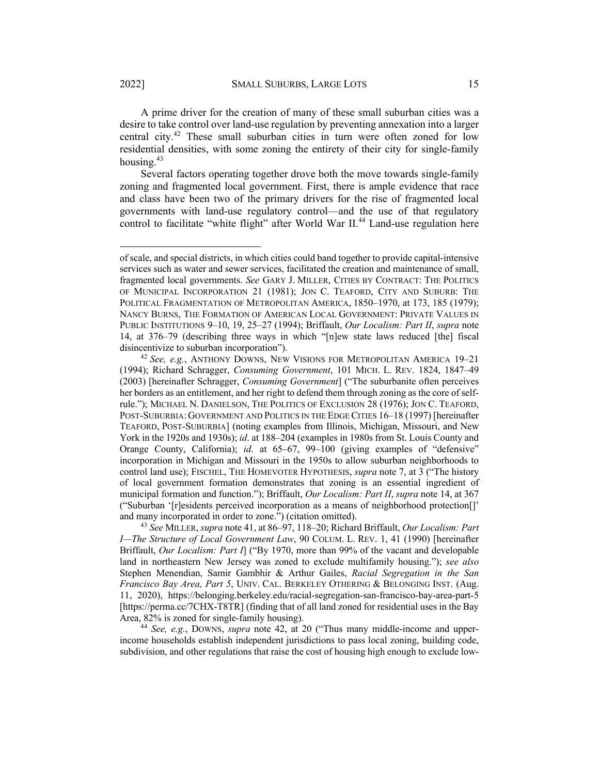A prime driver for the creation of many of these small suburban cities was a desire to take control over land-use regulation by preventing annexation into a larger central city.<sup>42</sup> These small suburban cities in turn were often zoned for low residential densities, with some zoning the entirety of their city for single-family housing.<sup>43</sup>

Several factors operating together drove both the move towards single-family zoning and fragmented local government. First, there is ample evidence that race and class have been two of the primary drivers for the rise of fragmented local governments with land-use regulatory control—and the use of that regulatory control to facilitate "white flight" after World War II.<sup>44</sup> Land-use regulation here

<sup>43</sup> *See* MILLER, *supra* note 41, at 86–97, 118–20; Richard Briffault, *Our Localism: Part I—The Structure of Local Government Law*, 90 COLUM. L. REV. 1, 41 (1990) [hereinafter Briffault, *Our Localism: Part I*] ("By 1970, more than 99% of the vacant and developable land in northeastern New Jersey was zoned to exclude multifamily housing."); *see also* Stephen Menendian, Samir Gambhir & Arthur Gailes, *Racial Segregation in the San Francisco Bay Area, Part 5*, UNIV. CAL. BERKELEY OTHERING & BELONGING INST. (Aug. 11, 2020), https://belonging.berkeley.edu/racial-segregation-san-francisco-bay-area-part-5 [https://perma.cc/7CHX-T8TR] (finding that of all land zoned for residential uses in the Bay Area, 82% is zoned for single-family housing).

<sup>44</sup> *See, e.g.*, DOWNS, *supra* note 42, at 20 ("Thus many middle-income and upperincome households establish independent jurisdictions to pass local zoning, building code, subdivision, and other regulations that raise the cost of housing high enough to exclude low-

of scale, and special districts, in which cities could band together to provide capital-intensive services such as water and sewer services, facilitated the creation and maintenance of small, fragmented local governments. *See* GARY J. MILLER, CITIES BY CONTRACT: THE POLITICS OF MUNICIPAL INCORPORATION 21 (1981); JON C. TEAFORD, CITY AND SUBURB: THE POLITICAL FRAGMENTATION OF METROPOLITAN AMERICA, 1850-1970, at 173, 185 (1979); NANCY BURNS, THE FORMATION OF AMERICAN LOCAL GOVERNMENT: PRIVATE VALUES IN PUBLIC INSTITUTIONS 9–10, 19, 25–27 (1994); Briffault, *Our Localism: Part II*, *supra* note 14, at 376–79 (describing three ways in which "[n]ew state laws reduced [the] fiscal disincentivize to suburban incorporation"). 42 *See, e.g.*, ANTHONY DOWNS, NEW VISIONS FOR METROPOLITAN AMERICA 19–21

<sup>(1994);</sup> Richard Schragger, *Consuming Government*, 101 MICH. L. REV. 1824, 1847–49 (2003) [hereinafter Schragger, *Consuming Government*] ("The suburbanite often perceives her borders as an entitlement, and her right to defend them through zoning as the core of selfrule."); MICHAEL N. DANIELSON, THE POLITICS OF EXCLUSION 28 (1976); JON C. TEAFORD, POST-SUBURBIA: GOVERNMENT AND POLITICS IN THE EDGE CITIES 16–18 (1997) [hereinafter TEAFORD, POST-SUBURBIA] (noting examples from Illinois, Michigan, Missouri, and New York in the 1920s and 1930s); *id*. at 188–204 (examples in 1980s from St. Louis County and Orange County, California); *id*. at 65–67, 99–100 (giving examples of "defensive" incorporation in Michigan and Missouri in the 1950s to allow suburban neighborhoods to control land use); FISCHEL, THE HOMEVOTER HYPOTHESIS, *supra* note 7, at 3 ("The history of local government formation demonstrates that zoning is an essential ingredient of municipal formation and function."); Briffault, *Our Localism: Part II*, *supra* note 14, at 367 ("Suburban '[r]esidents perceived incorporation as a means of neighborhood protection[]' and many incorporated in order to zone.") (citation omitted).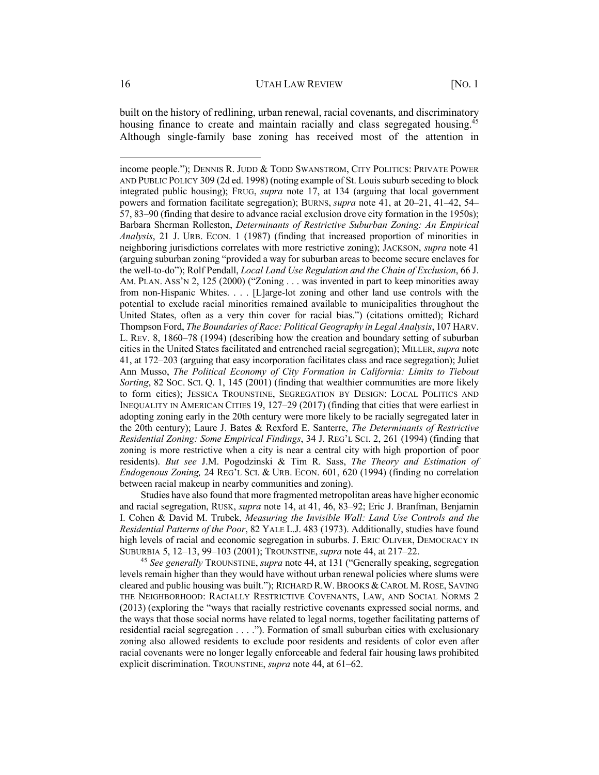built on the history of redlining, urban renewal, racial covenants, and discriminatory housing finance to create and maintain racially and class segregated housing.<sup>45</sup> Although single-family base zoning has received most of the attention in

Studies have also found that more fragmented metropolitan areas have higher economic and racial segregation, RUSK, *supra* note 14, at 41, 46, 83–92; Eric J. Branfman, Benjamin I. Cohen & David M. Trubek, *Measuring the Invisible Wall: Land Use Controls and the Residential Patterns of the Poor*, 82 YALE L.J. 483 (1973). Additionally, studies have found high levels of racial and economic segregation in suburbs. J. ERIC OLIVER, DEMOCRACY IN SUBURBIA 5, 12–13, 99–103 (2001); TROUNSTINE, *supra* note 44, at 217–22.

<sup>45</sup> *See generally* TROUNSTINE, *supra* note 44, at 131 ("Generally speaking, segregation levels remain higher than they would have without urban renewal policies where slums were cleared and public housing was built."); RICHARD R.W. BROOKS & CAROL M. ROSE, SAVING THE NEIGHBORHOOD: RACIALLY RESTRICTIVE COVENANTS, LAW, AND SOCIAL NORMS 2 (2013) (exploring the "ways that racially restrictive covenants expressed social norms, and the ways that those social norms have related to legal norms, together facilitating patterns of residential racial segregation . . . ."). Formation of small suburban cities with exclusionary zoning also allowed residents to exclude poor residents and residents of color even after racial covenants were no longer legally enforceable and federal fair housing laws prohibited explicit discrimination. TROUNSTINE, *supra* note 44, at 61–62.

income people."); DENNIS R. JUDD & TODD SWANSTROM, CITY POLITICS: PRIVATE POWER AND PUBLIC POLICY 309 (2d ed. 1998) (noting example of St. Louis suburb seceding to block integrated public housing); FRUG, *supra* note 17, at 134 (arguing that local government powers and formation facilitate segregation); BURNS, *supra* note 41, at 20–21, 41–42, 54– 57, 83–90 (finding that desire to advance racial exclusion drove city formation in the 1950s); Barbara Sherman Rolleston, *Determinants of Restrictive Suburban Zoning: An Empirical Analysis*, 21 J. URB. ECON. 1 (1987) (finding that increased proportion of minorities in neighboring jurisdictions correlates with more restrictive zoning); JACKSON, *supra* note 41 (arguing suburban zoning "provided a way for suburban areas to become secure enclaves for the well-to-do"); Rolf Pendall, *Local Land Use Regulation and the Chain of Exclusion*, 66 J. AM. PLAN. ASS'N 2, 125 (2000) ("Zoning . . . was invented in part to keep minorities away from non-Hispanic Whites. . . . [L]arge-lot zoning and other land use controls with the potential to exclude racial minorities remained available to municipalities throughout the United States, often as a very thin cover for racial bias.") (citations omitted); Richard Thompson Ford, *The Boundaries of Race: Political Geography in Legal Analysis*, 107 HARV. L. REV. 8, 1860–78 (1994) (describing how the creation and boundary setting of suburban cities in the United States facilitated and entrenched racial segregation); MILLER, *supra* note 41, at 172–203 (arguing that easy incorporation facilitates class and race segregation); Juliet Ann Musso, *The Political Economy of City Formation in California: Limits to Tiebout Sorting*, 82 SOC. SCI. Q. 1, 145 (2001) (finding that wealthier communities are more likely to form cities); JESSICA TROUNSTINE, SEGREGATION BY DESIGN: LOCAL POLITICS AND INEQUALITY IN AMERICAN CITIES 19, 127–29 (2017) (finding that cities that were earliest in adopting zoning early in the 20th century were more likely to be racially segregated later in the 20th century); Laure J. Bates & Rexford E. Santerre, *The Determinants of Restrictive Residential Zoning: Some Empirical Findings*, 34 J. REG'L SCI. 2, 261 (1994) (finding that zoning is more restrictive when a city is near a central city with high proportion of poor residents). *But see* J.M. Pogodzinski & Tim R. Sass, *The Theory and Estimation of Endogenous Zoning,* 24 REG'L SCI. & URB. ECON. 601, 620 (1994) (finding no correlation between racial makeup in nearby communities and zoning).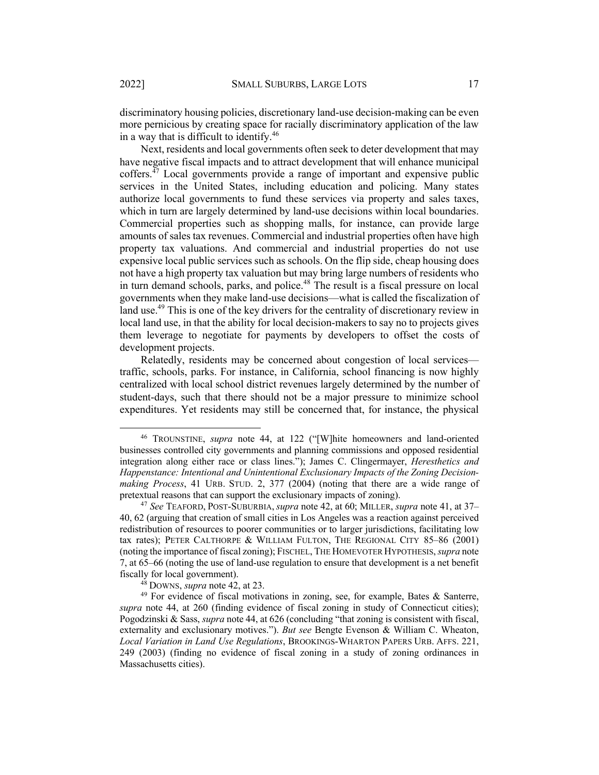discriminatory housing policies, discretionary land-use decision-making can be even more pernicious by creating space for racially discriminatory application of the law in a way that is difficult to identify.<sup>46</sup>

Next, residents and local governments often seek to deter development that may have negative fiscal impacts and to attract development that will enhance municipal coffers.<sup> $47$ </sup> Local governments provide a range of important and expensive public services in the United States, including education and policing. Many states authorize local governments to fund these services via property and sales taxes, which in turn are largely determined by land-use decisions within local boundaries. Commercial properties such as shopping malls, for instance, can provide large amounts of sales tax revenues. Commercial and industrial properties often have high property tax valuations. And commercial and industrial properties do not use expensive local public services such as schools. On the flip side, cheap housing does not have a high property tax valuation but may bring large numbers of residents who in turn demand schools, parks, and police.<sup>48</sup> The result is a fiscal pressure on local governments when they make land-use decisions—what is called the fiscalization of land use.<sup>49</sup> This is one of the key drivers for the centrality of discretionary review in local land use, in that the ability for local decision-makers to say no to projects gives them leverage to negotiate for payments by developers to offset the costs of development projects.

Relatedly, residents may be concerned about congestion of local services traffic, schools, parks. For instance, in California, school financing is now highly centralized with local school district revenues largely determined by the number of student-days, such that there should not be a major pressure to minimize school expenditures. Yet residents may still be concerned that, for instance, the physical

<sup>46</sup> TROUNSTINE, *supra* note 44, at 122 ("[W]hite homeowners and land-oriented businesses controlled city governments and planning commissions and opposed residential integration along either race or class lines."); James C. Clingermayer, *Heresthetics and Happenstance: Intentional and Unintentional Exclusionary Impacts of the Zoning Decisionmaking Process*, 41 URB. STUD. 2, 377 (2004) (noting that there are a wide range of pretextual reasons that can support the exclusionary impacts of zoning).

<sup>47</sup> *See* TEAFORD, POST-SUBURBIA, *supra* note 42, at 60; MILLER, *supra* note 41, at 37– 40, 62 (arguing that creation of small cities in Los Angeles was a reaction against perceived redistribution of resources to poorer communities or to larger jurisdictions, facilitating low tax rates); PETER CALTHORPE & WILLIAM FULTON, THE REGIONAL CITY 85–86 (2001) (noting the importance of fiscal zoning); FISCHEL, THE HOMEVOTER HYPOTHESIS,*supra* note 7, at 65–66 (noting the use of land-use regulation to ensure that development is a net benefit fiscally for local government).

<sup>48</sup> DOWNS, *supra* note 42, at 23.

<sup>&</sup>lt;sup>49</sup> For evidence of fiscal motivations in zoning, see, for example, Bates & Santerre, *supra* note 44, at 260 (finding evidence of fiscal zoning in study of Connecticut cities); Pogodzinski & Sass, *supra* note 44, at 626 (concluding "that zoning is consistent with fiscal, externality and exclusionary motives."). *But see* Bengte Evenson & William C. Wheaton, *Local Variation in Land Use Regulations*, BROOKINGS-WHARTON PAPERS URB. AFFS. 221, 249 (2003) (finding no evidence of fiscal zoning in a study of zoning ordinances in Massachusetts cities).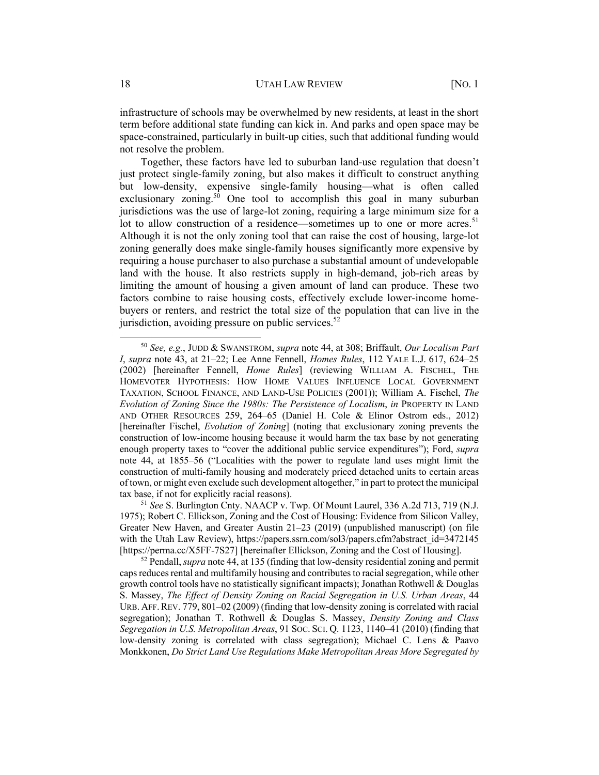infrastructure of schools may be overwhelmed by new residents, at least in the short term before additional state funding can kick in. And parks and open space may be space-constrained, particularly in built-up cities, such that additional funding would not resolve the problem.

Together, these factors have led to suburban land-use regulation that doesn't just protect single-family zoning, but also makes it difficult to construct anything but low-density, expensive single-family housing—what is often called exclusionary zoning.<sup>50</sup> One tool to accomplish this goal in many suburban jurisdictions was the use of large-lot zoning, requiring a large minimum size for a lot to allow construction of a residence—sometimes up to one or more acres.<sup>51</sup> Although it is not the only zoning tool that can raise the cost of housing, large-lot zoning generally does make single-family houses significantly more expensive by requiring a house purchaser to also purchase a substantial amount of undevelopable land with the house. It also restricts supply in high-demand, job-rich areas by limiting the amount of housing a given amount of land can produce. These two factors combine to raise housing costs, effectively exclude lower-income homebuyers or renters, and restrict the total size of the population that can live in the jurisdiction, avoiding pressure on public services.<sup>52</sup>

<sup>50</sup> *See, e.g.*, JUDD & SWANSTROM, *supra* note 44, at 308; Briffault, *Our Localism Part I*, *supra* note 43, at 21–22; Lee Anne Fennell, *Homes Rules*, 112 YALE L.J. 617, 624–25 (2002) [hereinafter Fennell, *Home Rules*] (reviewing WILLIAM A. FISCHEL, THE HOMEVOTER HYPOTHESIS: HOW HOME VALUES INFLUENCE LOCAL GOVERNMENT TAXATION, SCHOOL FINANCE, AND LAND-USE POLICIES (2001)); William A. Fischel, *The Evolution of Zoning Since the 1980s: The Persistence of Localism*, *in* PROPERTY IN LAND AND OTHER RESOURCES 259, 264–65 (Daniel H. Cole & Elinor Ostrom eds., 2012) [hereinafter Fischel, *Evolution of Zoning*] (noting that exclusionary zoning prevents the construction of low-income housing because it would harm the tax base by not generating enough property taxes to "cover the additional public service expenditures"); Ford, *supra*  note 44, at 1855–56 ("Localities with the power to regulate land uses might limit the construction of multi-family housing and moderately priced detached units to certain areas of town, or might even exclude such development altogether," in part to protect the municipal tax base, if not for explicitly racial reasons).

<sup>51</sup> *See* S. Burlington Cnty. NAACP v. Twp. Of Mount Laurel, 336 A.2d 713, 719 (N.J. 1975); Robert C. Ellickson, Zoning and the Cost of Housing: Evidence from Silicon Valley, Greater New Haven, and Greater Austin 21–23 (2019) (unpublished manuscript) (on file with the Utah Law Review), https://papers.ssrn.com/sol3/papers.cfm?abstract\_id=3472145 [https://perma.cc/X5FF-7S27] [hereinafter Ellickson, Zoning and the Cost of Housing].

<sup>52</sup> Pendall, *supra* note 44, at 135 (finding that low-density residential zoning and permit caps reduces rental and multifamily housing and contributes to racial segregation, while other growth control tools have no statistically significant impacts); Jonathan Rothwell & Douglas S. Massey, *The Effect of Density Zoning on Racial Segregation in U.S. Urban Areas*, 44 URB. AFF.REV. 779, 801–02 (2009) (finding that low-density zoning is correlated with racial segregation); Jonathan T. Rothwell & Douglas S. Massey, *Density Zoning and Class Segregation in U.S. Metropolitan Areas*, 91 SOC. SCI. Q. 1123, 1140–41 (2010) (finding that low-density zoning is correlated with class segregation); Michael C. Lens & Paavo Monkkonen, *Do Strict Land Use Regulations Make Metropolitan Areas More Segregated by*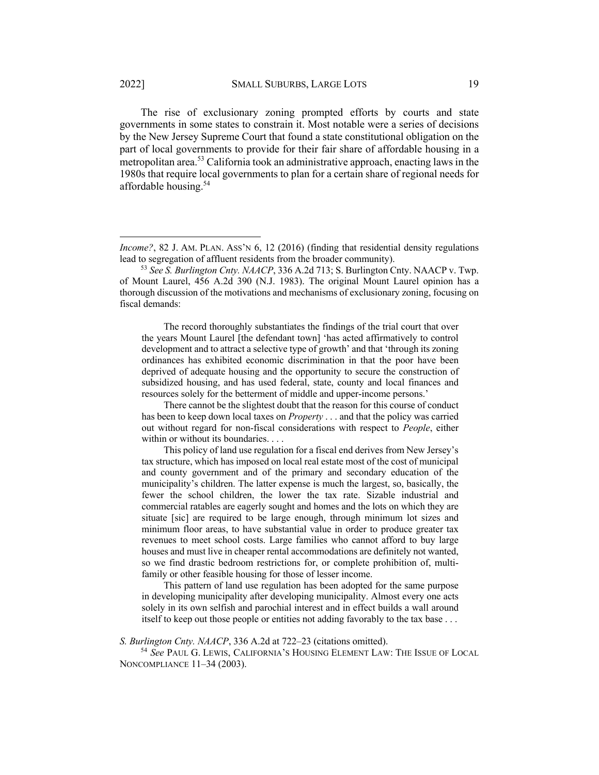The rise of exclusionary zoning prompted efforts by courts and state governments in some states to constrain it. Most notable were a series of decisions by the New Jersey Supreme Court that found a state constitutional obligation on the part of local governments to provide for their fair share of affordable housing in a metropolitan area.<sup>53</sup> California took an administrative approach, enacting laws in the 1980s that require local governments to plan for a certain share of regional needs for affordable housing. 54

The record thoroughly substantiates the findings of the trial court that over the years Mount Laurel [the defendant town] 'has acted affirmatively to control development and to attract a selective type of growth' and that 'through its zoning ordinances has exhibited economic discrimination in that the poor have been deprived of adequate housing and the opportunity to secure the construction of subsidized housing, and has used federal, state, county and local finances and resources solely for the betterment of middle and upper-income persons.'

There cannot be the slightest doubt that the reason for this course of conduct has been to keep down local taxes on *Property* . . . and that the policy was carried out without regard for non-fiscal considerations with respect to *People*, either within or without its boundaries. . . .

This policy of land use regulation for a fiscal end derives from New Jersey's tax structure, which has imposed on local real estate most of the cost of municipal and county government and of the primary and secondary education of the municipality's children. The latter expense is much the largest, so, basically, the fewer the school children, the lower the tax rate. Sizable industrial and commercial ratables are eagerly sought and homes and the lots on which they are situate [sic] are required to be large enough, through minimum lot sizes and minimum floor areas, to have substantial value in order to produce greater tax revenues to meet school costs. Large families who cannot afford to buy large houses and must live in cheaper rental accommodations are definitely not wanted, so we find drastic bedroom restrictions for, or complete prohibition of, multifamily or other feasible housing for those of lesser income.

This pattern of land use regulation has been adopted for the same purpose in developing municipality after developing municipality. Almost every one acts solely in its own selfish and parochial interest and in effect builds a wall around itself to keep out those people or entities not adding favorably to the tax base . . .

*S. Burlington Cnty. NAACP*, 336 A.2d at 722–23 (citations omitted).

<sup>54</sup> *See* PAUL G. LEWIS, CALIFORNIA'S HOUSING ELEMENT LAW: THE ISSUE OF LOCAL NONCOMPLIANCE 11–34 (2003).

*Income?*, 82 J. AM. PLAN. ASS'N 6, 12 (2016) (finding that residential density regulations lead to segregation of affluent residents from the broader community). 53 *See S. Burlington Cnty. NAACP*, 336 A.2d 713; S. Burlington Cnty. NAACP v. Twp.

of Mount Laurel, 456 A.2d 390 (N.J. 1983). The original Mount Laurel opinion has a thorough discussion of the motivations and mechanisms of exclusionary zoning, focusing on fiscal demands: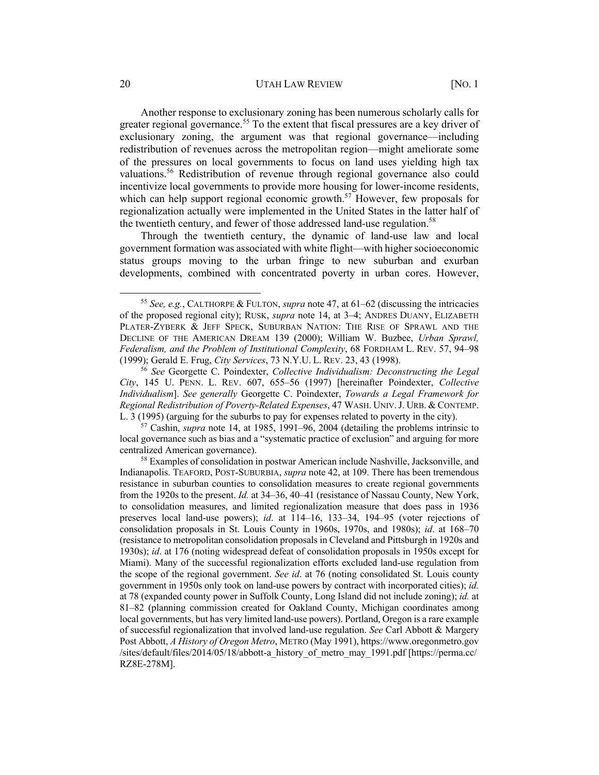#### 20 **UTAH LAW REVIEW [NO. 1**

Another response to exclusionary zoning has been numerous scholarly calls for greater regional governance.<sup>55</sup> To the extent that fiscal pressures are a key driver of exclusionary zoning, the argument was that regional governance—including redistribution of revenues across the metropolitan region—might ameliorate some of the pressures on local governments to focus on land uses yielding high tax valuations. <sup>56</sup> Redistribution of revenue through regional governance also could incentivize local governments to provide more housing for lower-income residents, which can help support regional economic growth.<sup>57</sup> However, few proposals for regionalization actually were implemented in the United States in the latter half of the twentieth century, and fewer of those addressed land-use regulation.<sup>58</sup>

Through the twentieth century, the dynamic of land-use law and local government formation was associated with white flight—with higher socioeconomic status groups moving to the urban fringe to new suburban and exurban developments, combined with concentrated poverty in urban cores. However,

<sup>55</sup> *See, e.g.*, CALTHORPE & FULTON, *supra* note 47, at 61–62 (discussing the intricacies of the proposed regional city); RUSK, *supra* note 14, at 3–4; ANDRES DUANY, ELIZABETH PLATER-ZYBERK & JEFF SPECK, SUBURBAN NATION: THE RISE OF SPRAWL AND THE DECLINE OF THE AMERICAN DREAM 139 (2000); William W. Buzbee, *Urban Sprawl, Federalism, and the Problem of Institutional Complexity*, 68 FORDHAM L. REV. 57, 94–98 (1999); Gerald E. Frug, *City Services*, 73 N.Y.U. L. REV. 23, 43 (1998). 56 *See* Georgette C. Poindexter, *Collective Individualism: Deconstructing the Legal* 

*City*, 145 U. PENN. L. REV. 607, 655–56 (1997) [hereinafter Poindexter, *Collective Individualism*]. *See generally* Georgette C. Poindexter, *Towards a Legal Framework for Regional Redistribution of Poverty-Related Expenses*, 47 WASH. UNIV. J. URB. & CONTEMP.<br>L. 3 (1995) (arguing for the suburbs to pay for expenses related to poverty in the city).

 $57$  Cashin, *supra* note 14, at 1985, 1991–96, 2004 (detailing the problems intrinsic to local governance such as bias and a "systematic practice of exclusion" and arguing for more

centralized American governance). 58 Examples of consolidation in postwar American include Nashville, Jacksonville, and Indianapolis. TEAFORD, POST-SUBURBIA, *supra* note 42, at 109. There has been tremendous resistance in suburban counties to consolidation measures to create regional governments from the 1920s to the present. *Id.* at 34–36, 40–41 (resistance of Nassau County, New York, to consolidation measures, and limited regionalization measure that does pass in 1936 preserves local land-use powers); *id*. at 114–16, 133–34, 194–95 (voter rejections of consolidation proposals in St. Louis County in 1960s, 1970s, and 1980s); *id*. at 168–70 (resistance to metropolitan consolidation proposals in Cleveland and Pittsburgh in 1920s and 1930s); *id*. at 176 (noting widespread defeat of consolidation proposals in 1950s except for Miami). Many of the successful regionalization efforts excluded land-use regulation from the scope of the regional government. *See id*. at 76 (noting consolidated St. Louis county government in 1950s only took on land-use powers by contract with incorporated cities); *id.*  at 78 (expanded county power in Suffolk County, Long Island did not include zoning); *id.* at 81–82 (planning commission created for Oakland County, Michigan coordinates among local governments, but has very limited land-use powers). Portland, Oregon is a rare example of successful regionalization that involved land-use regulation. *See* Carl Abbott & Margery Post Abbott, *A History of Oregon Metro*, METRO (May 1991), https://www.oregonmetro.gov /sites/default/files/2014/05/18/abbott-a\_history\_of\_metro\_may\_1991.pdf [https://perma.cc/ RZ8E-278M].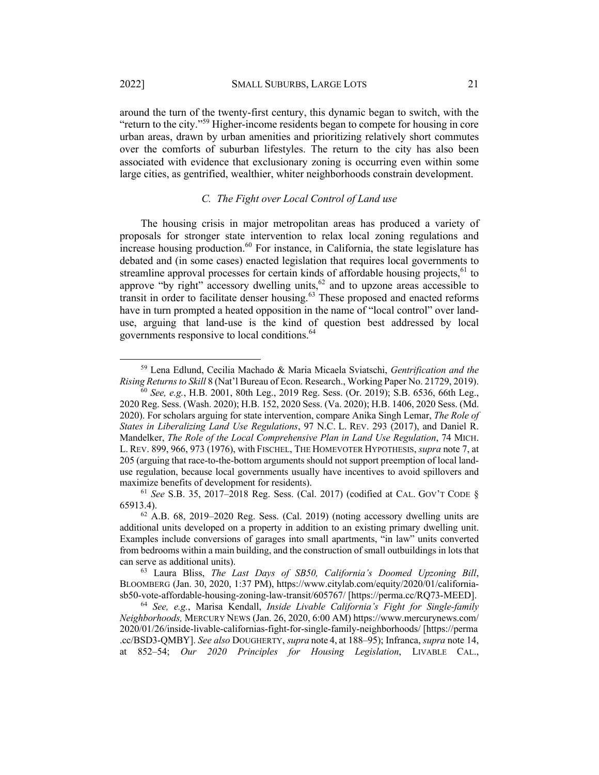around the turn of the twenty-first century, this dynamic began to switch, with the "return to the city."59 Higher-income residents began to compete for housing in core urban areas, drawn by urban amenities and prioritizing relatively short commutes over the comforts of suburban lifestyles. The return to the city has also been associated with evidence that exclusionary zoning is occurring even within some large cities, as gentrified, wealthier, whiter neighborhoods constrain development.

# *C. The Fight over Local Control of Land use*

The housing crisis in major metropolitan areas has produced a variety of proposals for stronger state intervention to relax local zoning regulations and  $\frac{1}{2}$  increase housing production.<sup>60</sup> For instance, in California, the state legislature has debated and (in some cases) enacted legislation that requires local governments to streamline approval processes for certain kinds of affordable housing projects, $^{61}$  to approve "by right" accessory dwelling units,  $62$  and to upzone areas accessible to transit in order to facilitate denser housing.<sup>63</sup> These proposed and enacted reforms have in turn prompted a heated opposition in the name of "local control" over landuse, arguing that land-use is the kind of question best addressed by local governments responsive to local conditions.64

<sup>59</sup> Lena Edlund, Cecilia Machado & Maria Micaela Sviatschi, *Gentrification and the Rising Returns to Skill* 8 (Nat'l Bureau of Econ. Research., Working Paper No. 21729, 2019).

<sup>60</sup> *See, e.g.*, H.B. 2001, 80th Leg., 2019 Reg. Sess. (Or. 2019); S.B. 6536, 66th Leg., 2020 Reg. Sess. (Wash. 2020); H.B. 152, 2020 Sess. (Va. 2020); H.B. 1406, 2020 Sess. (Md. 2020). For scholars arguing for state intervention, compare Anika Singh Lemar, *The Role of States in Liberalizing Land Use Regulations*, 97 N.C. L. REV. 293 (2017), and Daniel R. Mandelker, *The Role of the Local Comprehensive Plan in Land Use Regulation*, 74 MICH. L. REV. 899, 966, 973 (1976), with FISCHEL, THE HOMEVOTER HYPOTHESIS, *supra* note 7, at 205 (arguing that race-to-the-bottom arguments should not support preemption of local landuse regulation, because local governments usually have incentives to avoid spillovers and maximize benefits of development for residents).

<sup>61</sup> *See* S.B. 35, 2017–2018 Reg. Sess. (Cal. 2017) (codified at CAL. GOV'T CODE § 65913.4).

 $62$  A.B. 68, 2019–2020 Reg. Sess. (Cal. 2019) (noting accessory dwelling units are additional units developed on a property in addition to an existing primary dwelling unit. Examples include conversions of garages into small apartments, "in law" units converted from bedrooms within a main building, and the construction of small outbuildings in lots that can serve as additional units).

<sup>63</sup> Laura Bliss, *The Last Days of SB50, California's Doomed Upzoning Bill*, BLOOMBERG (Jan. 30, 2020, 1:37 PM), https://www.citylab.com/equity/2020/01/californiasb50-vote-affordable-housing-zoning-law-transit/605767/ [https://perma.cc/RQ73-MEED].

<sup>64</sup> *See, e.g.*, Marisa Kendall, *Inside Livable California's Fight for Single-family Neighborhoods,* MERCURY NEWS (Jan. 26, 2020, 6:00 AM) https://www.mercurynews.com/ 2020/01/26/inside-livable-californias-fight-for-single-family-neighborhoods/ [https://perma .cc/BSD3-QMBY]. *See also* DOUGHERTY, *supra* note 4, at 188–95); Infranca, *supra* note 14, at 852–54; *Our 2020 Principles for Housing Legislation*, LIVABLE CAL.,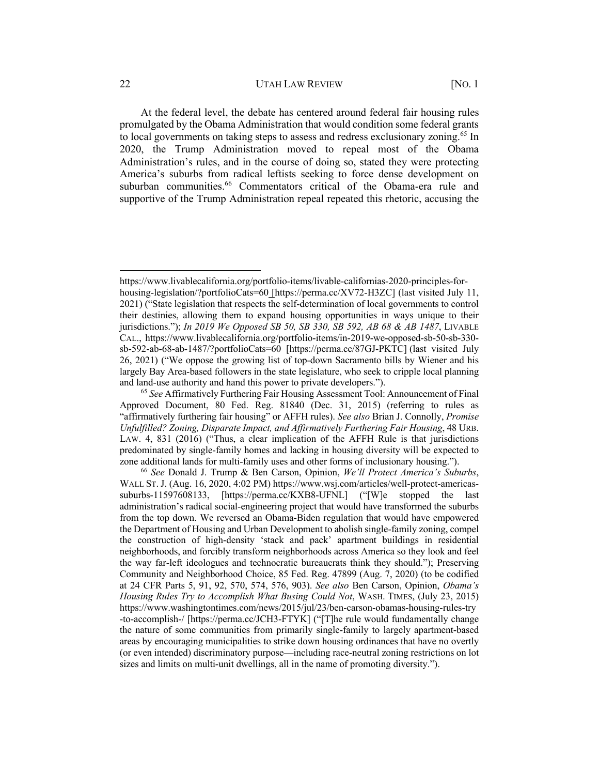#### 22 UTAH LAW REVIEW [NO. 1]

At the federal level, the debate has centered around federal fair housing rules promulgated by the Obama Administration that would condition some federal grants to local governments on taking steps to assess and redress exclusionary zoning.<sup>65</sup> In 2020, the Trump Administration moved to repeal most of the Obama Administration's rules, and in the course of doing so, stated they were protecting America's suburbs from radical leftists seeking to force dense development on suburban communities. <sup>66</sup> Commentators critical of the Obama-era rule and supportive of the Trump Administration repeal repeated this rhetoric, accusing the

https://www.livablecalifornia.org/portfolio-items/livable-californias-2020-principles-forhousing-legislation/?portfolioCats=60 [https://perma.cc/XV72-H3ZC] (last visited July 11, 2021) ("State legislation that respects the self-determination of local governments to control their destinies, allowing them to expand housing opportunities in ways unique to their jurisdictions."); *In 2019 We Opposed SB 50, SB 330, SB 592, AB 68 & AB 1487*, LIVABLE CAL., https://www.livablecalifornia.org/portfolio-items/in-2019-we-opposed-sb-50-sb-330 sb-592-ab-68-ab-1487/?portfolioCats=60 [https://perma.cc/87GJ-PKTC] (last visited July 26, 2021) ("We oppose the growing list of top-down Sacramento bills by Wiener and his largely Bay Area-based followers in the state legislature, who seek to cripple local planning and land-use authority and hand this power to private developers.").

<sup>65</sup> *See* Affirmatively Furthering Fair Housing Assessment Tool: Announcement of Final Approved Document, 80 Fed. Reg. 81840 (Dec. 31, 2015) (referring to rules as "affirmatively furthering fair housing" or AFFH rules). *See also* Brian J. Connolly, *Promise Unfulfilled? Zoning, Disparate Impact, and Affirmatively Furthering Fair Housing*, 48 URB. LAW. 4, 831 (2016) ("Thus, a clear implication of the AFFH Rule is that jurisdictions predominated by single-family homes and lacking in housing diversity will be expected to zone additional lands for multi-family uses and other forms of inclusionary housing.").

<sup>66</sup> *See* Donald J. Trump & Ben Carson, Opinion, *We'll Protect America's Suburbs*, WALL ST.J. (Aug. 16, 2020, 4:02 PM) https://www.wsj.com/articles/well-protect-americassuburbs-11597608133, [https://perma.cc/KXB8-UFNL] ("[W]e stopped the last administration's radical social-engineering project that would have transformed the suburbs from the top down. We reversed an Obama-Biden regulation that would have empowered the Department of Housing and Urban Development to abolish single-family zoning, compel the construction of high-density 'stack and pack' apartment buildings in residential neighborhoods, and forcibly transform neighborhoods across America so they look and feel the way far-left ideologues and technocratic bureaucrats think they should."); Preserving Community and Neighborhood Choice, 85 Fed. Reg. 47899 (Aug. 7, 2020) (to be codified at 24 CFR Parts 5, 91, 92, 570, 574, 576, 903). *See also* Ben Carson, Opinion, *Obama's Housing Rules Try to Accomplish What Busing Could Not*, WASH. TIMES, (July 23, 2015) https://www.washingtontimes.com/news/2015/jul/23/ben-carson-obamas-housing-rules-try -to-accomplish-/ [https://perma.cc/JCH3-FTYK] ("[T]he rule would fundamentally change the nature of some communities from primarily single-family to largely apartment-based areas by encouraging municipalities to strike down housing ordinances that have no overtly (or even intended) discriminatory purpose—including race-neutral zoning restrictions on lot sizes and limits on multi-unit dwellings, all in the name of promoting diversity.").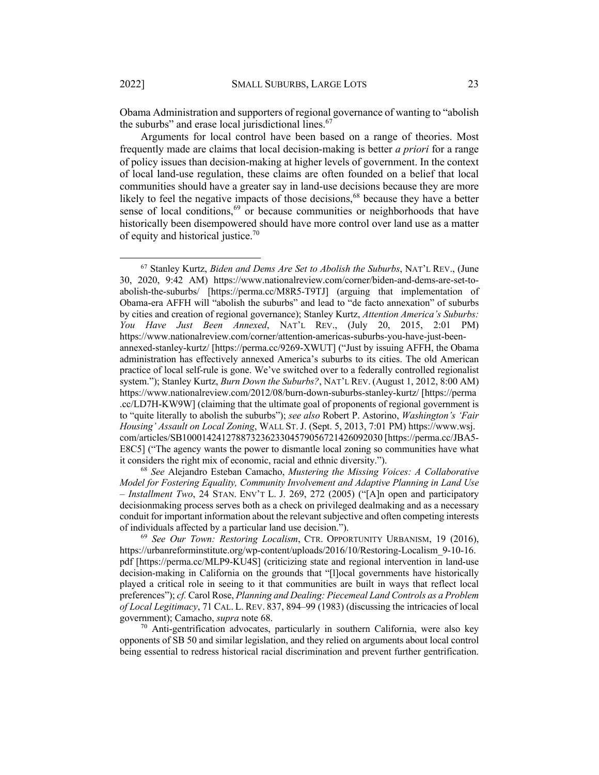Obama Administration and supporters of regional governance of wanting to "abolish the suburbs" and erase local jurisdictional lines. $67$ 

Arguments for local control have been based on a range of theories. Most frequently made are claims that local decision-making is better *a priori* for a range of policy issues than decision-making at higher levels of government. In the context of local land-use regulation, these claims are often founded on a belief that local communities should have a greater say in land-use decisions because they are more likely to feel the negative impacts of those decisions,<sup>68</sup> because they have a better sense of local conditions,<sup>69</sup> or because communities or neighborhoods that have historically been disempowered should have more control over land use as a matter of equity and historical justice.<sup>70</sup>

<sup>68</sup> *See* Alejandro Esteban Camacho, *Mustering the Missing Voices: A Collaborative Model for Fostering Equality, Community Involvement and Adaptive Planning in Land Use – Installment Two*, 24 STAN. ENV'T L. J. 269, 272 (2005) ("[A]n open and participatory decisionmaking process serves both as a check on privileged dealmaking and as a necessary conduit for important information about the relevant subjective and often competing interests of individuals affected by a particular land use decision.").

<sup>69</sup> *See Our Town: Restoring Localism*, CTR. OPPORTUNITY URBANISM, 19 (2016), https://urbanreforminstitute.org/wp-content/uploads/2016/10/Restoring-Localism 9-10-16. pdf [https://perma.cc/MLP9-KU4S] (criticizing state and regional intervention in land-use decision-making in California on the grounds that "[l]ocal governments have historically played a critical role in seeing to it that communities are built in ways that reflect local preferences"); *cf.* Carol Rose, *Planning and Dealing: Piecemeal Land Controls as a Problem of Local Legitimacy*, 71 CAL. L. REV. 837, 894–99 (1983) (discussing the intricacies of local government); Camacho, *supra* note 68.

 $70$  Anti-gentrification advocates, particularly in southern California, were also key opponents of SB 50 and similar legislation, and they relied on arguments about local control being essential to redress historical racial discrimination and prevent further gentrification.

<sup>67</sup> Stanley Kurtz, *Biden and Dems Are Set to Abolish the Suburbs*, NAT'L REV., (June 30, 2020, 9:42 AM) https://www.nationalreview.com/corner/biden-and-dems-are-set-toabolish-the-suburbs/ [https://perma.cc/M8R5-T9TJ] (arguing that implementation of Obama-era AFFH will "abolish the suburbs" and lead to "de facto annexation" of suburbs by cities and creation of regional governance); Stanley Kurtz, *Attention America's Suburbs: You Have Just Been Annexed*, NAT'L REV., (July 20, 2015, 2:01 PM) https://www.nationalreview.com/corner/attention-americas-suburbs-you-have-just-beenannexed-stanley-kurtz/ [https://perma.cc/9269-XWUT] ("Just by issuing AFFH, the Obama administration has effectively annexed America's suburbs to its cities. The old American practice of local self-rule is gone. We've switched over to a federally controlled regionalist system."); Stanley Kurtz, *Burn Down the Suburbs?*, NAT'L REV. (August 1, 2012, 8:00 AM) https://www.nationalreview.com/2012/08/burn-down-suburbs-stanley-kurtz/ [https://perma .cc/LD7H-KW9W] (claiming that the ultimate goal of proponents of regional government is to "quite literally to abolish the suburbs"); *see also* Robert P. Astorino, *Washington's 'Fair Housing' Assault on Local Zoning*, WALL ST. J. (Sept. 5, 2013, 7:01 PM) https://www.wsj. com/articles/SB10001424127887323623304579056721426092030 [https://perma.cc/JBA5- E8C5] ("The agency wants the power to dismantle local zoning so communities have what it considers the right mix of economic, racial and ethnic diversity.").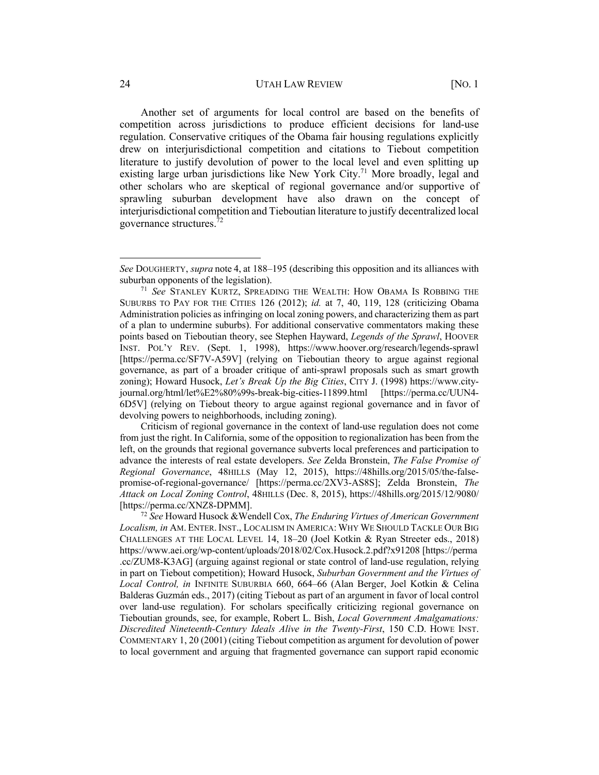#### 24 **UTAH LAW REVIEW [NO. 1**

Another set of arguments for local control are based on the benefits of competition across jurisdictions to produce efficient decisions for land-use regulation. Conservative critiques of the Obama fair housing regulations explicitly drew on interjurisdictional competition and citations to Tiebout competition literature to justify devolution of power to the local level and even splitting up existing large urban jurisdictions like New York City.<sup>71</sup> More broadly, legal and other scholars who are skeptical of regional governance and/or supportive of sprawling suburban development have also drawn on the concept of interjurisdictional competition and Tieboutian literature to justify decentralized local governance structures.72

Criticism of regional governance in the context of land-use regulation does not come from just the right. In California, some of the opposition to regionalization has been from the left, on the grounds that regional governance subverts local preferences and participation to advance the interests of real estate developers. *See* Zelda Bronstein, *The False Promise of Regional Governance*, 48HILLS (May 12, 2015), https://48hills.org/2015/05/the-falsepromise-of-regional-governance/ [https://perma.cc/2XV3-AS8S]; Zelda Bronstein, *The Attack on Local Zoning Control*, 48HILLS (Dec. 8, 2015), https://48hills.org/2015/12/9080/ [https://perma.cc/XNZ8-DPMM].

<sup>72</sup> *See* Howard Husock &Wendell Cox, *The Enduring Virtues of American Government Localism, in* AM. ENTER. INST., LOCALISM IN AMERICA: WHY WE SHOULD TACKLE OUR BIG CHALLENGES AT THE LOCAL LEVEL 14, 18–20 (Joel Kotkin & Ryan Streeter eds., 2018) https://www.aei.org/wp-content/uploads/2018/02/Cox.Husock.2.pdf?x91208 [https://perma .cc/ZUM8-K3AG] (arguing against regional or state control of land-use regulation, relying in part on Tiebout competition); Howard Husock, *Suburban Government and the Virtues of Local Control, in* INFINITE SUBURBIA 660, 664–66 (Alan Berger, Joel Kotkin & Celina Balderas Guzmán eds., 2017) (citing Tiebout as part of an argument in favor of local control over land-use regulation). For scholars specifically criticizing regional governance on Tieboutian grounds, see, for example, Robert L. Bish, *Local Government Amalgamations: Discredited Nineteenth-Century Ideals Alive in the Twenty-First*, 150 C.D. HOWE INST. COMMENTARY 1, 20 (2001) (citing Tiebout competition as argument for devolution of power to local government and arguing that fragmented governance can support rapid economic

*See* DOUGHERTY, *supra* note 4, at 188–195 (describing this opposition and its alliances with suburban opponents of the legislation).

<sup>71</sup> *See* STANLEY KURTZ, SPREADING THE WEALTH: HOW OBAMA IS ROBBING THE SUBURBS TO PAY FOR THE CITIES 126 (2012); *id.* at 7, 40, 119, 128 (criticizing Obama Administration policies as infringing on local zoning powers, and characterizing them as part of a plan to undermine suburbs). For additional conservative commentators making these points based on Tieboutian theory, see Stephen Hayward, *Legends of the Sprawl*, HOOVER INST. POL'Y REV. (Sept. 1, 1998), https://www.hoover.org/research/legends-sprawl [https://perma.cc/SF7V-A59V] (relying on Tieboutian theory to argue against regional governance, as part of a broader critique of anti-sprawl proposals such as smart growth zoning); Howard Husock, *Let's Break Up the Big Cities*, CITY J. (1998) https://www.cityjournal.org/html/let%E2%80%99s-break-big-cities-11899.html [https://perma.cc/UUN4- 6D5V] (relying on Tiebout theory to argue against regional governance and in favor of devolving powers to neighborhoods, including zoning).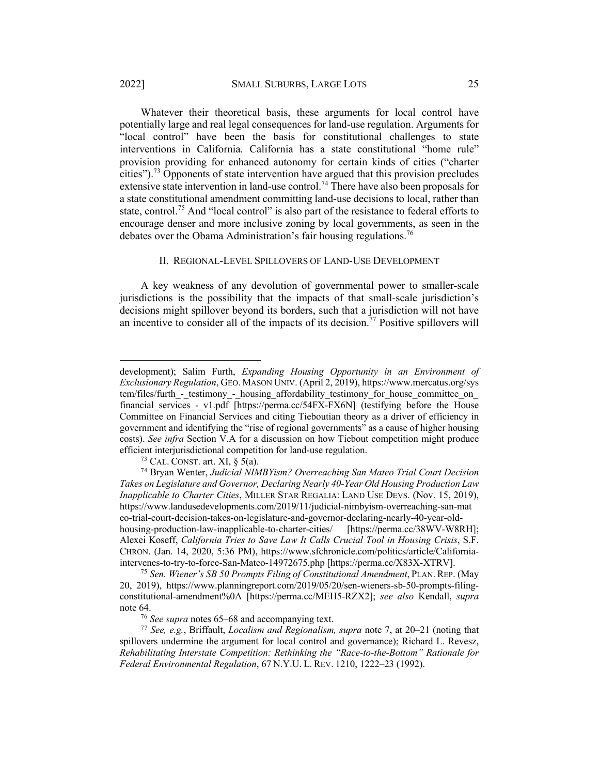Whatever their theoretical basis, these arguments for local control have potentially large and real legal consequences for land-use regulation. Arguments for "local control" have been the basis for constitutional challenges to state interventions in California. California has a state constitutional "home rule" provision providing for enhanced autonomy for certain kinds of cities ("charter cities").<sup>73</sup> Opponents of state intervention have argued that this provision precludes extensive state intervention in land-use control.<sup>74</sup> There have also been proposals for a state constitutional amendment committing land-use decisions to local, rather than state, control.<sup>75</sup> And "local control" is also part of the resistance to federal efforts to encourage denser and more inclusive zoning by local governments, as seen in the debates over the Obama Administration's fair housing regulations.<sup>76</sup>

#### II. REGIONAL-LEVEL SPILLOVERS OF LAND-USE DEVELOPMENT

A key weakness of any devolution of governmental power to smaller-scale jurisdictions is the possibility that the impacts of that small-scale jurisdiction's decisions might spillover beyond its borders, such that a jurisdiction will not have an incentive to consider all of the impacts of its decision.<sup>77</sup> Positive spillovers will

development); Salim Furth, *Expanding Housing Opportunity in an Environment of Exclusionary Regulation*, GEO. MASON UNIV. (April 2, 2019), https://www.mercatus.org/sys tem/files/furth - testimony - housing affordability testimony for house committee on financial services - v1.pdf [https://perma.cc/54FX-FX6N] (testifying before the House Committee on Financial Services and citing Tieboutian theory as a driver of efficiency in government and identifying the "rise of regional governments" as a cause of higher housing costs). *See infra* Section V.A for a discussion on how Tiebout competition might produce efficient interjurisdictional competition for land-use regulation.

<sup>&</sup>lt;sup>73</sup> CAL. CONST. art. XI, § 5(a).<br><sup>74</sup> Bryan Wenter, *Judicial NIMBYism? Overreaching San Mateo Trial Court Decision Takes on Legislature and Governor, Declaring Nearly 40-Year Old Housing Production Law Inapplicable to Charter Cities*, MILLER STAR REGALIA: LAND USE DEVS. (Nov. 15, 2019), https://www.landusedevelopments.com/2019/11/judicial-nimbyism-overreaching-san-mat eo-trial-court-decision-takes-on-legislature-and-governor-declaring-nearly-40-year-oldhousing-production-law-inapplicable-to-charter-cities/ [https://perma.cc/38WV-W8RH]; Alexei Koseff, *California Tries to Save Law It Calls Crucial Tool in Housing Crisis*, S.F. CHRON. (Jan. 14, 2020, 5:36 PM), https://www.sfchronicle.com/politics/article/Californiaintervenes-to-try-to-force-San-Mateo-14972675.php [https://perma.cc/X83X-XTRV].

<sup>75</sup> *Sen. Wiener's SB 50 Prompts Filing of Constitutional Amendment*, PLAN. REP. (May 20, 2019), https://www.planningreport.com/2019/05/20/sen-wieners-sb-50-prompts-filingconstitutional-amendment%0A [https://perma.cc/MEH5-RZX2]; *see also* Kendall, *supra* note 64.

<sup>76</sup> *See supra* notes 65–68 and accompanying text.

<sup>77</sup> *See, e.g.*, Briffault, *Localism and Regionalism, supra* note 7, at 20–21 (noting that spillovers undermine the argument for local control and governance); Richard L. Revesz, *Rehabilitating Interstate Competition: Rethinking the "Race-to-the-Bottom" Rationale for Federal Environmental Regulation*, 67 N.Y.U. L. REV. 1210, 1222–23 (1992).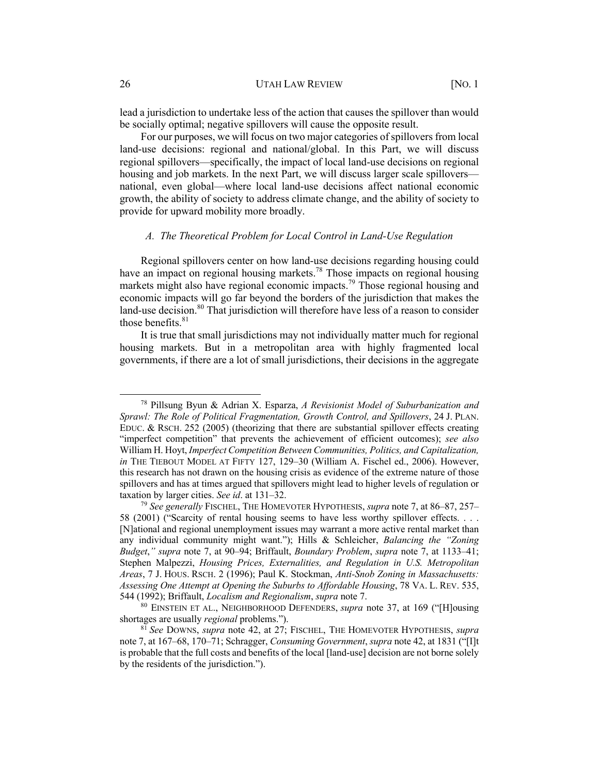lead a jurisdiction to undertake less of the action that causes the spillover than would be socially optimal; negative spillovers will cause the opposite result.

For our purposes, we will focus on two major categories of spillovers from local land-use decisions: regional and national/global. In this Part, we will discuss regional spillovers—specifically, the impact of local land-use decisions on regional housing and job markets. In the next Part, we will discuss larger scale spillovers national, even global—where local land-use decisions affect national economic growth, the ability of society to address climate change, and the ability of society to provide for upward mobility more broadly.

#### *A. The Theoretical Problem for Local Control in Land-Use Regulation*

Regional spillovers center on how land-use decisions regarding housing could have an impact on regional housing markets.78 Those impacts on regional housing markets might also have regional economic impacts.<sup>79</sup> Those regional housing and economic impacts will go far beyond the borders of the jurisdiction that makes the land-use decision.<sup>80</sup> That jurisdiction will therefore have less of a reason to consider those benefits. $81$ 

It is true that small jurisdictions may not individually matter much for regional housing markets. But in a metropolitan area with highly fragmented local governments, if there are a lot of small jurisdictions, their decisions in the aggregate

<sup>78</sup> Pillsung Byun & Adrian X. Esparza, *A Revisionist Model of Suburbanization and Sprawl: The Role of Political Fragmentation, Growth Control, and Spillovers*, 24 J. PLAN. EDUC. & RSCH. 252 (2005) (theorizing that there are substantial spillover effects creating "imperfect competition" that prevents the achievement of efficient outcomes); *see also*  William H. Hoyt, *Imperfect Competition Between Communities, Politics, and Capitalization, in* THE TIEBOUT MODEL AT FIFTY 127, 129–30 (William A. Fischel ed., 2006). However, this research has not drawn on the housing crisis as evidence of the extreme nature of those spillovers and has at times argued that spillovers might lead to higher levels of regulation or taxation by larger cities. *See id*. at 131–32.

<sup>79</sup> *See generally* FISCHEL, THE HOMEVOTER HYPOTHESIS, *supra* note 7, at 86–87, 257– 58 (2001) ("Scarcity of rental housing seems to have less worthy spillover effects. . . . [N]ational and regional unemployment issues may warrant a more active rental market than any individual community might want."); Hills & Schleicher, *Balancing the "Zoning Budget*,*" supra* note 7, at 90–94; Briffault, *Boundary Problem*, *supra* note 7, at 1133–41; Stephen Malpezzi, *Housing Prices, Externalities, and Regulation in U.S. Metropolitan Areas*, 7 J. HOUS. RSCH. 2 (1996); Paul K. Stockman, *Anti-Snob Zoning in Massachusetts: Assessing One Attempt at Opening the Suburbs to Affordable Housing*, 78 VA. L. REV. 535, 544 (1992); Briffault, *Localism and Regionalism*, *supra* note 7.

<sup>80</sup> EINSTEIN ET AL., NEIGHBORHOOD DEFENDERS, *supra* note 37, at 169 ("[H]ousing shortages are usually *regional* problems.").

<sup>81</sup> *See* DOWNS, *supra* note 42, at 27; FISCHEL, THE HOMEVOTER HYPOTHESIS, *supra* note 7, at 167–68, 170–71; Schragger, *Consuming Government*, *supra* note 42, at 1831 ("[I]t is probable that the full costs and benefits of the local [land-use] decision are not borne solely by the residents of the jurisdiction.").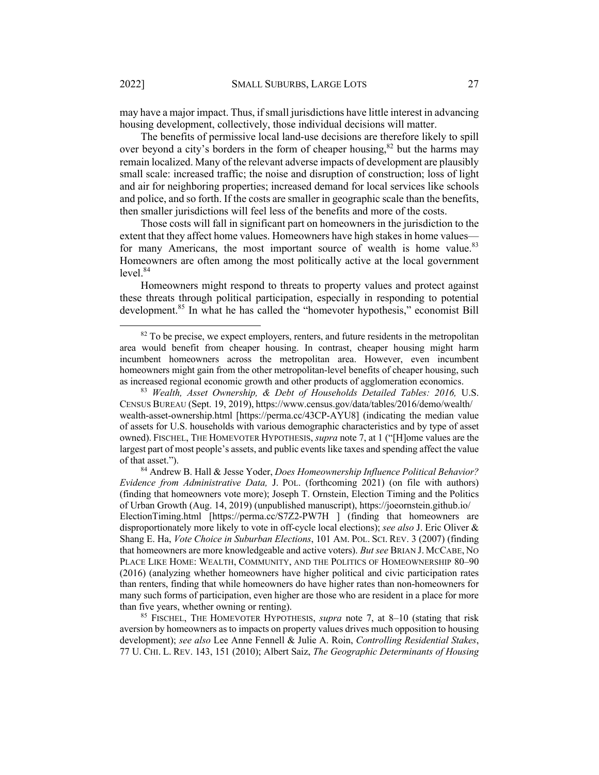may have a major impact. Thus, if small jurisdictions have little interest in advancing housing development, collectively, those individual decisions will matter.

The benefits of permissive local land-use decisions are therefore likely to spill over beyond a city's borders in the form of cheaper housing,  $82$  but the harms may remain localized. Many of the relevant adverse impacts of development are plausibly small scale: increased traffic; the noise and disruption of construction; loss of light and air for neighboring properties; increased demand for local services like schools and police, and so forth. If the costs are smaller in geographic scale than the benefits, then smaller jurisdictions will feel less of the benefits and more of the costs.

Those costs will fall in significant part on homeowners in the jurisdiction to the extent that they affect home values. Homeowners have high stakes in home values for many Americans, the most important source of wealth is home value.<sup>83</sup> Homeowners are often among the most politically active at the local government  $level.<sup>84</sup>$ 

Homeowners might respond to threats to property values and protect against these threats through political participation, especially in responding to potential development.<sup>85</sup> In what he has called the "homevoter hypothesis," economist Bill

 $82$  To be precise, we expect employers, renters, and future residents in the metropolitan area would benefit from cheaper housing. In contrast, cheaper housing might harm incumbent homeowners across the metropolitan area. However, even incumbent homeowners might gain from the other metropolitan-level benefits of cheaper housing, such as increased regional economic growth and other products of agglomeration economics.

<sup>83</sup> *Wealth, Asset Ownership, & Debt of Households Detailed Tables: 2016,* U.S. CENSUS BUREAU (Sept. 19, 2019), https://www.census.gov/data/tables/2016/demo/wealth/ wealth-asset-ownership.html [https://perma.cc/43CP-AYU8] (indicating the median value of assets for U.S. households with various demographic characteristics and by type of asset owned). FISCHEL, THE HOMEVOTER HYPOTHESIS, *supra* note 7, at 1 ("[H]ome values are the largest part of most people's assets, and public events like taxes and spending affect the value of that asset.").

<sup>84</sup> Andrew B. Hall & Jesse Yoder, *Does Homeownership Influence Political Behavior? Evidence from Administrative Data,* J. POL. (forthcoming 2021) (on file with authors) (finding that homeowners vote more); Joseph T. Ornstein, Election Timing and the Politics of Urban Growth (Aug. 14, 2019) (unpublished manuscript), https://joeornstein.github.io/ ElectionTiming.html [https://perma.cc/S7Z2-PW7H ] (finding that homeowners are disproportionately more likely to vote in off-cycle local elections); *see also* J. Eric Oliver & Shang E. Ha, *Vote Choice in Suburban Elections*, 101 AM. POL. SCI. REV. 3 (2007) (finding that homeowners are more knowledgeable and active voters). *But see* BRIAN J. MCCABE, NO PLACE LIKE HOME: WEALTH, COMMUNITY, AND THE POLITICS OF HOMEOWNERSHIP 80–90 (2016) (analyzing whether homeowners have higher political and civic participation rates than renters, finding that while homeowners do have higher rates than non-homeowners for many such forms of participation, even higher are those who are resident in a place for more than five years, whether owning or renting).

<sup>85</sup> FISCHEL, THE HOMEVOTER HYPOTHESIS, *supra* note 7, at 8–10 (stating that risk aversion by homeowners as to impacts on property values drives much opposition to housing development); *see also* Lee Anne Fennell & Julie A. Roin, *Controlling Residential Stakes*, 77 U. CHI. L. REV. 143, 151 (2010); Albert Saiz, *The Geographic Determinants of Housing*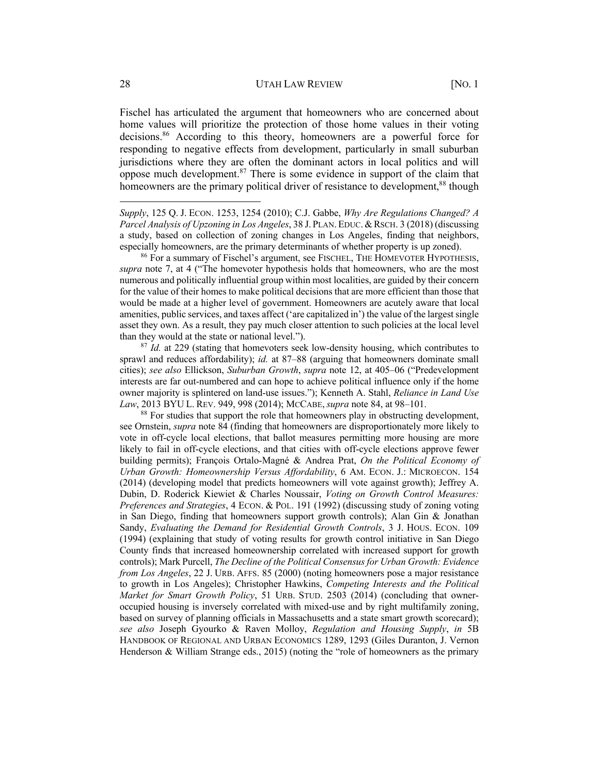Fischel has articulated the argument that homeowners who are concerned about home values will prioritize the protection of those home values in their voting decisions.<sup>86</sup> According to this theory, homeowners are a powerful force for responding to negative effects from development, particularly in small suburban jurisdictions where they are often the dominant actors in local politics and will oppose much development. $87$  There is some evidence in support of the claim that homeowners are the primary political driver of resistance to development,<sup>88</sup> though

*Supply*, 125 Q. J. ECON. 1253, 1254 (2010); C.J. Gabbe, *Why Are Regulations Changed? A Parcel Analysis of Upzoning in Los Angeles*, 38 J. PLAN. EDUC.&RSCH. 3 (2018) (discussing a study, based on collection of zoning changes in Los Angeles, finding that neighbors, especially homeowners, are the primary determinants of whether property is up zoned).<br><sup>86</sup> For a summary of Fischel's argument, see FISCHEL, THE HOMEVOTER HYPOTHESIS,

*supra* note 7, at 4 ("The homevoter hypothesis holds that homeowners, who are the most numerous and politically influential group within most localities, are guided by their concern for the value of their homes to make political decisions that are more efficient than those that would be made at a higher level of government. Homeowners are acutely aware that local amenities, public services, and taxes affect ('are capitalized in') the value of the largest single asset they own. As a result, they pay much closer attention to such policies at the local level than they would at the state or national level.").

<sup>87</sup> *Id.* at 229 (stating that homevoters seek low-density housing, which contributes to sprawl and reduces affordability); *id.* at 87–88 (arguing that homeowners dominate small cities); *see also* Ellickson, *Suburban Growth*, *supra* note 12, at 405–06 ("Predevelopment interests are far out-numbered and can hope to achieve political influence only if the home owner majority is splintered on land-use issues."); Kenneth A. Stahl, *Reliance in Land Use Law*, 2013 BYU L. REV. 949, 998 (2014); McCABE, *supra* note 84, at 98–101.<br><sup>88</sup> For studies that support the role that homeowners play in obstructing development,

see Ornstein, *supra* note 84 (finding that homeowners are disproportionately more likely to vote in off-cycle local elections, that ballot measures permitting more housing are more likely to fail in off-cycle elections, and that cities with off-cycle elections approve fewer building permits); François Ortalo-Magné & Andrea Prat, *On the Political Economy of Urban Growth: Homeownership Versus Affordability*, 6 AM. ECON. J.: MICROECON. 154 (2014) (developing model that predicts homeowners will vote against growth); Jeffrey A. Dubin, D. Roderick Kiewiet & Charles Noussair, *Voting on Growth Control Measures: Preferences and Strategies*, 4 ECON. & POL. 191 (1992) (discussing study of zoning voting in San Diego, finding that homeowners support growth controls); Alan Gin & Jonathan Sandy, *Evaluating the Demand for Residential Growth Controls*, 3 J. HOUS. ECON. 109 (1994) (explaining that study of voting results for growth control initiative in San Diego County finds that increased homeownership correlated with increased support for growth controls); Mark Purcell, *The Decline of the Political Consensus for Urban Growth: Evidence from Los Angeles*, 22 J. URB. AFFS. 85 (2000) (noting homeowners pose a major resistance to growth in Los Angeles); Christopher Hawkins, *Competing Interests and the Political Market for Smart Growth Policy*, 51 URB. STUD. 2503 (2014) (concluding that owneroccupied housing is inversely correlated with mixed-use and by right multifamily zoning, based on survey of planning officials in Massachusetts and a state smart growth scorecard); *see also* Joseph Gyourko & Raven Molloy, *Regulation and Housing Supply*, *in* 5B HANDBOOK OF REGIONAL AND URBAN ECONOMICS 1289, 1293 (Giles Duranton, J. Vernon Henderson & William Strange eds., 2015) (noting the "role of homeowners as the primary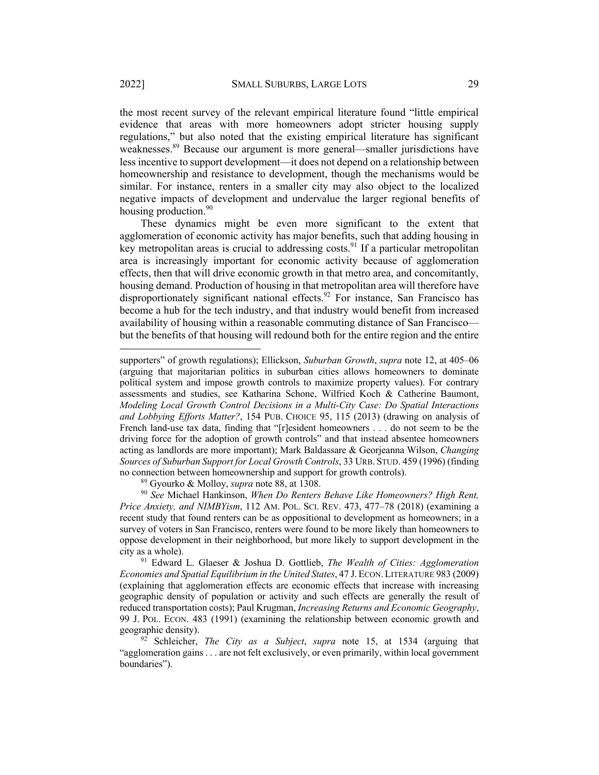the most recent survey of the relevant empirical literature found "little empirical evidence that areas with more homeowners adopt stricter housing supply regulations," but also noted that the existing empirical literature has significant weaknesses.<sup>89</sup> Because our argument is more general—smaller jurisdictions have less incentive to support development—it does not depend on a relationship between homeownership and resistance to development, though the mechanisms would be similar. For instance, renters in a smaller city may also object to the localized negative impacts of development and undervalue the larger regional benefits of housing production.<sup>90</sup>

These dynamics might be even more significant to the extent that agglomeration of economic activity has major benefits, such that adding housing in key metropolitan areas is crucial to addressing costs.<sup>91</sup> If a particular metropolitan area is increasingly important for economic activity because of agglomeration effects, then that will drive economic growth in that metro area, and concomitantly, housing demand. Production of housing in that metropolitan area will therefore have disproportionately significant national effects.<sup>92</sup> For instance, San Francisco has become a hub for the tech industry, and that industry would benefit from increased availability of housing within a reasonable commuting distance of San Francisco but the benefits of that housing will redound both for the entire region and the entire

<sup>90</sup> *See* Michael Hankinson, *When Do Renters Behave Like Homeowners? High Rent, Price Anxiety, and NIMBYism*, 112 AM. POL. SCI. REV. 473, 477–78 (2018) (examining a recent study that found renters can be as oppositional to development as homeowners; in a survey of voters in San Francisco, renters were found to be more likely than homeowners to oppose development in their neighborhood, but more likely to support development in the city as a whole). 91 Edward L. Glaeser & Joshua D. Gottlieb, *The Wealth of Cities: Agglomeration* 

supporters" of growth regulations); Ellickson, *Suburban Growth*, *supra* note 12, at 405–06 (arguing that majoritarian politics in suburban cities allows homeowners to dominate political system and impose growth controls to maximize property values). For contrary assessments and studies, see Katharina Schone, Wilfried Koch & Catherine Baumont, *Modeling Local Growth Control Decisions in a Multi-City Case: Do Spatial Interactions and Lobbying Efforts Matter?*, 154 PUB. CHOICE 95, 115 (2013) (drawing on analysis of French land-use tax data, finding that "[r]esident homeowners . . . do not seem to be the driving force for the adoption of growth controls" and that instead absentee homeowners acting as landlords are more important); Mark Baldassare & Georjeanna Wilson, *Changing Sources of Suburban Support for Local Growth Controls*, 33 URB. STUD. 459 (1996) (finding no connection between homeownership and support for growth controls). 89 Gyourko & Molloy, *supra* note 88, at 1308.

*Economies and Spatial Equilibrium in the United States*, 47 J.ECON.LITERATURE 983 (2009) (explaining that agglomeration effects are economic effects that increase with increasing geographic density of population or activity and such effects are generally the result of reduced transportation costs); Paul Krugman, *Increasing Returns and Economic Geography*, 99 J. POL. ECON. 483 (1991) (examining the relationship between economic growth and geographic density).

 $92$  Schleicher, *The City as a Subject*, *supra* note 15, at 1534 (arguing that "agglomeration gains . . . are not felt exclusively, or even primarily, within local government boundaries").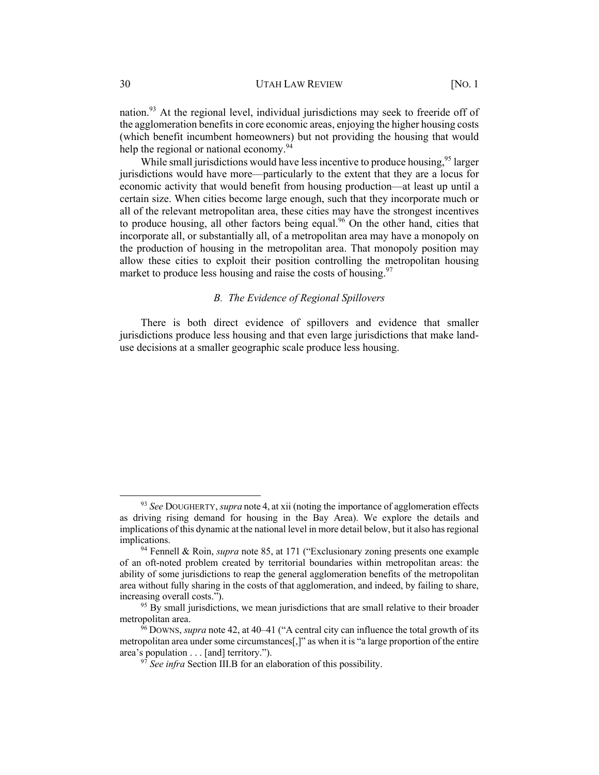nation.<sup>93</sup> At the regional level, individual jurisdictions may seek to freeride off of the agglomeration benefits in core economic areas, enjoying the higher housing costs (which benefit incumbent homeowners) but not providing the housing that would help the regional or national economy.<sup>94</sup>

While small jurisdictions would have less incentive to produce housing,<sup>95</sup> larger jurisdictions would have more—particularly to the extent that they are a locus for economic activity that would benefit from housing production—at least up until a certain size. When cities become large enough, such that they incorporate much or all of the relevant metropolitan area, these cities may have the strongest incentives to produce housing, all other factors being equal.<sup>96</sup> On the other hand, cities that incorporate all, or substantially all, of a metropolitan area may have a monopoly on the production of housing in the metropolitan area. That monopoly position may allow these cities to exploit their position controlling the metropolitan housing market to produce less housing and raise the costs of housing.<sup>97</sup>

#### *B. The Evidence of Regional Spillovers*

There is both direct evidence of spillovers and evidence that smaller jurisdictions produce less housing and that even large jurisdictions that make landuse decisions at a smaller geographic scale produce less housing.

<sup>93</sup> *See* DOUGHERTY, *supra* note 4, at xii (noting the importance of agglomeration effects as driving rising demand for housing in the Bay Area). We explore the details and implications of this dynamic at the national level in more detail below, but it also has regional implications.

<sup>94</sup> Fennell & Roin, *supra* note 85, at 171 ("Exclusionary zoning presents one example of an oft-noted problem created by territorial boundaries within metropolitan areas: the ability of some jurisdictions to reap the general agglomeration benefits of the metropolitan area without fully sharing in the costs of that agglomeration, and indeed, by failing to share, increasing overall costs.").

 $95$  By small jurisdictions, we mean jurisdictions that are small relative to their broader metropolitan area.

<sup>&</sup>lt;sup>96</sup> Downs, *supra* note 42, at 40–41 ("A central city can influence the total growth of its metropolitan area under some circumstances[,]" as when it is "a large proportion of the entire area's population . . . [and] territory.").

<sup>97</sup> *See infra* Section III.B for an elaboration of this possibility.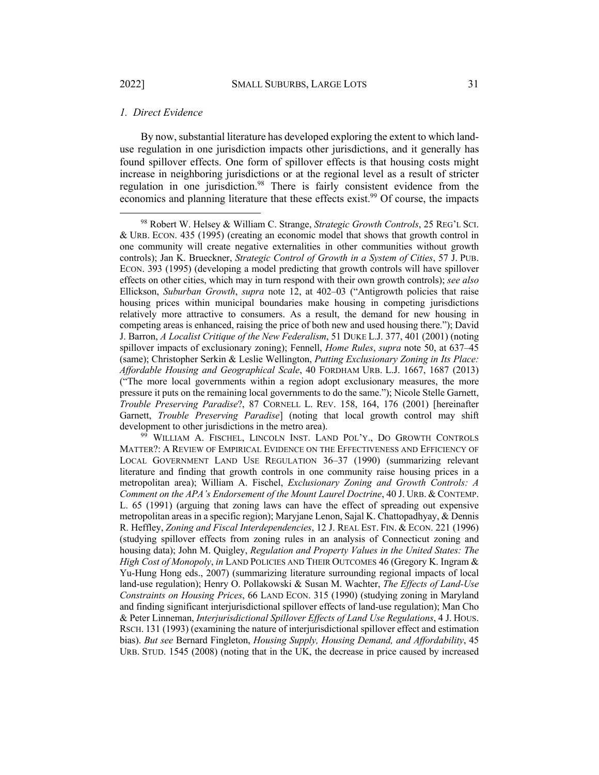#### *1. Direct Evidence*

By now, substantial literature has developed exploring the extent to which landuse regulation in one jurisdiction impacts other jurisdictions, and it generally has found spillover effects. One form of spillover effects is that housing costs might increase in neighboring jurisdictions or at the regional level as a result of stricter regulation in one jurisdiction.<sup>98</sup> There is fairly consistent evidence from the economics and planning literature that these effects exist.<sup>99</sup> Of course, the impacts

<sup>99</sup> WILLIAM A. FISCHEL, LINCOLN INST. LAND POL'Y., DO GROWTH CONTROLS MATTER?: A REVIEW OF EMPIRICAL EVIDENCE ON THE EFFECTIVENESS AND EFFICIENCY OF LOCAL GOVERNMENT LAND USE REGULATION 36–37 (1990) (summarizing relevant literature and finding that growth controls in one community raise housing prices in a metropolitan area); William A. Fischel, *Exclusionary Zoning and Growth Controls: A Comment on the APA's Endorsement of the Mount Laurel Doctrine*, 40 J. URB. & CONTEMP. L. 65 (1991) (arguing that zoning laws can have the effect of spreading out expensive metropolitan areas in a specific region); Maryjane Lenon, Sajal K. Chattopadhyay, & Dennis R. Heffley, *Zoning and Fiscal Interdependencies*, 12 J. REAL EST. FIN. & ECON. 221 (1996) (studying spillover effects from zoning rules in an analysis of Connecticut zoning and housing data); John M. Quigley, *Regulation and Property Values in the United States: The High Cost of Monopoly*, *in* LAND POLICIES AND THEIR OUTCOMES 46 (Gregory K. Ingram & Yu-Hung Hong eds., 2007) (summarizing literature surrounding regional impacts of local land-use regulation); Henry O. Pollakowski & Susan M. Wachter, *The Effects of Land-Use Constraints on Housing Prices*, 66 LAND ECON. 315 (1990) (studying zoning in Maryland and finding significant interjurisdictional spillover effects of land-use regulation); Man Cho & Peter Linneman, *Interjurisdictional Spillover Effects of Land Use Regulations*, 4 J. HOUS. RSCH. 131 (1993) (examining the nature of interjurisdictional spillover effect and estimation bias). *But see* Bernard Fingleton, *Housing Supply, Housing Demand, and Affordability*, 45 URB. STUD. 1545 (2008) (noting that in the UK, the decrease in price caused by increased

<sup>98</sup> Robert W. Helsey & William C. Strange, *Strategic Growth Controls*, 25 REG'L SCI. & URB. ECON. 435 (1995) (creating an economic model that shows that growth control in one community will create negative externalities in other communities without growth controls); Jan K. Brueckner, *Strategic Control of Growth in a System of Cities*, 57 J. PUB. ECON. 393 (1995) (developing a model predicting that growth controls will have spillover effects on other cities, which may in turn respond with their own growth controls); *see also* Ellickson, *Suburban Growth*, *supra* note 12, at 402–03 ("Antigrowth policies that raise housing prices within municipal boundaries make housing in competing jurisdictions relatively more attractive to consumers. As a result, the demand for new housing in competing areas is enhanced, raising the price of both new and used housing there."); David J. Barron, *A Localist Critique of the New Federalism*, 51 DUKE L.J. 377, 401 (2001) (noting spillover impacts of exclusionary zoning); Fennell, *Home Rules*, *supra* note 50, at 637–45 (same); Christopher Serkin & Leslie Wellington, *Putting Exclusionary Zoning in Its Place: Affordable Housing and Geographical Scale*, 40 FORDHAM URB. L.J. 1667, 1687 (2013) ("The more local governments within a region adopt exclusionary measures, the more pressure it puts on the remaining local governments to do the same."); Nicole Stelle Garnett, *Trouble Preserving Paradise*?, 87 CORNELL L. REV. 158, 164, 176 (2001) [hereinafter Garnett, *Trouble Preserving Paradise*] (noting that local growth control may shift development to other jurisdictions in the metro area).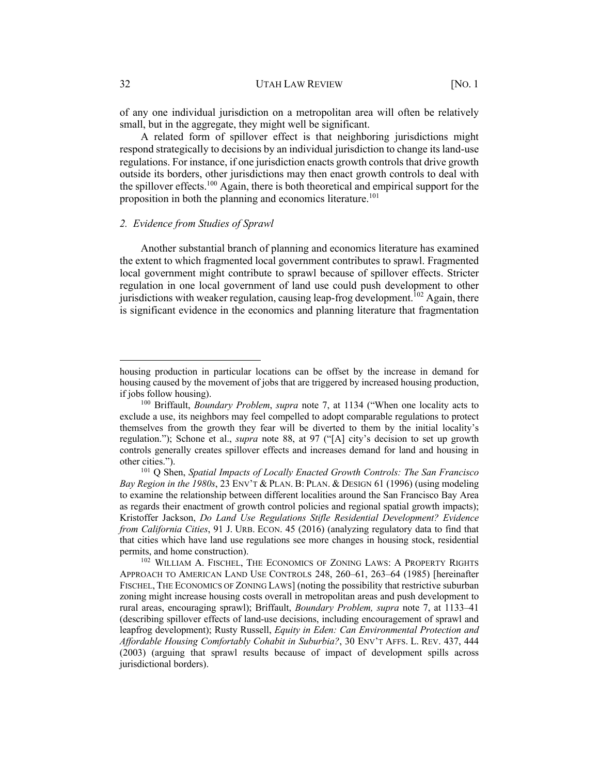of any one individual jurisdiction on a metropolitan area will often be relatively small, but in the aggregate, they might well be significant.

A related form of spillover effect is that neighboring jurisdictions might respond strategically to decisions by an individual jurisdiction to change its land-use regulations. For instance, if one jurisdiction enacts growth controls that drive growth outside its borders, other jurisdictions may then enact growth controls to deal with the spillover effects.<sup>100</sup> Again, there is both theoretical and empirical support for the proposition in both the planning and economics literature.<sup>101</sup>

#### *2. Evidence from Studies of Sprawl*

Another substantial branch of planning and economics literature has examined the extent to which fragmented local government contributes to sprawl. Fragmented local government might contribute to sprawl because of spillover effects. Stricter regulation in one local government of land use could push development to other jurisdictions with weaker regulation, causing leap-frog development.<sup>102</sup> Again, there is significant evidence in the economics and planning literature that fragmentation

housing production in particular locations can be offset by the increase in demand for housing caused by the movement of jobs that are triggered by increased housing production, if jobs follow housing).

<sup>100</sup> Briffault, *Boundary Problem*, *supra* note 7, at 1134 ("When one locality acts to exclude a use, its neighbors may feel compelled to adopt comparable regulations to protect themselves from the growth they fear will be diverted to them by the initial locality's regulation."); Schone et al., *supra* note 88, at 97 ("[A] city's decision to set up growth controls generally creates spillover effects and increases demand for land and housing in other cities.").

<sup>101</sup> Q Shen, *Spatial Impacts of Locally Enacted Growth Controls: The San Francisco Bay Region in the 1980s*, 23 ENV'T & PLAN. B: PLAN. & DESIGN 61 (1996) (using modeling to examine the relationship between different localities around the San Francisco Bay Area as regards their enactment of growth control policies and regional spatial growth impacts); Kristoffer Jackson, *Do Land Use Regulations Stifle Residential Development? Evidence from California Cities*, 91 J. URB. ECON. 45 (2016) (analyzing regulatory data to find that that cities which have land use regulations see more changes in housing stock, residential permits, and home construction).

<sup>&</sup>lt;sup>102</sup> WILLIAM A. FISCHEL, THE ECONOMICS OF ZONING LAWS: A PROPERTY RIGHTS APPROACH TO AMERICAN LAND USE CONTROLS 248, 260–61, 263–64 (1985) [hereinafter FISCHEL, THE ECONOMICS OF ZONING LAWS] (noting the possibility that restrictive suburban zoning might increase housing costs overall in metropolitan areas and push development to rural areas, encouraging sprawl); Briffault, *Boundary Problem, supra* note 7, at 1133–41 (describing spillover effects of land-use decisions, including encouragement of sprawl and leapfrog development); Rusty Russell, *Equity in Eden: Can Environmental Protection and Affordable Housing Comfortably Cohabit in Suburbia?*, 30 ENV'T AFFS. L. REV. 437, 444 (2003) (arguing that sprawl results because of impact of development spills across jurisdictional borders).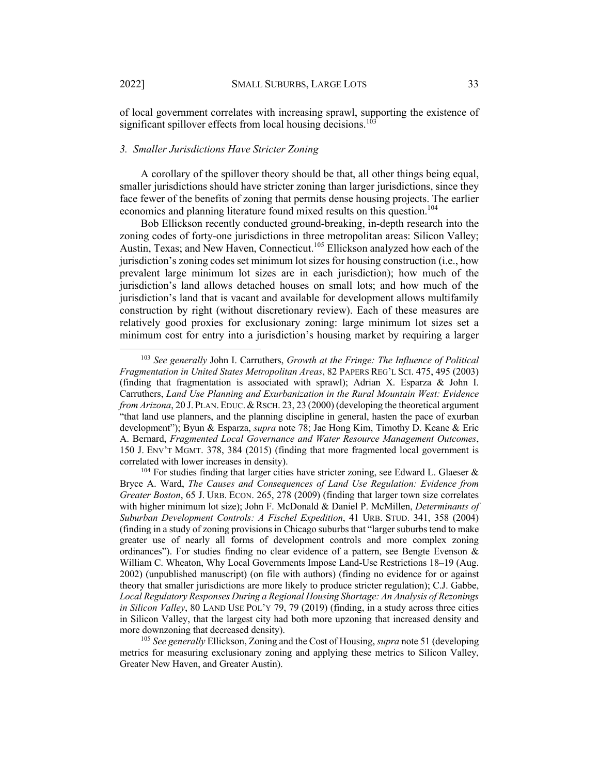of local government correlates with increasing sprawl, supporting the existence of significant spillover effects from local housing decisions.<sup>10</sup>

#### *3. Smaller Jurisdictions Have Stricter Zoning*

A corollary of the spillover theory should be that, all other things being equal, smaller jurisdictions should have stricter zoning than larger jurisdictions, since they face fewer of the benefits of zoning that permits dense housing projects. The earlier economics and planning literature found mixed results on this question.<sup>104</sup>

Bob Ellickson recently conducted ground-breaking, in-depth research into the zoning codes of forty-one jurisdictions in three metropolitan areas: Silicon Valley; Austin, Texas; and New Haven, Connecticut.<sup>105</sup> Ellickson analyzed how each of the jurisdiction's zoning codes set minimum lot sizes for housing construction (i.e., how prevalent large minimum lot sizes are in each jurisdiction); how much of the jurisdiction's land allows detached houses on small lots; and how much of the jurisdiction's land that is vacant and available for development allows multifamily construction by right (without discretionary review). Each of these measures are relatively good proxies for exclusionary zoning: large minimum lot sizes set a minimum cost for entry into a jurisdiction's housing market by requiring a larger

<sup>103</sup> *See generally* John I. Carruthers, *Growth at the Fringe: The Influence of Political Fragmentation in United States Metropolitan Areas*, 82 PAPERS REG'L SCI. 475, 495 (2003) (finding that fragmentation is associated with sprawl); Adrian X. Esparza & John I. Carruthers, *Land Use Planning and Exurbanization in the Rural Mountain West: Evidence from Arizona*, 20 J. PLAN. EDUC. & RSCH. 23, 23 (2000) (developing the theoretical argument "that land use planners, and the planning discipline in general, hasten the pace of exurban development"); Byun & Esparza, *supra* note 78; Jae Hong Kim, Timothy D. Keane & Eric A. Bernard, *Fragmented Local Governance and Water Resource Management Outcomes*, 150 J. ENV'T MGMT. 378, 384 (2015) (finding that more fragmented local government is correlated with lower increases in density).

<sup>&</sup>lt;sup>104</sup> For studies finding that larger cities have stricter zoning, see Edward L. Glaeser  $\&$ Bryce A. Ward, *The Causes and Consequences of Land Use Regulation: Evidence from Greater Boston*, 65 J. URB. ECON. 265, 278 (2009) (finding that larger town size correlates with higher minimum lot size); John F. McDonald & Daniel P. McMillen, *Determinants of Suburban Development Controls: A Fischel Expedition*, 41 URB. STUD. 341, 358 (2004) (finding in a study of zoning provisions in Chicago suburbs that "larger suburbs tend to make greater use of nearly all forms of development controls and more complex zoning ordinances"). For studies finding no clear evidence of a pattern, see Bengte Evenson  $\&$ William C. Wheaton, Why Local Governments Impose Land-Use Restrictions 18–19 (Aug. 2002) (unpublished manuscript) (on file with authors) (finding no evidence for or against theory that smaller jurisdictions are more likely to produce stricter regulation); C.J. Gabbe, *Local Regulatory Responses During a Regional Housing Shortage: An Analysis of Rezonings in Silicon Valley*, 80 LAND USE POL'Y 79, 79 (2019) (finding, in a study across three cities in Silicon Valley, that the largest city had both more upzoning that increased density and more downzoning that decreased density).

<sup>105</sup> *See generally* Ellickson, Zoning and the Cost of Housing, *supra* note 51 (developing metrics for measuring exclusionary zoning and applying these metrics to Silicon Valley, Greater New Haven, and Greater Austin).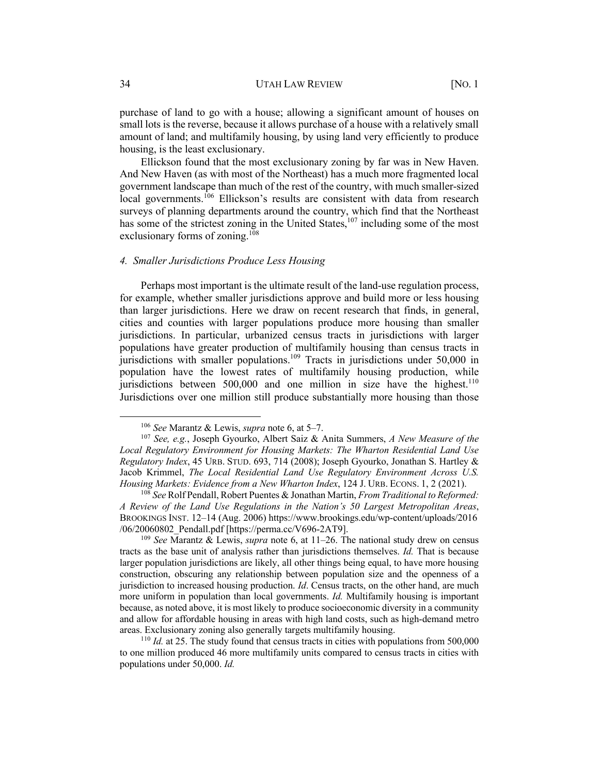purchase of land to go with a house; allowing a significant amount of houses on small lots is the reverse, because it allows purchase of a house with a relatively small amount of land; and multifamily housing, by using land very efficiently to produce housing, is the least exclusionary.

Ellickson found that the most exclusionary zoning by far was in New Haven. And New Haven (as with most of the Northeast) has a much more fragmented local government landscape than much of the rest of the country, with much smaller-sized local governments.<sup>106</sup> Ellickson's results are consistent with data from research surveys of planning departments around the country, which find that the Northeast has some of the strictest zoning in the United States,<sup>107</sup> including some of the most exclusionary forms of zoning. $108$ 

#### *4. Smaller Jurisdictions Produce Less Housing*

Perhaps most important is the ultimate result of the land-use regulation process, for example, whether smaller jurisdictions approve and build more or less housing than larger jurisdictions. Here we draw on recent research that finds, in general, cities and counties with larger populations produce more housing than smaller jurisdictions. In particular, urbanized census tracts in jurisdictions with larger populations have greater production of multifamily housing than census tracts in jurisdictions with smaller populations.<sup>109</sup> Tracts in jurisdictions under 50,000 in population have the lowest rates of multifamily housing production, while jurisdictions between  $500,000$  and one million in size have the highest.<sup>110</sup> Jurisdictions over one million still produce substantially more housing than those

<sup>106</sup> *See* Marantz & Lewis, *supra* note 6, at 5–7.

<sup>107</sup> *See, e.g.*, Joseph Gyourko, Albert Saiz & Anita Summers, *A New Measure of the Local Regulatory Environment for Housing Markets: The Wharton Residential Land Use Regulatory Index*, 45 URB. STUD. 693, 714 (2008); Joseph Gyourko, Jonathan S. Hartley & Jacob Krimmel, *The Local Residential Land Use Regulatory Environment Across U.S. Housing Markets: Evidence from a New Wharton Index*, 124 J. URB. ECONS. 1, 2 (2021).

<sup>108</sup> *See* Rolf Pendall, Robert Puentes & Jonathan Martin, *From Traditional to Reformed: A Review of the Land Use Regulations in the Nation's 50 Largest Metropolitan Areas*, BROOKINGS INST. 12–14 (Aug. 2006) https://www.brookings.edu/wp-content/uploads/2016 /06/20060802\_Pendall.pdf [https://perma.cc/V696-2AT9].

<sup>109</sup> *See* Marantz & Lewis, *supra* note 6, at 11–26. The national study drew on census tracts as the base unit of analysis rather than jurisdictions themselves. *Id.* That is because larger population jurisdictions are likely, all other things being equal, to have more housing construction, obscuring any relationship between population size and the openness of a jurisdiction to increased housing production. *Id*. Census tracts, on the other hand, are much more uniform in population than local governments. *Id.* Multifamily housing is important because, as noted above, it is most likely to produce socioeconomic diversity in a community and allow for affordable housing in areas with high land costs, such as high-demand metro areas. Exclusionary zoning also generally targets multifamily housing.

<sup>&</sup>lt;sup>110</sup> *Id.* at 25. The study found that census tracts in cities with populations from 500,000 to one million produced 46 more multifamily units compared to census tracts in cities with populations under 50,000. *Id.*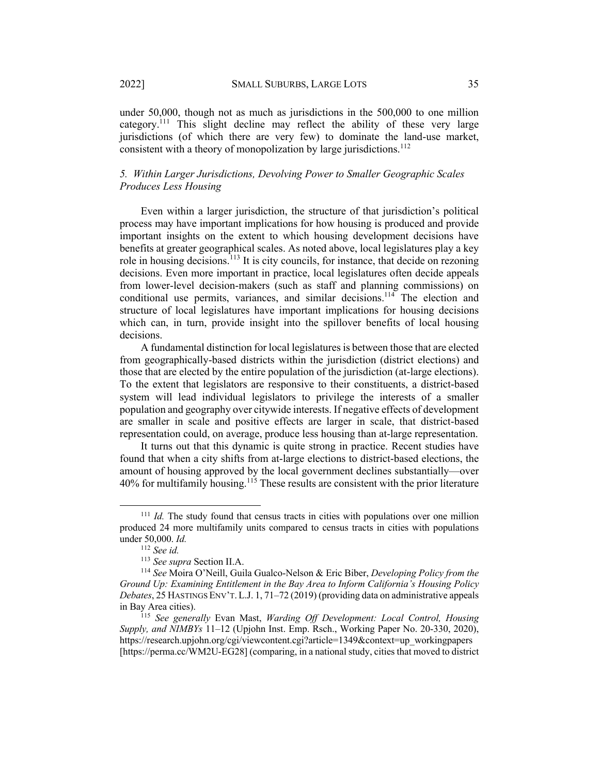under 50,000, though not as much as jurisdictions in the 500,000 to one million category.<sup>111</sup> This slight decline may reflect the ability of these very large jurisdictions (of which there are very few) to dominate the land-use market, consistent with a theory of monopolization by large jurisdictions.<sup>112</sup>

## *5. Within Larger Jurisdictions, Devolving Power to Smaller Geographic Scales Produces Less Housing*

Even within a larger jurisdiction, the structure of that jurisdiction's political process may have important implications for how housing is produced and provide important insights on the extent to which housing development decisions have benefits at greater geographical scales. As noted above, local legislatures play a key role in housing decisions.<sup>113</sup> It is city councils, for instance, that decide on rezoning decisions. Even more important in practice, local legislatures often decide appeals from lower-level decision-makers (such as staff and planning commissions) on conditional use permits, variances, and similar decisions.<sup>114</sup> The election and structure of local legislatures have important implications for housing decisions which can, in turn, provide insight into the spillover benefits of local housing decisions.

A fundamental distinction for local legislatures is between those that are elected from geographically-based districts within the jurisdiction (district elections) and those that are elected by the entire population of the jurisdiction (at-large elections). To the extent that legislators are responsive to their constituents, a district-based system will lead individual legislators to privilege the interests of a smaller population and geography over citywide interests. If negative effects of development are smaller in scale and positive effects are larger in scale, that district-based representation could, on average, produce less housing than at-large representation.

It turns out that this dynamic is quite strong in practice. Recent studies have found that when a city shifts from at-large elections to district-based elections, the amount of housing approved by the local government declines substantially—over 40% for multifamily housing.<sup>115</sup> These results are consistent with the prior literature

<sup>111</sup> *Id.* The study found that census tracts in cities with populations over one million produced 24 more multifamily units compared to census tracts in cities with populations under 50,000. *Id.* 

<sup>112</sup> *See id.*

<sup>113</sup> *See supra* Section II.A.

<sup>114</sup> *See* Moira O'Neill, Guila Gualco-Nelson & Eric Biber, *Developing Policy from the Ground Up: Examining Entitlement in the Bay Area to Inform California's Housing Policy Debates*, 25 HASTINGS ENV'T.L.J. 1, 71–72 (2019) (providing data on administrative appeals in Bay Area cities).

<sup>115</sup> *See generally* Evan Mast, *Warding Off Development: Local Control, Housing Supply, and NIMBYs* 11–12 (Upjohn Inst. Emp. Rsch., Working Paper No. 20-330, 2020), https://research.upjohn.org/cgi/viewcontent.cgi?article=1349&context=up\_workingpapers [https://perma.cc/WM2U-EG28] (comparing, in a national study, cities that moved to district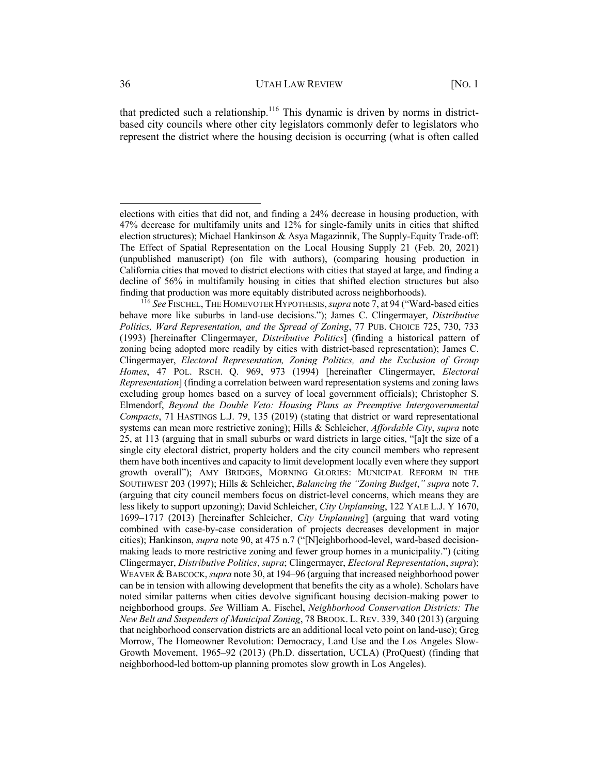that predicted such a relationship.<sup>116</sup> This dynamic is driven by norms in districtbased city councils where other city legislators commonly defer to legislators who represent the district where the housing decision is occurring (what is often called

elections with cities that did not, and finding a 24% decrease in housing production, with 47% decrease for multifamily units and 12% for single-family units in cities that shifted election structures); Michael Hankinson & Asya Magazinnik, The Supply-Equity Trade-off: The Effect of Spatial Representation on the Local Housing Supply 21 (Feb. 20, 2021) (unpublished manuscript) (on file with authors), (comparing housing production in California cities that moved to district elections with cities that stayed at large, and finding a decline of 56% in multifamily housing in cities that shifted election structures but also finding that production was more equitably distributed across neighborhoods).

<sup>116</sup> *See* FISCHEL, THE HOMEVOTER HYPOTHESIS,*supra* note 7, at 94 ("Ward-based cities behave more like suburbs in land-use decisions."); James C. Clingermayer, *Distributive Politics, Ward Representation, and the Spread of Zoning*, 77 PUB. CHOICE 725, 730, 733 (1993) [hereinafter Clingermayer, *Distributive Politics*] (finding a historical pattern of zoning being adopted more readily by cities with district-based representation); James C. Clingermayer, *Electoral Representation, Zoning Politics, and the Exclusion of Group Homes*, 47 POL. RSCH. Q. 969, 973 (1994) [hereinafter Clingermayer, *Electoral Representation*] (finding a correlation between ward representation systems and zoning laws excluding group homes based on a survey of local government officials); Christopher S. Elmendorf, *Beyond the Double Veto: Housing Plans as Preemptive Intergovernmental Compacts*, 71 HASTINGS L.J. 79, 135 (2019) (stating that district or ward representational systems can mean more restrictive zoning); Hills & Schleicher, *Affordable City*, *supra* note 25, at 113 (arguing that in small suburbs or ward districts in large cities, "[a]t the size of a single city electoral district, property holders and the city council members who represent them have both incentives and capacity to limit development locally even where they support growth overall"); AMY BRIDGES, MORNING GLORIES: MUNICIPAL REFORM IN THE SOUTHWEST 203 (1997); Hills & Schleicher, *Balancing the "Zoning Budget*,*" supra* note 7, (arguing that city council members focus on district-level concerns, which means they are less likely to support upzoning); David Schleicher, *City Unplanning*, 122 YALE L.J. Y 1670, 1699–1717 (2013) [hereinafter Schleicher, *City Unplanning*] (arguing that ward voting combined with case-by-case consideration of projects decreases development in major cities); Hankinson, *supra* note 90, at 475 n.7 ("[N]eighborhood-level, ward-based decisionmaking leads to more restrictive zoning and fewer group homes in a municipality.") (citing Clingermayer, *Distributive Politics*, *supra*; Clingermayer, *Electoral Representation*, *supra*); WEAVER & BABCOCK, *supra* note 30, at 194–96 (arguing that increased neighborhood power can be in tension with allowing development that benefits the city as a whole). Scholars have noted similar patterns when cities devolve significant housing decision-making power to neighborhood groups. *See* William A. Fischel, *Neighborhood Conservation Districts: The New Belt and Suspenders of Municipal Zoning*, 78 BROOK. L. REV. 339, 340 (2013) (arguing that neighborhood conservation districts are an additional local veto point on land-use); Greg Morrow, The Homeowner Revolution: Democracy, Land Use and the Los Angeles Slow-Growth Movement, 1965–92 (2013) (Ph.D. dissertation, UCLA) (ProQuest) (finding that neighborhood-led bottom-up planning promotes slow growth in Los Angeles).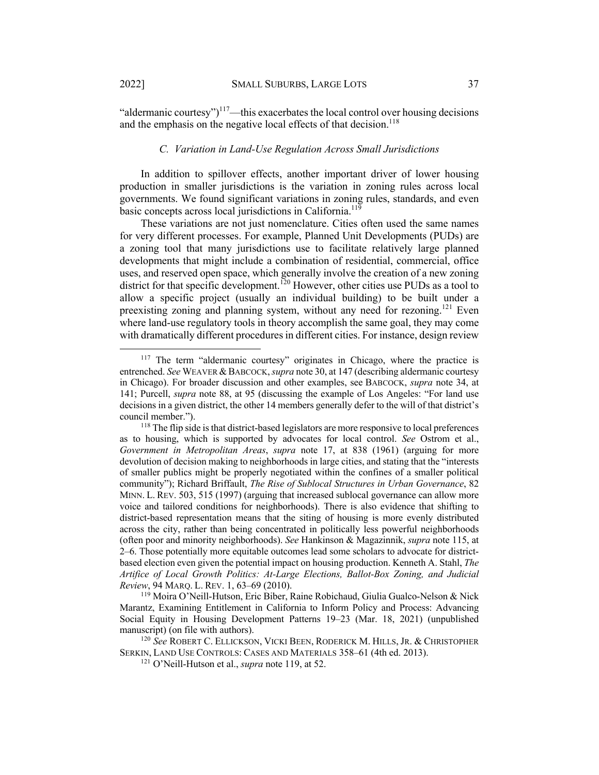"aldermanic courtesy")<sup>117</sup>—this exacerbates the local control over housing decisions and the emphasis on the negative local effects of that decision.<sup>118</sup>

#### *C. Variation in Land-Use Regulation Across Small Jurisdictions*

In addition to spillover effects, another important driver of lower housing production in smaller jurisdictions is the variation in zoning rules across local governments. We found significant variations in zoning rules, standards, and even basic concepts across local jurisdictions in California.<sup>119</sup>

These variations are not just nomenclature. Cities often used the same names for very different processes. For example, Planned Unit Developments (PUDs) are a zoning tool that many jurisdictions use to facilitate relatively large planned developments that might include a combination of residential, commercial, office uses, and reserved open space, which generally involve the creation of a new zoning district for that specific development.<sup>120</sup> However, other cities use PUDs as a tool to allow a specific project (usually an individual building) to be built under a preexisting zoning and planning system, without any need for rezoning.<sup>121</sup> Even where land-use regulatory tools in theory accomplish the same goal, they may come with dramatically different procedures in different cities. For instance, design review

<sup>&</sup>lt;sup>117</sup> The term "aldermanic courtesy" originates in Chicago, where the practice is entrenched. *See* WEAVER &BABCOCK, *supra* note 30, at 147 (describing aldermanic courtesy in Chicago). For broader discussion and other examples, see BABCOCK, *supra* note 34, at 141; Purcell, *supra* note 88, at 95 (discussing the example of Los Angeles: "For land use decisions in a given district, the other 14 members generally defer to the will of that district's council member.").

<sup>&</sup>lt;sup>118</sup> The flip side is that district-based legislators are more responsive to local preferences as to housing, which is supported by advocates for local control. *See* Ostrom et al., *Government in Metropolitan Areas*, *supra* note 17, at 838 (1961) (arguing for more devolution of decision making to neighborhoods in large cities, and stating that the "interests of smaller publics might be properly negotiated within the confines of a smaller political community"); Richard Briffault, *The Rise of Sublocal Structures in Urban Governance*, 82 MINN. L. REV. 503, 515 (1997) (arguing that increased sublocal governance can allow more voice and tailored conditions for neighborhoods). There is also evidence that shifting to district-based representation means that the siting of housing is more evenly distributed across the city, rather than being concentrated in politically less powerful neighborhoods (often poor and minority neighborhoods). *See* Hankinson & Magazinnik, *supra* note 115, at 2–6. Those potentially more equitable outcomes lead some scholars to advocate for districtbased election even given the potential impact on housing production. Kenneth A. Stahl, *The Artifice of Local Growth Politics: At-Large Elections, Ballot-Box Zoning, and Judicial Review*, 94 MARQ. L. REV. 1, 63–69 (2010).

<sup>119</sup> Moira O'Neill-Hutson, Eric Biber, Raine Robichaud, Giulia Gualco-Nelson & Nick Marantz, Examining Entitlement in California to Inform Policy and Process: Advancing Social Equity in Housing Development Patterns 19–23 (Mar. 18, 2021) (unpublished manuscript) (on file with authors).

<sup>120</sup> *See* ROBERT C. ELLICKSON, VICKI BEEN, RODERICK M. HILLS, JR. & CHRISTOPHER SERKIN, LAND USE CONTROLS: CASES AND MATERIALS 358–61 (4th ed. 2013).

<sup>121</sup> O'Neill-Hutson et al., *supra* note 119, at 52.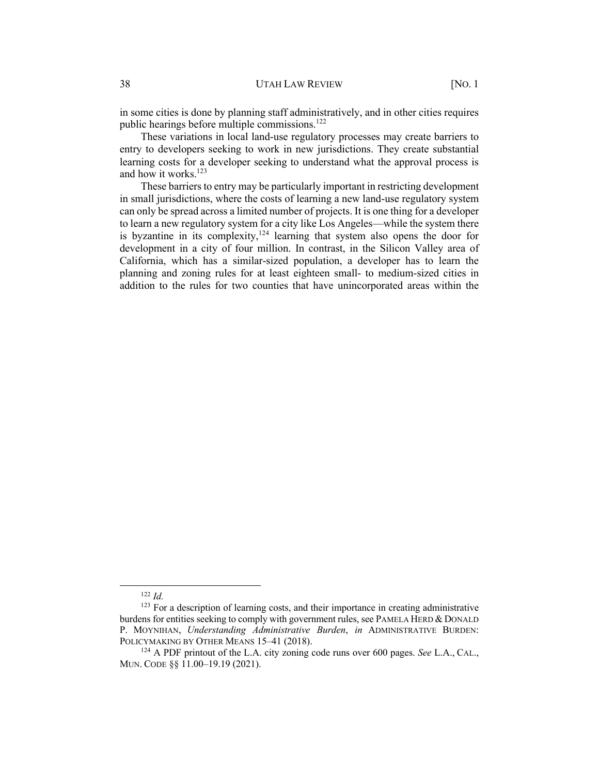in some cities is done by planning staff administratively, and in other cities requires public hearings before multiple commissions.<sup>122</sup>

These variations in local land-use regulatory processes may create barriers to entry to developers seeking to work in new jurisdictions. They create substantial learning costs for a developer seeking to understand what the approval process is and how it works. $123$ 

These barriers to entry may be particularly important in restricting development in small jurisdictions, where the costs of learning a new land-use regulatory system can only be spread across a limited number of projects. It is one thing for a developer to learn a new regulatory system for a city like Los Angeles—while the system there is byzantine in its complexity,  $124$  learning that system also opens the door for development in a city of four million. In contrast, in the Silicon Valley area of California, which has a similar-sized population, a developer has to learn the planning and zoning rules for at least eighteen small- to medium-sized cities in addition to the rules for two counties that have unincorporated areas within the

<sup>122</sup> *Id.*

 $123$  For a description of learning costs, and their importance in creating administrative burdens for entities seeking to comply with government rules, see PAMELA HERD & DONALD P. MOYNIHAN, *Understanding Administrative Burden*, *in* ADMINISTRATIVE BURDEN: POLICYMAKING BY OTHER MEANS 15-41 (2018).

<sup>124</sup> A PDF printout of the L.A. city zoning code runs over 600 pages. *See* L.A., CAL., MUN. CODE §§ 11.00–19.19 (2021).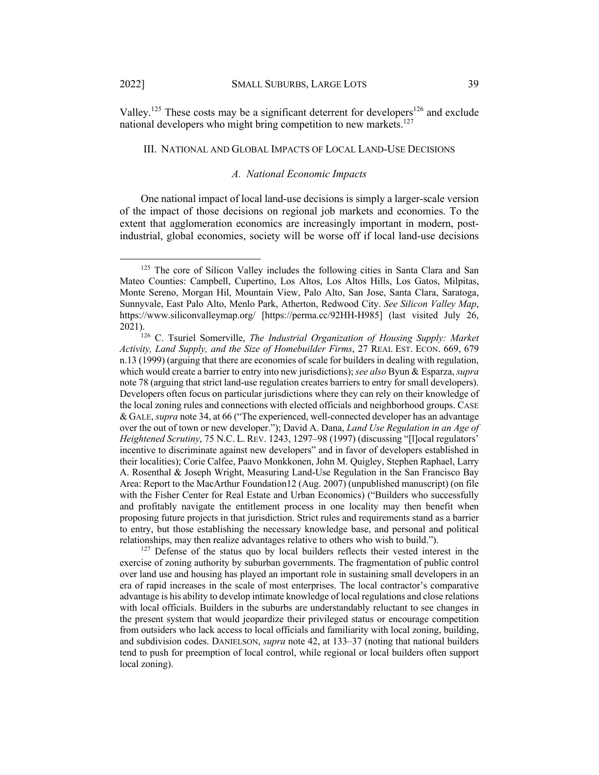Valley.<sup>125</sup> These costs may be a significant deterrent for developers<sup>126</sup> and exclude national developers who might bring competition to new markets.<sup>127</sup>

#### III. NATIONAL AND GLOBAL IMPACTS OF LOCAL LAND-USE DECISIONS

#### *A. National Economic Impacts*

One national impact of local land-use decisions is simply a larger-scale version of the impact of those decisions on regional job markets and economies. To the extent that agglomeration economics are increasingly important in modern, postindustrial, global economies, society will be worse off if local land-use decisions

<sup>&</sup>lt;sup>125</sup> The core of Silicon Valley includes the following cities in Santa Clara and San Mateo Counties: Campbell, Cupertino, Los Altos, Los Altos Hills, Los Gatos, Milpitas, Monte Sereno, Morgan Hil, Mountain View, Palo Alto, San Jose, Santa Clara, Saratoga, Sunnyvale, East Palo Alto, Menlo Park, Atherton, Redwood City. *See Silicon Valley Map*, https://www.siliconvalleymap.org/ [https://perma.cc/92HH-H985] (last visited July 26,

<sup>&</sup>lt;sup>126</sup> C. Tsuriel Somerville, *The Industrial Organization of Housing Supply: Market Activity, Land Supply, and the Size of Homebuilder Firms*, 27 REAL EST. ECON. 669, 679 n.13 (1999) (arguing that there are economies of scale for builders in dealing with regulation, which would create a barrier to entry into new jurisdictions); *see also* Byun & Esparza, *supra* note 78 (arguing that strict land-use regulation creates barriers to entry for small developers). Developers often focus on particular jurisdictions where they can rely on their knowledge of the local zoning rules and connections with elected officials and neighborhood groups. CASE & GALE, *supra* note 34, at 66 ("The experienced, well-connected developer has an advantage over the out of town or new developer."); David A. Dana, *Land Use Regulation in an Age of Heightened Scrutiny*, 75 N.C. L. REV. 1243, 1297–98 (1997) (discussing "[l]ocal regulators' incentive to discriminate against new developers" and in favor of developers established in their localities); Corie Calfee, Paavo Monkkonen, John M. Quigley, Stephen Raphael, Larry A. Rosenthal & Joseph Wright, Measuring Land-Use Regulation in the San Francisco Bay Area: Report to the MacArthur Foundation12 (Aug. 2007) (unpublished manuscript) (on file with the Fisher Center for Real Estate and Urban Economics) ("Builders who successfully and profitably navigate the entitlement process in one locality may then benefit when proposing future projects in that jurisdiction. Strict rules and requirements stand as a barrier to entry, but those establishing the necessary knowledge base, and personal and political relationships, may then realize advantages relative to others who wish to build.").

<sup>&</sup>lt;sup>127</sup> Defense of the status quo by local builders reflects their vested interest in the exercise of zoning authority by suburban governments. The fragmentation of public control over land use and housing has played an important role in sustaining small developers in an era of rapid increases in the scale of most enterprises. The local contractor's comparative advantage is his ability to develop intimate knowledge of local regulations and close relations with local officials. Builders in the suburbs are understandably reluctant to see changes in the present system that would jeopardize their privileged status or encourage competition from outsiders who lack access to local officials and familiarity with local zoning, building, and subdivision codes. DANIELSON, *supra* note 42, at 133–37 (noting that national builders tend to push for preemption of local control, while regional or local builders often support local zoning).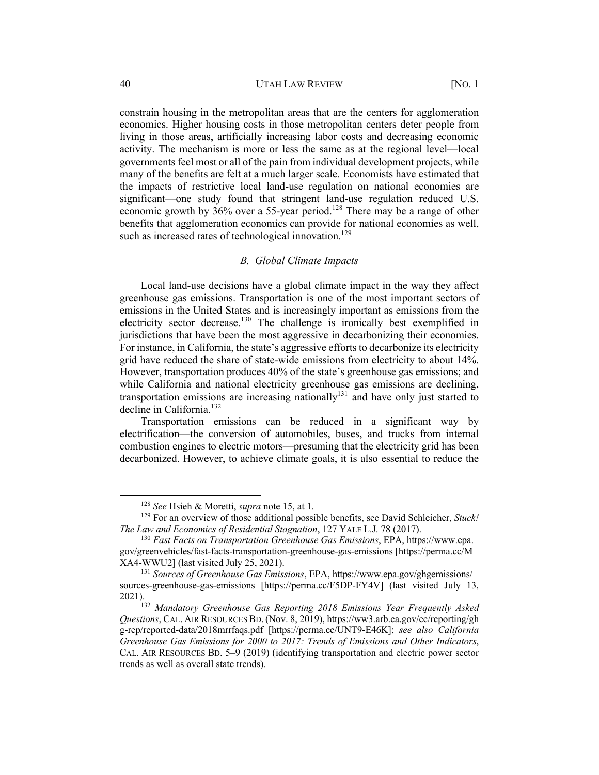constrain housing in the metropolitan areas that are the centers for agglomeration economics. Higher housing costs in those metropolitan centers deter people from living in those areas, artificially increasing labor costs and decreasing economic activity. The mechanism is more or less the same as at the regional level—local governments feel most or all of the pain from individual development projects, while many of the benefits are felt at a much larger scale. Economists have estimated that the impacts of restrictive local land-use regulation on national economies are significant—one study found that stringent land-use regulation reduced U.S. economic growth by  $36\%$  over a 55-year period.<sup>128</sup> There may be a range of other benefits that agglomeration economics can provide for national economies as well, such as increased rates of technological innovation.<sup>129</sup>

#### *B. Global Climate Impacts*

Local land-use decisions have a global climate impact in the way they affect greenhouse gas emissions. Transportation is one of the most important sectors of emissions in the United States and is increasingly important as emissions from the electricity sector decrease.<sup>130</sup> The challenge is ironically best exemplified in jurisdictions that have been the most aggressive in decarbonizing their economies. For instance, in California, the state's aggressive efforts to decarbonize its electricity grid have reduced the share of state-wide emissions from electricity to about 14%. However, transportation produces 40% of the state's greenhouse gas emissions; and while California and national electricity greenhouse gas emissions are declining, transportation emissions are increasing nationally<sup>131</sup> and have only just started to decline in California. 132

Transportation emissions can be reduced in a significant way by electrification—the conversion of automobiles, buses, and trucks from internal combustion engines to electric motors—presuming that the electricity grid has been decarbonized. However, to achieve climate goals, it is also essential to reduce the

<sup>128</sup> *See* Hsieh & Moretti, *supra* note 15, at 1.

<sup>129</sup> For an overview of those additional possible benefits, see David Schleicher, *Stuck! The Law and Economics of Residential Stagnation*, 127 YALE L.J. 78 (2017).

<sup>130</sup> *Fast Facts on Transportation Greenhouse Gas Emissions*, EPA, https://www.epa. gov/greenvehicles/fast-facts-transportation-greenhouse-gas-emissions [https://perma.cc/M XA4-WWU2] (last visited July 25, 2021).

<sup>131</sup> *Sources of Greenhouse Gas Emissions*, EPA, https://www.epa.gov/ghgemissions/ sources-greenhouse-gas-emissions [https://perma.cc/F5DP-FY4V] (last visited July 13, 2021).<br><sup>132</sup> *Mandatory Greenhouse Gas Reporting 2018 Emissions Year Frequently Asked* 

*Questions*, CAL. AIR RESOURCES BD. (Nov. 8, 2019), https://ww3.arb.ca.gov/cc/reporting/gh g-rep/reported-data/2018mrrfaqs.pdf [https://perma.cc/UNT9-E46K]; *see also California Greenhouse Gas Emissions for 2000 to 2017: Trends of Emissions and Other Indicators*, CAL. AIR RESOURCES BD. 5–9 (2019) (identifying transportation and electric power sector trends as well as overall state trends).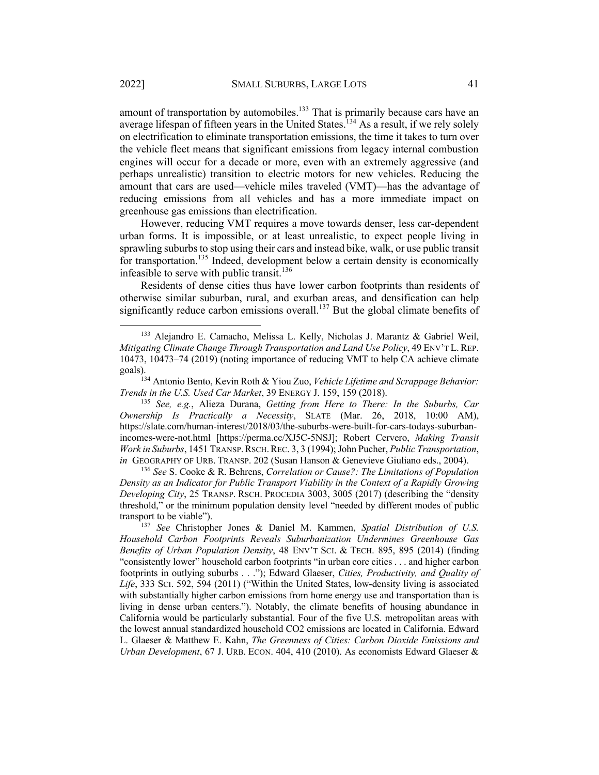amount of transportation by automobiles. $133$  That is primarily because cars have an average lifespan of fifteen years in the United States.<sup>134</sup> As a result, if we rely solely on electrification to eliminate transportation emissions, the time it takes to turn over the vehicle fleet means that significant emissions from legacy internal combustion engines will occur for a decade or more, even with an extremely aggressive (and perhaps unrealistic) transition to electric motors for new vehicles. Reducing the amount that cars are used—vehicle miles traveled (VMT)—has the advantage of reducing emissions from all vehicles and has a more immediate impact on greenhouse gas emissions than electrification.

However, reducing VMT requires a move towards denser, less car-dependent urban forms. It is impossible, or at least unrealistic, to expect people living in sprawling suburbs to stop using their cars and instead bike, walk, or use public transit for transportation.<sup>135</sup> Indeed, development below a certain density is economically infeasible to serve with public transit.<sup>136</sup>

Residents of dense cities thus have lower carbon footprints than residents of otherwise similar suburban, rural, and exurban areas, and densification can help significantly reduce carbon emissions overall.<sup>137</sup> But the global climate benefits of

<sup>135</sup> *See, e.g.*, Alieza Durana, *Getting from Here to There: In the Suburbs, Car Ownership Is Practically a Necessity*, SLATE (Mar. 26, 2018, 10:00 AM), https://slate.com/human-interest/2018/03/the-suburbs-were-built-for-cars-todays-suburbanincomes-were-not.html [https://perma.cc/XJ5C-5NSJ]; Robert Cervero, *Making Transit Work in Suburbs*, 1451 TRANSP.RSCH.REC. 3, 3 (1994); John Pucher, *Public Transportation*, *in* GEOGRAPHY OF URB. TRANSP. 202 (Susan Hanson & Genevieve Giuliano eds., 2004).

<sup>136</sup> *See* S. Cooke & R. Behrens, *Correlation or Cause?: The Limitations of Population Density as an Indicator for Public Transport Viability in the Context of a Rapidly Growing Developing City*, 25 TRANSP. RSCH. PROCEDIA 3003, 3005 (2017) (describing the "density threshold," or the minimum population density level "needed by different modes of public transport to be viable").

<sup>133</sup> Alejandro E. Camacho, Melissa L. Kelly, Nicholas J. Marantz & Gabriel Weil, *Mitigating Climate Change Through Transportation and Land Use Policy*, 49 ENV'T L. REP. 10473, 10473–74 (2019) (noting importance of reducing VMT to help CA achieve climate

goals).134 Antonio Bento, Kevin Roth & Yiou Zuo, *Vehicle Lifetime and Scrappage Behavior: Trends in the U.S. Used Car Market*, 39 ENERGY J. 159, 159 (2018).

<sup>137</sup> *See* Christopher Jones & Daniel M. Kammen, *Spatial Distribution of U.S. Household Carbon Footprints Reveals Suburbanization Undermines Greenhouse Gas Benefits of Urban Population Density*, 48 ENV'T SCI. & TECH. 895, 895 (2014) (finding "consistently lower" household carbon footprints "in urban core cities . . . and higher carbon footprints in outlying suburbs . . ."); Edward Glaeser, *Cities, Productivity, and Quality of Life*, 333 SCI. 592, 594 (2011) ("Within the United States, low-density living is associated with substantially higher carbon emissions from home energy use and transportation than is living in dense urban centers."). Notably, the climate benefits of housing abundance in California would be particularly substantial. Four of the five U.S. metropolitan areas with the lowest annual standardized household CO2 emissions are located in California. Edward L. Glaeser & Matthew E. Kahn, *The Greenness of Cities: Carbon Dioxide Emissions and Urban Development*, 67 J. URB. ECON. 404, 410 (2010). As economists Edward Glaeser &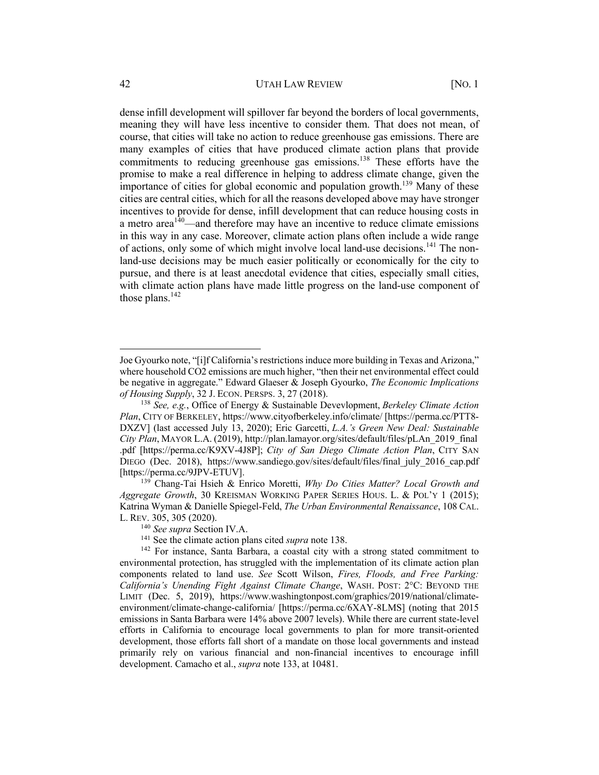dense infill development will spillover far beyond the borders of local governments, meaning they will have less incentive to consider them. That does not mean, of course, that cities will take no action to reduce greenhouse gas emissions. There are many examples of cities that have produced climate action plans that provide commitments to reducing greenhouse gas emissions. <sup>138</sup> These efforts have the promise to make a real difference in helping to address climate change, given the importance of cities for global economic and population growth.<sup>139</sup> Many of these cities are central cities, which for all the reasons developed above may have stronger incentives to provide for dense, infill development that can reduce housing costs in a metro area<sup> $140$ </sup>—and therefore may have an incentive to reduce climate emissions in this way in any case. Moreover, climate action plans often include a wide range of actions, only some of which might involve local land-use decisions.<sup>141</sup> The nonland-use decisions may be much easier politically or economically for the city to pursue, and there is at least anecdotal evidence that cities, especially small cities, with climate action plans have made little progress on the land-use component of those plans. $142$ 

Joe Gyourko note, "[i]f California's restrictions induce more building in Texas and Arizona," where household CO2 emissions are much higher, "then their net environmental effect could be negative in aggregate." Edward Glaeser & Joseph Gyourko, *The Economic Implications of Housing Supply*, 32 J. ECON. PERSPS. 3, 27 (2018).

<sup>138</sup> *See, e.g.*, Office of Energy & Sustainable Devevlopment, *Berkeley Climate Action Plan*, CITY OF BERKELEY, https://www.cityofberkeley.info/climate/ [https://perma.cc/PTT8- DXZV] (last accessed July 13, 2020); Eric Garcetti, *L.A.'s Green New Deal: Sustainable City Plan*, MAYOR L.A. (2019), http://plan.lamayor.org/sites/default/files/pLAn\_2019\_final .pdf [https://perma.cc/K9XV-4J8P]; *City of San Diego Climate Action Plan*, CITY SAN DIEGO (Dec. 2018), https://www.sandiego.gov/sites/default/files/final\_july\_2016\_cap.pdf [https://perma.cc/9JPV-ETUV].

<sup>139</sup> Chang-Tai Hsieh & Enrico Moretti, *Why Do Cities Matter? Local Growth and Aggregate Growth*, 30 KREISMAN WORKING PAPER SERIES HOUS. L. & POL'Y 1 (2015); Katrina Wyman & Danielle Spiegel-Feld, *The Urban Environmental Renaissance*, 108 CAL. L. REV. 305, 305 (2020).

<sup>140</sup> *See supra* Section IV.A.

<sup>141</sup> See the climate action plans cited *supra* note 138.

<sup>&</sup>lt;sup>142</sup> For instance, Santa Barbara, a coastal city with a strong stated commitment to environmental protection, has struggled with the implementation of its climate action plan components related to land use. *See* Scott Wilson, *Fires, Floods, and Free Parking: California's Unending Fight Against Climate Change*, WASH. POST: 2°C: BEYOND THE LIMIT (Dec. 5, 2019), https://www.washingtonpost.com/graphics/2019/national/climateenvironment/climate-change-california/ [https://perma.cc/6XAY-8LMS] (noting that 2015 emissions in Santa Barbara were 14% above 2007 levels). While there are current state-level efforts in California to encourage local governments to plan for more transit-oriented development, those efforts fall short of a mandate on those local governments and instead primarily rely on various financial and non-financial incentives to encourage infill development. Camacho et al., *supra* note 133, at 10481.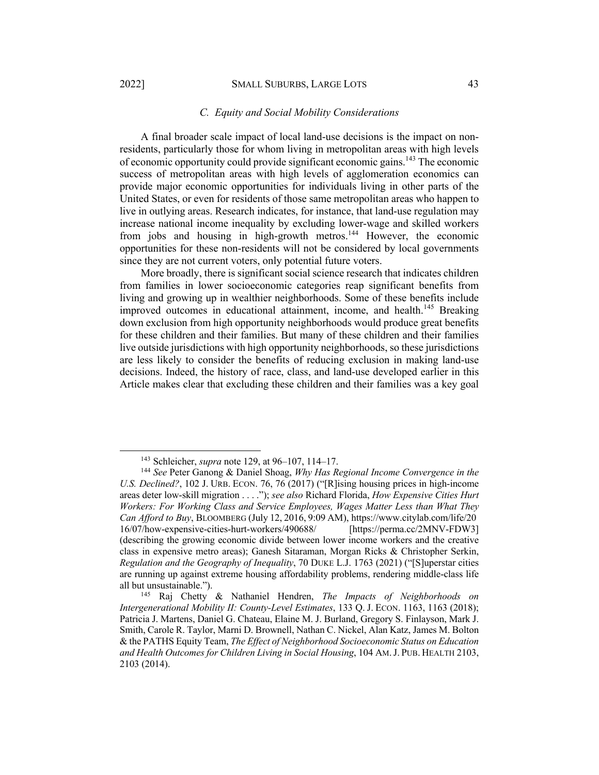#### 2022] SMALL SUBURBS, LARGE LOTS 43

#### *C. Equity and Social Mobility Considerations*

A final broader scale impact of local land-use decisions is the impact on nonresidents, particularly those for whom living in metropolitan areas with high levels of economic opportunity could provide significant economic gains.143 The economic success of metropolitan areas with high levels of agglomeration economics can provide major economic opportunities for individuals living in other parts of the United States, or even for residents of those same metropolitan areas who happen to live in outlying areas. Research indicates, for instance, that land-use regulation may increase national income inequality by excluding lower-wage and skilled workers from jobs and housing in high-growth metros.<sup>144</sup> However, the economic opportunities for these non-residents will not be considered by local governments since they are not current voters, only potential future voters.

More broadly, there is significant social science research that indicates children from families in lower socioeconomic categories reap significant benefits from living and growing up in wealthier neighborhoods. Some of these benefits include improved outcomes in educational attainment, income, and health.<sup>145</sup> Breaking down exclusion from high opportunity neighborhoods would produce great benefits for these children and their families. But many of these children and their families live outside jurisdictions with high opportunity neighborhoods, so these jurisdictions are less likely to consider the benefits of reducing exclusion in making land-use decisions. Indeed, the history of race, class, and land-use developed earlier in this Article makes clear that excluding these children and their families was a key goal

<sup>143</sup> Schleicher, *supra* note 129, at 96–107, 114–17.

<sup>144</sup> *See* Peter Ganong & Daniel Shoag, *Why Has Regional Income Convergence in the U.S. Declined?*, 102 J. URB. ECON. 76, 76 (2017) ("[R]ising housing prices in high-income areas deter low-skill migration . . . ."); *see also* Richard Florida, *How Expensive Cities Hurt Workers: For Working Class and Service Employees, Wages Matter Less than What They Can Afford to Buy*, BLOOMBERG (July 12, 2016, 9:09 AM), https://www.citylab.com/life/20 16/07/how-expensive-cities-hurt-workers/490688/ [https://perma.cc/2MNV-FDW3] (describing the growing economic divide between lower income workers and the creative class in expensive metro areas); Ganesh Sitaraman, Morgan Ricks & Christopher Serkin, *Regulation and the Geography of Inequality*, 70 DUKE L.J. 1763 (2021) ("[S]uperstar cities are running up against extreme housing affordability problems, rendering middle-class life all but unsustainable.").

<sup>145</sup> Raj Chetty & Nathaniel Hendren, *The Impacts of Neighborhoods on Intergenerational Mobility II: County-Level Estimates*, 133 Q. J. ECON. 1163, 1163 (2018); Patricia J. Martens, Daniel G. Chateau, Elaine M. J. Burland, Gregory S. Finlayson, Mark J. Smith, Carole R. Taylor, Marni D. Brownell, Nathan C. Nickel, Alan Katz, James M. Bolton & the PATHS Equity Team, *The Effect of Neighborhood Socioeconomic Status on Education and Health Outcomes for Children Living in Social Housing*, 104 AM.J. PUB. HEALTH 2103, 2103 (2014).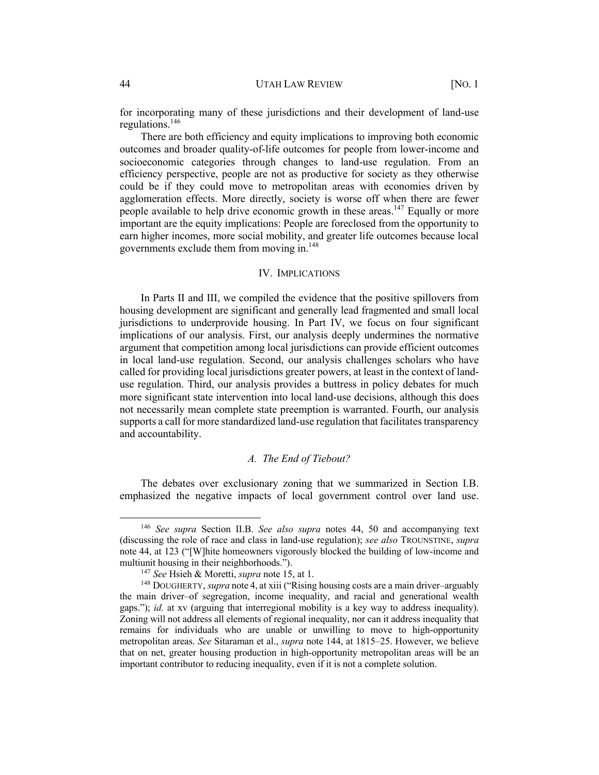#### 44 UTAH LAW REVIEW [NO. 1

for incorporating many of these jurisdictions and their development of land-use regulations.146

There are both efficiency and equity implications to improving both economic outcomes and broader quality-of-life outcomes for people from lower-income and socioeconomic categories through changes to land-use regulation. From an efficiency perspective, people are not as productive for society as they otherwise could be if they could move to metropolitan areas with economies driven by agglomeration effects. More directly, society is worse off when there are fewer people available to help drive economic growth in these areas.<sup>147</sup> Equally or more important are the equity implications: People are foreclosed from the opportunity to earn higher incomes, more social mobility, and greater life outcomes because local governments exclude them from moving in.148

#### IV. IMPLICATIONS

In Parts II and III, we compiled the evidence that the positive spillovers from housing development are significant and generally lead fragmented and small local jurisdictions to underprovide housing. In Part IV, we focus on four significant implications of our analysis. First, our analysis deeply undermines the normative argument that competition among local jurisdictions can provide efficient outcomes in local land-use regulation. Second, our analysis challenges scholars who have called for providing local jurisdictions greater powers, at least in the context of landuse regulation. Third, our analysis provides a buttress in policy debates for much more significant state intervention into local land-use decisions, although this does not necessarily mean complete state preemption is warranted. Fourth, our analysis supports a call for more standardized land-use regulation that facilitates transparency and accountability.

### *A. The End of Tiebout?*

The debates over exclusionary zoning that we summarized in Section I.B. emphasized the negative impacts of local government control over land use.

<sup>146</sup> *See supra* Section II.B. *See also supra* notes 44, 50 and accompanying text (discussing the role of race and class in land-use regulation); *see also* TROUNSTINE, *supra*  note 44, at 123 ("[W]hite homeowners vigorously blocked the building of low-income and multiunit housing in their neighborhoods.").

<sup>147</sup> *See* Hsieh & Moretti, *supra* note 15, at 1.

<sup>148</sup> DOUGHERTY, *supra* note 4, at xiii ("Rising housing costs are a main driver–arguably the main driver–of segregation, income inequality, and racial and generational wealth gaps."); *id.* at xv (arguing that interregional mobility is a key way to address inequality). Zoning will not address all elements of regional inequality, nor can it address inequality that remains for individuals who are unable or unwilling to move to high-opportunity metropolitan areas. *See* Sitaraman et al., *supra* note 144, at 1815–25. However, we believe that on net, greater housing production in high-opportunity metropolitan areas will be an important contributor to reducing inequality, even if it is not a complete solution.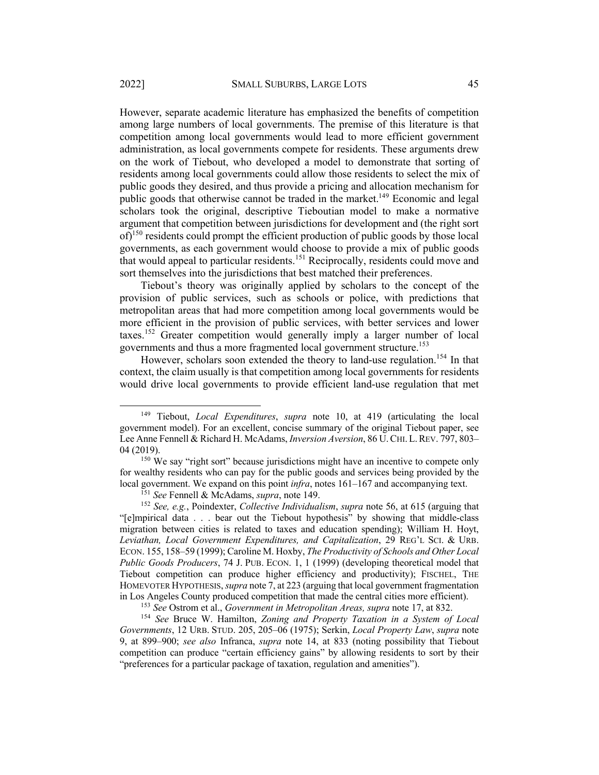However, separate academic literature has emphasized the benefits of competition among large numbers of local governments. The premise of this literature is that competition among local governments would lead to more efficient government administration, as local governments compete for residents. These arguments drew on the work of Tiebout, who developed a model to demonstrate that sorting of residents among local governments could allow those residents to select the mix of public goods they desired, and thus provide a pricing and allocation mechanism for public goods that otherwise cannot be traded in the market.<sup>149</sup> Economic and legal scholars took the original, descriptive Tieboutian model to make a normative argument that competition between jurisdictions for development and (the right sort  $of$ <sup>150</sup> residents could prompt the efficient production of public goods by those local governments, as each government would choose to provide a mix of public goods that would appeal to particular residents.<sup>151</sup> Reciprocally, residents could move and sort themselves into the jurisdictions that best matched their preferences.

Tiebout's theory was originally applied by scholars to the concept of the provision of public services, such as schools or police, with predictions that metropolitan areas that had more competition among local governments would be more efficient in the provision of public services, with better services and lower taxes.<sup>152</sup> Greater competition would generally imply a larger number of local governments and thus a more fragmented local government structure.153

However, scholars soon extended the theory to land-use regulation.<sup>154</sup> In that context, the claim usually is that competition among local governments for residents would drive local governments to provide efficient land-use regulation that met

<sup>153</sup> *See* Ostrom et al., *Government in Metropolitan Areas, supra* note 17, at 832.

<sup>149</sup> Tiebout, *Local Expenditures*, *supra* note 10, at 419 (articulating the local government model). For an excellent, concise summary of the original Tiebout paper, see Lee Anne Fennell & Richard H. McAdams, *Inversion Aversion*, 86 U.CHI. L.REV. 797, 803– 04 (2019).

 $150$  We say "right sort" because jurisdictions might have an incentive to compete only for wealthy residents who can pay for the public goods and services being provided by the local government. We expand on this point *infra*, notes 161–167 and accompanying text.

<sup>151</sup> *See* Fennell & McAdams, *supra*, note 149.

<sup>152</sup> *See, e.g.*, Poindexter, *Collective Individualism*, *supra* note 56, at 615 (arguing that "[e]mpirical data . . . bear out the Tiebout hypothesis" by showing that middle-class migration between cities is related to taxes and education spending); William H. Hoyt, *Leviathan, Local Government Expenditures, and Capitalization*, 29 REG'L SCI. & URB. ECON. 155, 158–59 (1999); Caroline M. Hoxby, *The Productivity of Schools and Other Local Public Goods Producers*, 74 J. PUB. ECON. 1, 1 (1999) (developing theoretical model that Tiebout competition can produce higher efficiency and productivity); FISCHEL, THE HOMEVOTER HYPOTHESIS,*supra* note 7, at 223 (arguing that local government fragmentation in Los Angeles County produced competition that made the central cities more efficient).

<sup>154</sup> *See* Bruce W. Hamilton, *Zoning and Property Taxation in a System of Local Governments*, 12 URB. STUD. 205, 205–06 (1975); Serkin, *Local Property Law*, *supra* note 9, at 899–900; *see also* Infranca, *supra* note 14, at 833 (noting possibility that Tiebout competition can produce "certain efficiency gains" by allowing residents to sort by their "preferences for a particular package of taxation, regulation and amenities").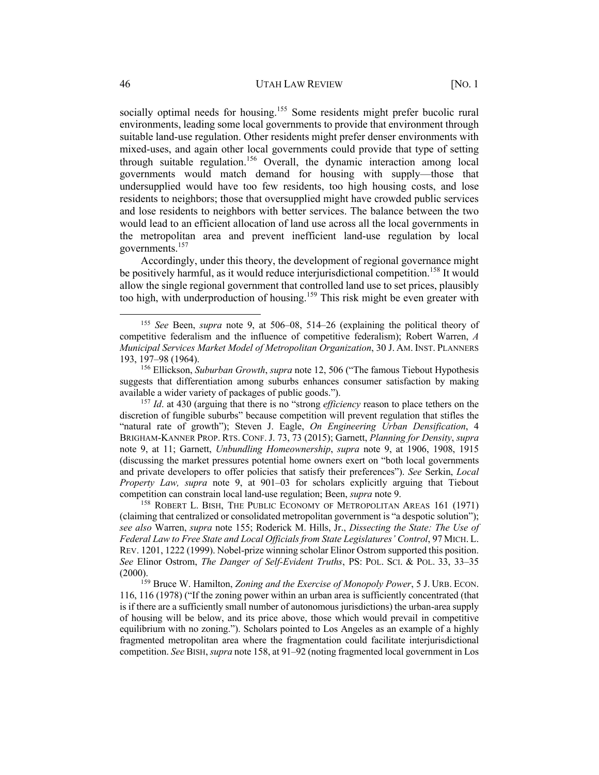socially optimal needs for housing.<sup>155</sup> Some residents might prefer bucolic rural environments, leading some local governments to provide that environment through suitable land-use regulation. Other residents might prefer denser environments with mixed-uses, and again other local governments could provide that type of setting through suitable regulation. <sup>156</sup> Overall, the dynamic interaction among local governments would match demand for housing with supply—those that undersupplied would have too few residents, too high housing costs, and lose residents to neighbors; those that oversupplied might have crowded public services and lose residents to neighbors with better services. The balance between the two would lead to an efficient allocation of land use across all the local governments in the metropolitan area and prevent inefficient land-use regulation by local governments.157

Accordingly, under this theory, the development of regional governance might be positively harmful, as it would reduce interjurisdictional competition.<sup>158</sup> It would allow the single regional government that controlled land use to set prices, plausibly too high, with underproduction of housing.<sup>159</sup> This risk might be even greater with

<sup>155</sup> *See* Been, *supra* note 9, at 506–08, 514–26 (explaining the political theory of competitive federalism and the influence of competitive federalism); Robert Warren, *A Municipal Services Market Model of Metropolitan Organization*, 30 J. AM. INST. PLANNERS 193, 197–98 (1964).

<sup>156</sup> Ellickson, *Suburban Growth*, *supra* note 12, 506 ("The famous Tiebout Hypothesis suggests that differentiation among suburbs enhances consumer satisfaction by making available a wider variety of packages of public goods.").

<sup>157</sup> *Id*. at 430 (arguing that there is no "strong *efficiency* reason to place tethers on the discretion of fungible suburbs" because competition will prevent regulation that stifles the "natural rate of growth"); Steven J. Eagle, *On Engineering Urban Densification*, 4 BRIGHAM-KANNER PROP. RTS. CONF.J. 73, 73 (2015); Garnett, *Planning for Density*, *supra*  note 9, at 11; Garnett, *Unbundling Homeownership*, *supra* note 9, at 1906, 1908, 1915 (discussing the market pressures potential home owners exert on "both local governments and private developers to offer policies that satisfy their preferences"). *See* Serkin, *Local Property Law, supra* note 9, at 901–03 for scholars explicitly arguing that Tiebout competition can constrain local land-use regulation; Been, *supra* note 9.

<sup>&</sup>lt;sup>158</sup> ROBERT L. BISH, THE PUBLIC ECONOMY OF METROPOLITAN AREAS 161 (1971) (claiming that centralized or consolidated metropolitan government is "a despotic solution"); *see also* Warren, *supra* note 155; Roderick M. Hills, Jr., *Dissecting the State: The Use of Federal Law to Free State and Local Officials from State Legislatures' Control*, 97 MICH. L. REV. 1201, 1222 (1999). Nobel-prize winning scholar Elinor Ostrom supported this position. *See* Elinor Ostrom, *The Danger of Self-Evident Truths*, PS: POL. SCI. & POL. 33, 33–35  $(2000).$ 

<sup>159</sup> Bruce W. Hamilton, *Zoning and the Exercise of Monopoly Power*, 5 J. URB. ECON. 116, 116 (1978) ("If the zoning power within an urban area is sufficiently concentrated (that is if there are a sufficiently small number of autonomous jurisdictions) the urban-area supply of housing will be below, and its price above, those which would prevail in competitive equilibrium with no zoning."). Scholars pointed to Los Angeles as an example of a highly fragmented metropolitan area where the fragmentation could facilitate interjurisdictional competition. *See* BISH, *supra* note 158, at 91–92 (noting fragmented local government in Los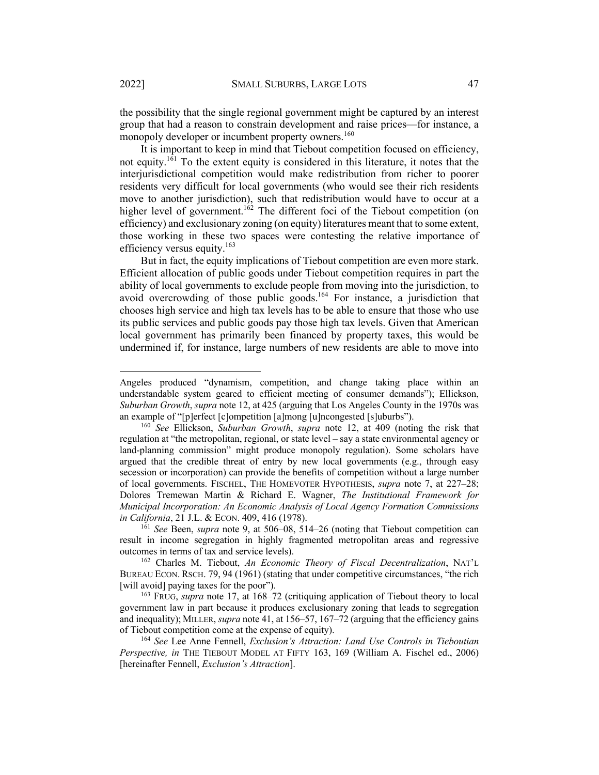the possibility that the single regional government might be captured by an interest group that had a reason to constrain development and raise prices—for instance, a monopoly developer or incumbent property owners.<sup>160</sup>

It is important to keep in mind that Tiebout competition focused on efficiency, not equity.<sup>161</sup> To the extent equity is considered in this literature, it notes that the interjurisdictional competition would make redistribution from richer to poorer residents very difficult for local governments (who would see their rich residents move to another jurisdiction), such that redistribution would have to occur at a higher level of government.<sup>162</sup> The different foci of the Tiebout competition (on efficiency) and exclusionary zoning (on equity) literatures meant that to some extent, those working in these two spaces were contesting the relative importance of efficiency versus equity. $163$ 

But in fact, the equity implications of Tiebout competition are even more stark. Efficient allocation of public goods under Tiebout competition requires in part the ability of local governments to exclude people from moving into the jurisdiction, to avoid overcrowding of those public goods.<sup>164</sup> For instance, a jurisdiction that chooses high service and high tax levels has to be able to ensure that those who use its public services and public goods pay those high tax levels. Given that American local government has primarily been financed by property taxes, this would be undermined if, for instance, large numbers of new residents are able to move into

Angeles produced "dynamism, competition, and change taking place within an understandable system geared to efficient meeting of consumer demands"); Ellickson, *Suburban Growth*, *supra* note 12, at 425 (arguing that Los Angeles County in the 1970s was an example of "[p]erfect [c]ompetition [a]mong [u]ncongested [s]uburbs").

<sup>160</sup> *See* Ellickson, *Suburban Growth*, *supra* note 12, at 409 (noting the risk that regulation at "the metropolitan, regional, or state level – say a state environmental agency or land-planning commission" might produce monopoly regulation). Some scholars have argued that the credible threat of entry by new local governments (e.g., through easy secession or incorporation) can provide the benefits of competition without a large number of local governments. FISCHEL, THE HOMEVOTER HYPOTHESIS, *supra* note 7, at 227–28; Dolores Tremewan Martin & Richard E. Wagner, *The Institutional Framework for Municipal Incorporation: An Economic Analysis of Local Agency Formation Commissions in California*, 21 J.L. & ECON. 409, 416 (1978).

<sup>161</sup> *See* Been, *supra* note 9, at 506–08, 514–26 (noting that Tiebout competition can result in income segregation in highly fragmented metropolitan areas and regressive outcomes in terms of tax and service levels).

<sup>162</sup> Charles M. Tiebout, *An Economic Theory of Fiscal Decentralization*, NAT'L BUREAU ECON. RSCH. 79, 94 (1961) (stating that under competitive circumstances, "the rich [will avoid] paying taxes for the poor"). 163 FRUG, *supra* note 17, at 168–72 (critiquing application of Tiebout theory to local

government law in part because it produces exclusionary zoning that leads to segregation and inequality); MILLER, *supra* note 41, at 156–57, 167–72 (arguing that the efficiency gains of Tiebout competition come at the expense of equity).

<sup>164</sup> *See* Lee Anne Fennell, *Exclusion's Attraction: Land Use Controls in Tieboutian Perspective, in* THE TIEBOUT MODEL AT FIFTY 163, 169 (William A. Fischel ed., 2006) [hereinafter Fennell, *Exclusion's Attraction*].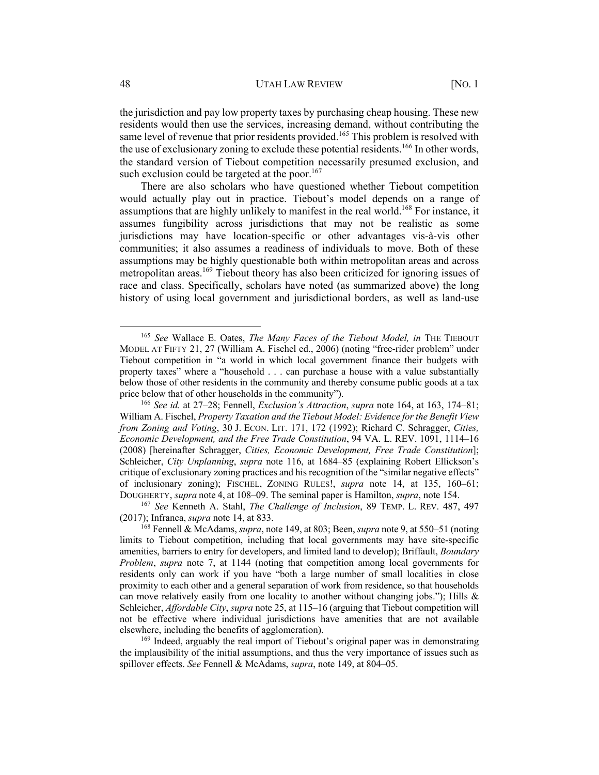the jurisdiction and pay low property taxes by purchasing cheap housing. These new residents would then use the services, increasing demand, without contributing the same level of revenue that prior residents provided.<sup>165</sup> This problem is resolved with the use of exclusionary zoning to exclude these potential residents.<sup>166</sup> In other words, the standard version of Tiebout competition necessarily presumed exclusion, and such exclusion could be targeted at the poor.<sup>167</sup>

There are also scholars who have questioned whether Tiebout competition would actually play out in practice. Tiebout's model depends on a range of assumptions that are highly unlikely to manifest in the real world.<sup>168</sup> For instance, it assumes fungibility across jurisdictions that may not be realistic as some jurisdictions may have location-specific or other advantages vis-à-vis other communities; it also assumes a readiness of individuals to move. Both of these assumptions may be highly questionable both within metropolitan areas and across metropolitan areas.<sup>169</sup> Tiebout theory has also been criticized for ignoring issues of race and class. Specifically, scholars have noted (as summarized above) the long history of using local government and jurisdictional borders, as well as land-use

<sup>165</sup> *See* Wallace E. Oates, *The Many Faces of the Tiebout Model, in* THE TIEBOUT MODEL AT FIFTY 21, 27 (William A. Fischel ed., 2006) (noting "free-rider problem" under Tiebout competition in "a world in which local government finance their budgets with property taxes" where a "household . . . can purchase a house with a value substantially below those of other residents in the community and thereby consume public goods at a tax price below that of other households in the community").

<sup>166</sup> *See id.* at 27–28; Fennell, *Exclusion's Attraction*, *supra* note 164, at 163, 174–81; William A. Fischel, *Property Taxation and the Tiebout Model: Evidence for the Benefit View from Zoning and Voting*, 30 J. ECON. LIT. 171, 172 (1992); Richard C. Schragger, *Cities, Economic Development, and the Free Trade Constitution*, 94 VA. L. REV. 1091, 1114–16 (2008) [hereinafter Schragger, *Cities, Economic Development, Free Trade Constitution*]; Schleicher, *City Unplanning*, *supra* note 116, at 1684–85 (explaining Robert Ellickson's critique of exclusionary zoning practices and his recognition of the "similar negative effects" of inclusionary zoning); FISCHEL, ZONING RULES!, *supra* note 14, at 135, 160–61; DOUGHERTY, *supra* note 4, at 108–09. The seminal paper is Hamilton, *supra*, note 154.

<sup>167</sup> *See* Kenneth A. Stahl, *The Challenge of Inclusion*, 89 TEMP. L. REV. 487, 497 (2017); Infranca, *supra* note 14, at 833.

<sup>168</sup> Fennell & McAdams, *supra*, note 149, at 803; Been, *supra* note 9, at 550–51 (noting limits to Tiebout competition, including that local governments may have site-specific amenities, barriers to entry for developers, and limited land to develop); Briffault, *Boundary Problem*, *supra* note 7, at 1144 (noting that competition among local governments for residents only can work if you have "both a large number of small localities in close proximity to each other and a general separation of work from residence, so that households can move relatively easily from one locality to another without changing jobs."); Hills  $\&$ Schleicher, *Affordable City*, *supra* note 25, at 115–16 (arguing that Tiebout competition will not be effective where individual jurisdictions have amenities that are not available elsewhere, including the benefits of agglomeration).

<sup>&</sup>lt;sup>169</sup> Indeed, arguably the real import of Tiebout's original paper was in demonstrating the implausibility of the initial assumptions, and thus the very importance of issues such as spillover effects. *See* Fennell & McAdams, *supra*, note 149, at 804–05.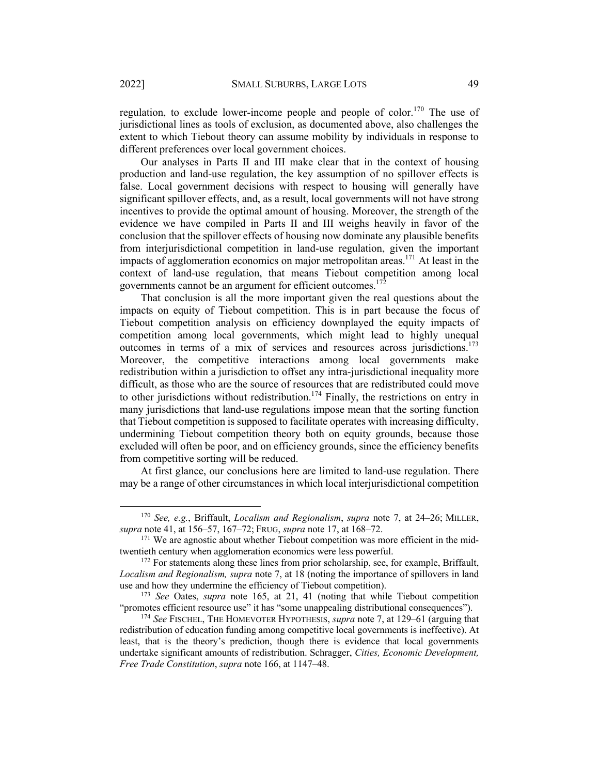regulation, to exclude lower-income people and people of color.<sup>170</sup> The use of jurisdictional lines as tools of exclusion, as documented above, also challenges the extent to which Tiebout theory can assume mobility by individuals in response to different preferences over local government choices.

Our analyses in Parts II and III make clear that in the context of housing production and land-use regulation, the key assumption of no spillover effects is false. Local government decisions with respect to housing will generally have significant spillover effects, and, as a result, local governments will not have strong incentives to provide the optimal amount of housing. Moreover, the strength of the evidence we have compiled in Parts II and III weighs heavily in favor of the conclusion that the spillover effects of housing now dominate any plausible benefits from interjurisdictional competition in land-use regulation, given the important impacts of agglomeration economics on major metropolitan areas. <sup>171</sup> At least in the context of land-use regulation, that means Tiebout competition among local governments cannot be an argument for efficient outcomes.<sup>172</sup>

That conclusion is all the more important given the real questions about the impacts on equity of Tiebout competition. This is in part because the focus of Tiebout competition analysis on efficiency downplayed the equity impacts of competition among local governments, which might lead to highly unequal outcomes in terms of a mix of services and resources across jurisdictions.173 Moreover, the competitive interactions among local governments make redistribution within a jurisdiction to offset any intra-jurisdictional inequality more difficult, as those who are the source of resources that are redistributed could move to other jurisdictions without redistribution.<sup>174</sup> Finally, the restrictions on entry in many jurisdictions that land-use regulations impose mean that the sorting function that Tiebout competition is supposed to facilitate operates with increasing difficulty, undermining Tiebout competition theory both on equity grounds, because those excluded will often be poor, and on efficiency grounds, since the efficiency benefits from competitive sorting will be reduced.

At first glance, our conclusions here are limited to land-use regulation. There may be a range of other circumstances in which local interjurisdictional competition

<sup>170</sup> *See, e.g.*, Briffault, *Localism and Regionalism*, *supra* note 7, at 24–26; MILLER, *supra* note 41, at 156–57, 167–72; FRUG, *supra* note 17, at 168–72.

<sup>&</sup>lt;sup>171</sup> We are agnostic about whether Tiebout competition was more efficient in the midtwentieth century when agglomeration economics were less powerful.

<sup>&</sup>lt;sup>172</sup> For statements along these lines from prior scholarship, see, for example, Briffault, *Localism and Regionalism, supra* note 7, at 18 (noting the importance of spillovers in land use and how they undermine the efficiency of Tiebout competition).

<sup>173</sup> *See* Oates, *supra* note 165, at 21, 41 (noting that while Tiebout competition "promotes efficient resource use" it has "some unappealing distributional consequences").

<sup>174</sup> *See* FISCHEL, THE HOMEVOTER HYPOTHESIS, *supra* note 7, at 129–61 (arguing that redistribution of education funding among competitive local governments is ineffective). At least, that is the theory's prediction, though there is evidence that local governments undertake significant amounts of redistribution. Schragger, *Cities, Economic Development, Free Trade Constitution*, *supra* note 166, at 1147–48.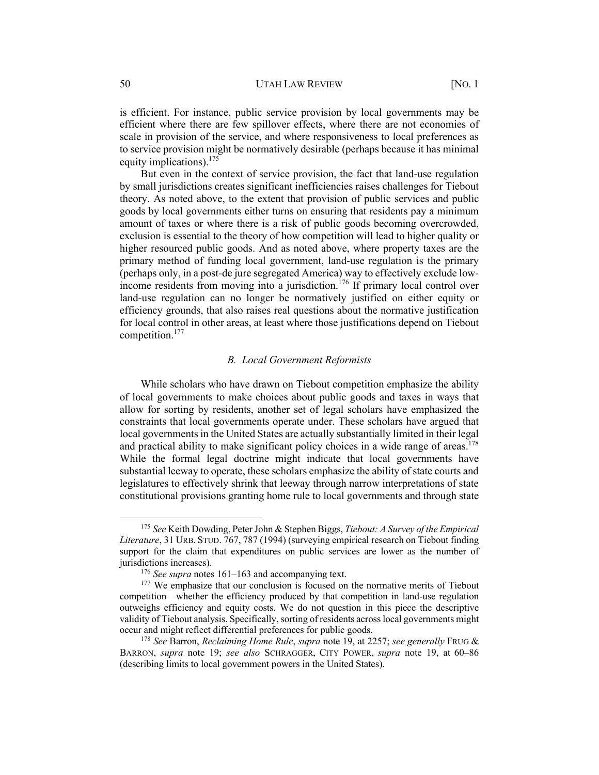is efficient. For instance, public service provision by local governments may be efficient where there are few spillover effects, where there are not economies of scale in provision of the service, and where responsiveness to local preferences as to service provision might be normatively desirable (perhaps because it has minimal equity implications).<sup>175</sup>

But even in the context of service provision, the fact that land-use regulation by small jurisdictions creates significant inefficiencies raises challenges for Tiebout theory. As noted above, to the extent that provision of public services and public goods by local governments either turns on ensuring that residents pay a minimum amount of taxes or where there is a risk of public goods becoming overcrowded, exclusion is essential to the theory of how competition will lead to higher quality or higher resourced public goods. And as noted above, where property taxes are the primary method of funding local government, land-use regulation is the primary (perhaps only, in a post-de jure segregated America) way to effectively exclude lowincome residents from moving into a jurisdiction.<sup>176</sup> If primary local control over land-use regulation can no longer be normatively justified on either equity or efficiency grounds, that also raises real questions about the normative justification for local control in other areas, at least where those justifications depend on Tiebout competition.177

#### *B. Local Government Reformists*

While scholars who have drawn on Tiebout competition emphasize the ability of local governments to make choices about public goods and taxes in ways that allow for sorting by residents, another set of legal scholars have emphasized the constraints that local governments operate under. These scholars have argued that local governments in the United States are actually substantially limited in their legal and practical ability to make significant policy choices in a wide range of areas.<sup>178</sup> While the formal legal doctrine might indicate that local governments have substantial leeway to operate, these scholars emphasize the ability of state courts and legislatures to effectively shrink that leeway through narrow interpretations of state constitutional provisions granting home rule to local governments and through state

<sup>175</sup> *See* Keith Dowding, Peter John & Stephen Biggs, *Tiebout: A Survey of the Empirical Literature*, 31 URB. STUD. 767, 787 (1994) (surveying empirical research on Tiebout finding support for the claim that expenditures on public services are lower as the number of jurisdictions increases).

<sup>176</sup> *See supra* notes 161–163 and accompanying text.

<sup>&</sup>lt;sup>177</sup> We emphasize that our conclusion is focused on the normative merits of Tiebout competition—whether the efficiency produced by that competition in land-use regulation outweighs efficiency and equity costs. We do not question in this piece the descriptive validity of Tiebout analysis. Specifically, sorting of residents across local governments might occur and might reflect differential preferences for public goods.

<sup>178</sup> *See* Barron, *Reclaiming Home Rule*, *supra* note 19, at 2257; *see generally* FRUG & BARRON, *supra* note 19; *see also* SCHRAGGER, CITY POWER, *supra* note 19, at 60–86 (describing limits to local government powers in the United States).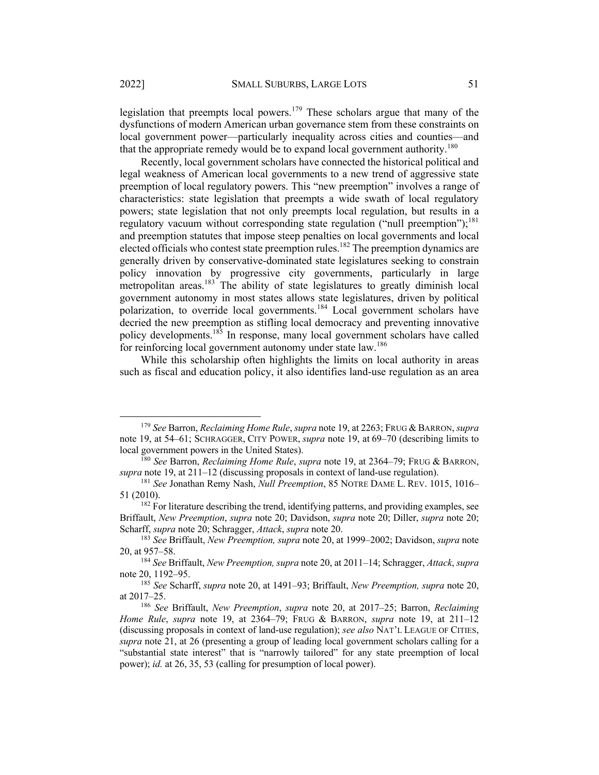legislation that preempts local powers.<sup>179</sup> These scholars argue that many of the dysfunctions of modern American urban governance stem from these constraints on local government power—particularly inequality across cities and counties—and that the appropriate remedy would be to expand local government authority.<sup>180</sup>

Recently, local government scholars have connected the historical political and legal weakness of American local governments to a new trend of aggressive state preemption of local regulatory powers. This "new preemption" involves a range of characteristics: state legislation that preempts a wide swath of local regulatory powers; state legislation that not only preempts local regulation, but results in a regulatory vacuum without corresponding state regulation ("null preemption");<sup>181</sup> and preemption statutes that impose steep penalties on local governments and local elected officials who contest state preemption rules.<sup>182</sup> The preemption dynamics are generally driven by conservative-dominated state legislatures seeking to constrain policy innovation by progressive city governments, particularly in large metropolitan areas.<sup>183</sup> The ability of state legislatures to greatly diminish local government autonomy in most states allows state legislatures, driven by political polarization, to override local governments.<sup>184</sup> Local government scholars have decried the new preemption as stifling local democracy and preventing innovative policy developments.<sup>185</sup> In response, many local government scholars have called for reinforcing local government autonomy under state law.<sup>186</sup>

While this scholarship often highlights the limits on local authority in areas such as fiscal and education policy, it also identifies land-use regulation as an area

<sup>179</sup> *See* Barron, *Reclaiming Home Rule*, *supra* note 19, at 2263; FRUG & BARRON, *supra*  note 19, at 54–61; SCHRAGGER, CITY POWER, *supra* note 19, at 69–70 (describing limits to local government powers in the United States).

<sup>180</sup> *See* Barron, *Reclaiming Home Rule*, *supra* note 19, at 2364–79; FRUG & BARRON, *supra* note 19, at 211–12 (discussing proposals in context of land-use regulation).

<sup>181</sup> *See* Jonathan Remy Nash, *Null Preemption*, 85 NOTRE DAME L. REV. 1015, 1016– 51 (2010).

 $182$  For literature describing the trend, identifying patterns, and providing examples, see Briffault, *New Preemption*, *supra* note 20; Davidson, *supra* note 20; Diller, *supra* note 20; Scharff, *supra* note 20; Schragger, *Attack*, *supra* note 20.

<sup>183</sup> *See* Briffault, *New Preemption, supra* note 20, at 1999–2002; Davidson, *supra* note 20, at 957–58.

<sup>184</sup> *See* Briffault, *New Preemption, supra* note 20, at 2011–14; Schragger, *Attack*, *supra*  note 20, 1192–95.

<sup>185</sup> *See* Scharff, *supra* note 20, at 1491–93; Briffault, *New Preemption, supra* note 20, at 2017–25.

<sup>186</sup> *See* Briffault, *New Preemption*, *supra* note 20, at 2017–25; Barron, *Reclaiming Home Rule*, *supra* note 19, at 2364–79; FRUG & BARRON, *supra* note 19, at 211–12 (discussing proposals in context of land-use regulation); *see also* NAT'L LEAGUE OF CITIES, *supra* note 21, at 26 (presenting a group of leading local government scholars calling for a "substantial state interest" that is "narrowly tailored" for any state preemption of local power); *id.* at 26, 35, 53 (calling for presumption of local power).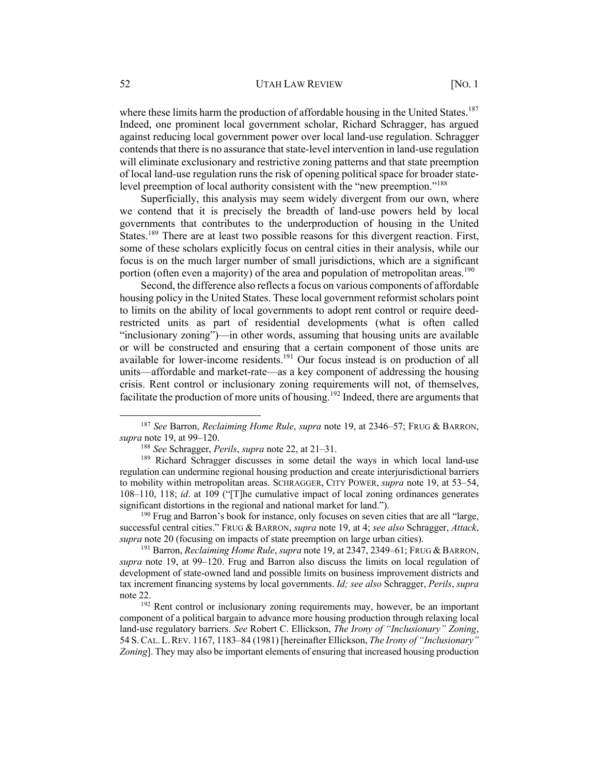#### 52 UTAH LAW REVIEW [NO. 1]

where these limits harm the production of affordable housing in the United States.<sup>187</sup> Indeed, one prominent local government scholar, Richard Schragger, has argued against reducing local government power over local land-use regulation. Schragger contends that there is no assurance that state-level intervention in land-use regulation will eliminate exclusionary and restrictive zoning patterns and that state preemption of local land-use regulation runs the risk of opening political space for broader statelevel preemption of local authority consistent with the "new preemption."<sup>188</sup>

Superficially, this analysis may seem widely divergent from our own, where we contend that it is precisely the breadth of land-use powers held by local governments that contributes to the underproduction of housing in the United States.<sup>189</sup> There are at least two possible reasons for this divergent reaction. First, some of these scholars explicitly focus on central cities in their analysis, while our focus is on the much larger number of small jurisdictions, which are a significant portion (often even a majority) of the area and population of metropolitan areas.<sup>190</sup>

Second, the difference also reflects a focus on various components of affordable housing policy in the United States. These local government reformist scholars point to limits on the ability of local governments to adopt rent control or require deedrestricted units as part of residential developments (what is often called "inclusionary zoning")—in other words, assuming that housing units are available or will be constructed and ensuring that a certain component of those units are available for lower-income residents.<sup>191</sup> Our focus instead is on production of all units—affordable and market-rate—as a key component of addressing the housing crisis. Rent control or inclusionary zoning requirements will not, of themselves, facilitate the production of more units of housing.<sup>192</sup> Indeed, there are arguments that

<sup>187</sup> *See* Barron, *Reclaiming Home Rule*, *supra* note 19, at 2346–57; FRUG & BARRON, *supra* note 19, at 99–120.

<sup>188</sup> *See* Schragger, *Perils*, *supra* note 22, at 21–31.

<sup>189</sup> Richard Schragger discusses in some detail the ways in which local land-use regulation can undermine regional housing production and create interjurisdictional barriers to mobility within metropolitan areas. SCHRAGGER, CITY POWER, *supra* note 19, at 53–54, 108–110, 118; *id*. at 109 ("[T]he cumulative impact of local zoning ordinances generates significant distortions in the regional and national market for land.").

<sup>&</sup>lt;sup>190</sup> Frug and Barron's book for instance, only focuses on seven cities that are all "large, successful central cities." FRUG & BARRON, *supra* note 19, at 4; *see also* Schragger, *Attack*, *supra* note 20 (focusing on impacts of state preemption on large urban cities).

<sup>191</sup> Barron, *Reclaiming Home Rule*, *supra* note 19, at 2347, 2349–61; FRUG & BARRON, *supra* note 19, at 99–120. Frug and Barron also discuss the limits on local regulation of development of state-owned land and possible limits on business improvement districts and tax increment financing systems by local governments. *Id; see also* Schragger, *Perils*, *supra*  note 22.

<sup>&</sup>lt;sup>192</sup> Rent control or inclusionary zoning requirements may, however, be an important component of a political bargain to advance more housing production through relaxing local land-use regulatory barriers. *See* Robert C. Ellickson, *The Irony of "Inclusionary" Zoning*, 54 S.CAL.L.REV. 1167, 1183–84 (1981) [hereinafter Ellickson, *The Irony of "Inclusionary" Zoning*]. They may also be important elements of ensuring that increased housing production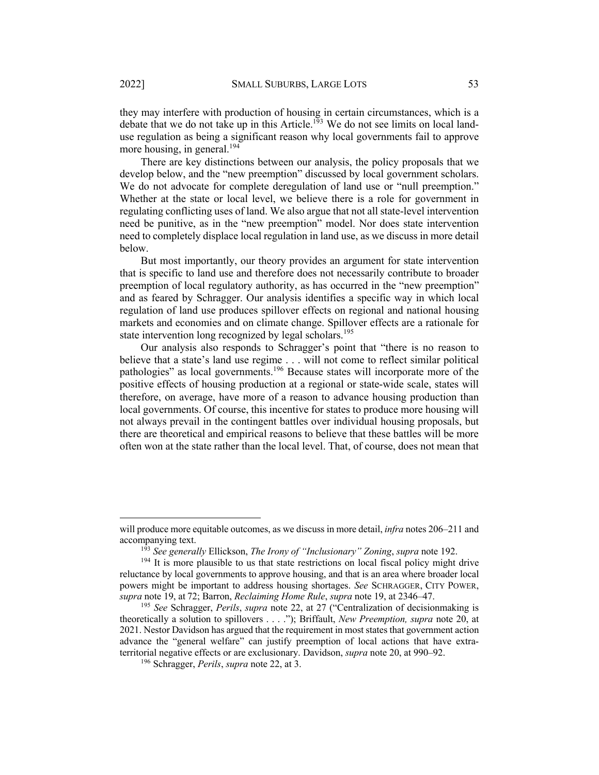they may interfere with production of housing in certain circumstances, which is a debate that we do not take up in this Article.<sup>193</sup> We do not see limits on local landuse regulation as being a significant reason why local governments fail to approve more housing, in general.<sup>194</sup>

There are key distinctions between our analysis, the policy proposals that we develop below, and the "new preemption" discussed by local government scholars. We do not advocate for complete deregulation of land use or "null preemption." Whether at the state or local level, we believe there is a role for government in regulating conflicting uses of land. We also argue that not all state-level intervention need be punitive, as in the "new preemption" model. Nor does state intervention need to completely displace local regulation in land use, as we discuss in more detail below.

But most importantly, our theory provides an argument for state intervention that is specific to land use and therefore does not necessarily contribute to broader preemption of local regulatory authority, as has occurred in the "new preemption" and as feared by Schragger. Our analysis identifies a specific way in which local regulation of land use produces spillover effects on regional and national housing markets and economies and on climate change. Spillover effects are a rationale for state intervention long recognized by legal scholars.<sup>195</sup>

Our analysis also responds to Schragger's point that "there is no reason to believe that a state's land use regime . . . will not come to reflect similar political pathologies" as local governments.<sup>196</sup> Because states will incorporate more of the positive effects of housing production at a regional or state-wide scale, states will therefore, on average, have more of a reason to advance housing production than local governments. Of course, this incentive for states to produce more housing will not always prevail in the contingent battles over individual housing proposals, but there are theoretical and empirical reasons to believe that these battles will be more often won at the state rather than the local level. That, of course, does not mean that

will produce more equitable outcomes, as we discuss in more detail, *infra* notes 206–211 and accompanying text.

<sup>193</sup> *See generally* Ellickson, *The Irony of "Inclusionary" Zoning*, *supra* note 192.

<sup>&</sup>lt;sup>194</sup> It is more plausible to us that state restrictions on local fiscal policy might drive reluctance by local governments to approve housing, and that is an area where broader local powers might be important to address housing shortages. *See* SCHRAGGER, CITY POWER, *supra* note 19, at 72; Barron, *Reclaiming Home Rule*, *supra* note 19, at 2346–47.

<sup>195</sup> *See* Schragger, *Perils*, *supra* note 22, at 27 ("Centralization of decisionmaking is theoretically a solution to spillovers . . . ."); Briffault, *New Preemption, supra* note 20, at 2021. Nestor Davidson has argued that the requirement in most states that government action advance the "general welfare" can justify preemption of local actions that have extraterritorial negative effects or are exclusionary. Davidson, *supra* note 20, at 990–92.

<sup>196</sup> Schragger, *Perils*, *supra* note 22, at 3.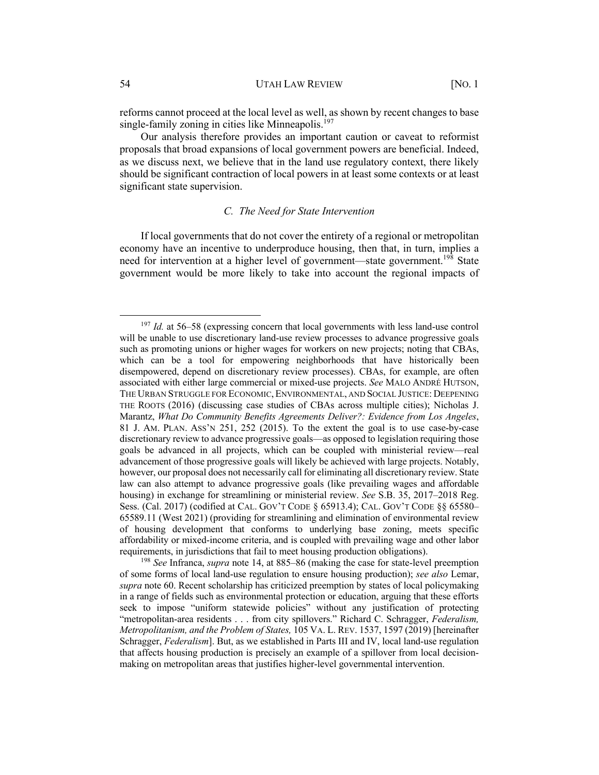reforms cannot proceed at the local level as well, as shown by recent changes to base single-family zoning in cities like Minneapolis.<sup>197</sup>

Our analysis therefore provides an important caution or caveat to reformist proposals that broad expansions of local government powers are beneficial. Indeed, as we discuss next, we believe that in the land use regulatory context, there likely should be significant contraction of local powers in at least some contexts or at least significant state supervision.

# *C. The Need for State Intervention*

If local governments that do not cover the entirety of a regional or metropolitan economy have an incentive to underproduce housing, then that, in turn, implies a need for intervention at a higher level of government—state government.<sup>198</sup> State government would be more likely to take into account the regional impacts of

<sup>&</sup>lt;sup>197</sup> *Id.* at 56–58 (expressing concern that local governments with less land-use control will be unable to use discretionary land-use review processes to advance progressive goals such as promoting unions or higher wages for workers on new projects; noting that CBAs, which can be a tool for empowering neighborhoods that have historically been disempowered, depend on discretionary review processes). CBAs, for example, are often associated with either large commercial or mixed-use projects. *See* MALO ANDRÉ HUTSON, THE URBAN STRUGGLE FOR ECONOMIC, ENVIRONMENTAL, AND SOCIAL JUSTICE: DEEPENING THE ROOTS (2016) (discussing case studies of CBAs across multiple cities); Nicholas J. Marantz, *What Do Community Benefits Agreements Deliver?: Evidence from Los Angeles*, 81 J. AM. PLAN. ASS'N 251, 252 (2015). To the extent the goal is to use case-by-case discretionary review to advance progressive goals—as opposed to legislation requiring those goals be advanced in all projects, which can be coupled with ministerial review—real advancement of those progressive goals will likely be achieved with large projects. Notably, however, our proposal does not necessarily call for eliminating all discretionary review. State law can also attempt to advance progressive goals (like prevailing wages and affordable housing) in exchange for streamlining or ministerial review. *See* S.B. 35, 2017–2018 Reg. Sess. (Cal. 2017) (codified at CAL. GOV'T CODE § 65913.4); CAL. GOV'T CODE §§ 65580– 65589.11 (West 2021) (providing for streamlining and elimination of environmental review of housing development that conforms to underlying base zoning, meets specific affordability or mixed-income criteria, and is coupled with prevailing wage and other labor requirements, in jurisdictions that fail to meet housing production obligations).

<sup>198</sup> *See* Infranca, *supra* note 14, at 885–86 (making the case for state-level preemption of some forms of local land-use regulation to ensure housing production); *see also* Lemar, *supra* note 60. Recent scholarship has criticized preemption by states of local policymaking in a range of fields such as environmental protection or education, arguing that these efforts seek to impose "uniform statewide policies" without any justification of protecting "metropolitan-area residents . . . from city spillovers." Richard C. Schragger, *Federalism, Metropolitanism, and the Problem of States,* 105 VA. L. REV. 1537, 1597 (2019) [hereinafter Schragger, *Federalism*]. But, as we established in Parts III and IV, local land-use regulation that affects housing production is precisely an example of a spillover from local decisionmaking on metropolitan areas that justifies higher-level governmental intervention.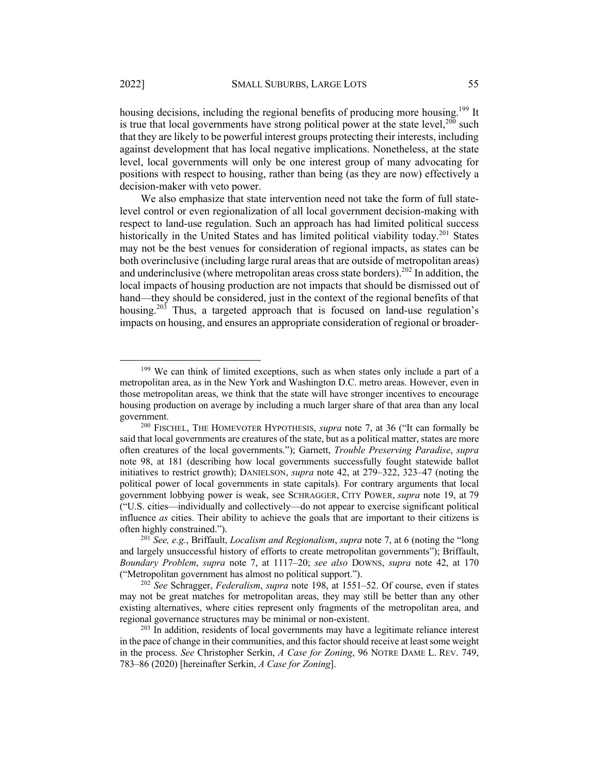housing decisions, including the regional benefits of producing more housing.<sup>199</sup> It is true that local governments have strong political power at the state level,  $200$  such that they are likely to be powerful interest groups protecting their interests, including against development that has local negative implications. Nonetheless, at the state level, local governments will only be one interest group of many advocating for positions with respect to housing, rather than being (as they are now) effectively a decision-maker with veto power.

We also emphasize that state intervention need not take the form of full statelevel control or even regionalization of all local government decision-making with respect to land-use regulation. Such an approach has had limited political success historically in the United States and has limited political viability today.<sup>201</sup> States may not be the best venues for consideration of regional impacts, as states can be both overinclusive (including large rural areas that are outside of metropolitan areas) and underinclusive (where metropolitan areas cross state borders).<sup>202</sup> In addition, the local impacts of housing production are not impacts that should be dismissed out of hand—they should be considered, just in the context of the regional benefits of that housing.<sup>203</sup> Thus, a targeted approach that is focused on land-use regulation's impacts on housing, and ensures an appropriate consideration of regional or broader-

<sup>&</sup>lt;sup>199</sup> We can think of limited exceptions, such as when states only include a part of a metropolitan area, as in the New York and Washington D.C. metro areas. However, even in those metropolitan areas, we think that the state will have stronger incentives to encourage housing production on average by including a much larger share of that area than any local government.

<sup>200</sup> FISCHEL, THE HOMEVOTER HYPOTHESIS, *supra* note 7, at 36 ("It can formally be said that local governments are creatures of the state, but as a political matter, states are more often creatures of the local governments."); Garnett, *Trouble Preserving Paradise*, *supra* note 98, at 181 (describing how local governments successfully fought statewide ballot initiatives to restrict growth); DANIELSON, *supra* note 42, at 279–322, 323–47 (noting the political power of local governments in state capitals). For contrary arguments that local government lobbying power is weak, see SCHRAGGER, CITY POWER, *supra* note 19, at 79 ("U.S. cities—individually and collectively—do not appear to exercise significant political influence *as* cities. Their ability to achieve the goals that are important to their citizens is often highly constrained.").

<sup>201</sup> *See, e.g.*, Briffault, *Localism and Regionalism*, *supra* note 7, at 6 (noting the "long and largely unsuccessful history of efforts to create metropolitan governments"); Briffault, *Boundary Problem*, *supra* note 7, at 1117–20; *see also* DOWNS, *supra* note 42, at 170 ("Metropolitan government has almost no political support.").

<sup>202</sup> *See* Schragger, *Federalism*, *supra* note 198, at 1551–52. Of course, even if states may not be great matches for metropolitan areas, they may still be better than any other existing alternatives, where cities represent only fragments of the metropolitan area, and regional governance structures may be minimal or non-existent.

 $203$  In addition, residents of local governments may have a legitimate reliance interest in the pace of change in their communities, and this factor should receive at least some weight in the process. *See* Christopher Serkin, *A Case for Zoning*, 96 NOTRE DAME L. REV. 749, 783–86 (2020) [hereinafter Serkin, *A Case for Zoning*].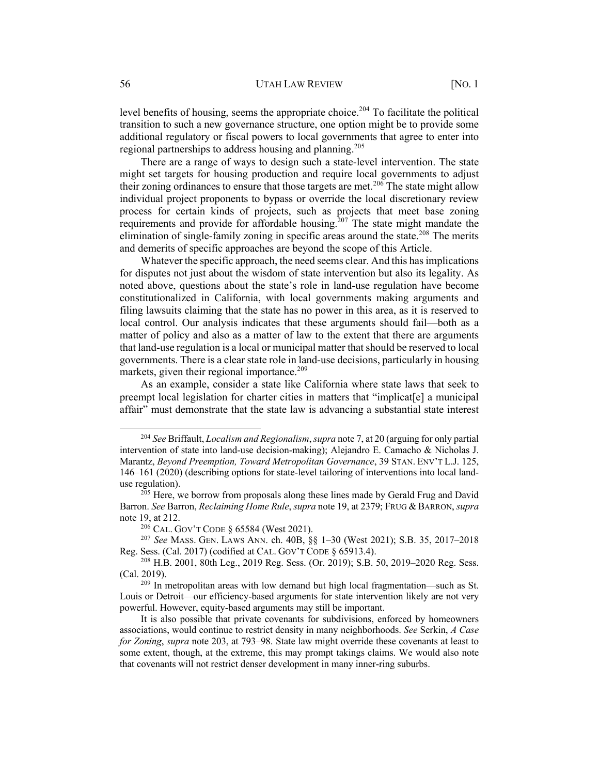#### 56 UTAH LAW REVIEW [NO. 1]

level benefits of housing, seems the appropriate choice.<sup>204</sup> To facilitate the political transition to such a new governance structure, one option might be to provide some additional regulatory or fiscal powers to local governments that agree to enter into regional partnerships to address housing and planning.<sup>205</sup>

There are a range of ways to design such a state-level intervention. The state might set targets for housing production and require local governments to adjust their zoning ordinances to ensure that those targets are met.<sup>206</sup> The state might allow individual project proponents to bypass or override the local discretionary review process for certain kinds of projects, such as projects that meet base zoning requirements and provide for affordable housing.<sup>207</sup> The state might mandate the elimination of single-family zoning in specific areas around the state.<sup>208</sup> The merits and demerits of specific approaches are beyond the scope of this Article.

Whatever the specific approach, the need seems clear. And this has implications for disputes not just about the wisdom of state intervention but also its legality. As noted above, questions about the state's role in land-use regulation have become constitutionalized in California, with local governments making arguments and filing lawsuits claiming that the state has no power in this area, as it is reserved to local control. Our analysis indicates that these arguments should fail—both as a matter of policy and also as a matter of law to the extent that there are arguments that land-use regulation is a local or municipal matter that should be reserved to local governments. There is a clear state role in land-use decisions, particularly in housing markets, given their regional importance.<sup>209</sup>

As an example, consider a state like California where state laws that seek to preempt local legislation for charter cities in matters that "implicat[e] a municipal affair" must demonstrate that the state law is advancing a substantial state interest

<sup>204</sup> *See* Briffault, *Localism and Regionalism*, *supra* note 7, at 20 (arguing for only partial intervention of state into land-use decision-making); Alejandro E. Camacho & Nicholas J. Marantz, *Beyond Preemption, Toward Metropolitan Governance*, 39 STAN. ENV'T L.J. 125, 146–161 (2020) (describing options for state-level tailoring of interventions into local landuse regulation).

<sup>&</sup>lt;sup>205</sup> Here, we borrow from proposals along these lines made by Gerald Frug and David Barron. *See* Barron, *Reclaiming Home Rule*, *supra* note 19, at 2379; FRUG & BARRON, *supra*  note 19, at 212.

<sup>206</sup> CAL. GOV'T CODE § 65584 (West 2021).

<sup>207</sup> *See* MASS. GEN. LAWS ANN. ch. 40B, §§ 1–30 (West 2021); S.B. 35, 2017–2018 Reg. Sess. (Cal. 2017) (codified at CAL. GOV'T CODE § 65913.4).

<sup>208</sup> H.B. 2001, 80th Leg., 2019 Reg. Sess. (Or. 2019); S.B. 50, 2019–2020 Reg. Sess. (Cal. 2019).

 $209$  In metropolitan areas with low demand but high local fragmentation—such as St. Louis or Detroit—our efficiency-based arguments for state intervention likely are not very powerful. However, equity-based arguments may still be important.

It is also possible that private covenants for subdivisions, enforced by homeowners associations, would continue to restrict density in many neighborhoods. *See* Serkin, *A Case for Zoning*, *supra* note 203, at 793–98. State law might override these covenants at least to some extent, though, at the extreme, this may prompt takings claims. We would also note that covenants will not restrict denser development in many inner-ring suburbs.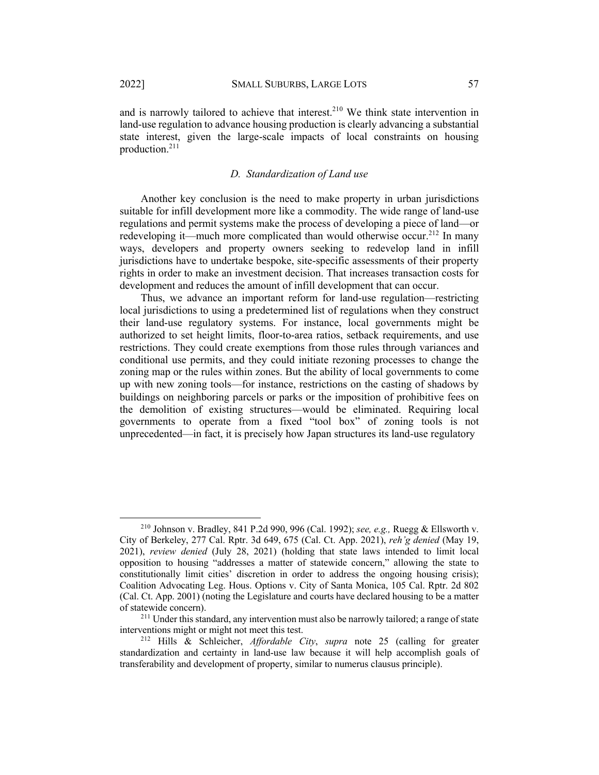and is narrowly tailored to achieve that interest.<sup>210</sup> We think state intervention in land-use regulation to advance housing production is clearly advancing a substantial state interest, given the large-scale impacts of local constraints on housing production.211

#### *D. Standardization of Land use*

Another key conclusion is the need to make property in urban jurisdictions suitable for infill development more like a commodity. The wide range of land-use regulations and permit systems make the process of developing a piece of land—or redeveloping it—much more complicated than would otherwise occur.<sup>212</sup> In many ways, developers and property owners seeking to redevelop land in infill jurisdictions have to undertake bespoke, site-specific assessments of their property rights in order to make an investment decision. That increases transaction costs for development and reduces the amount of infill development that can occur.

Thus, we advance an important reform for land-use regulation—restricting local jurisdictions to using a predetermined list of regulations when they construct their land-use regulatory systems. For instance, local governments might be authorized to set height limits, floor-to-area ratios, setback requirements, and use restrictions. They could create exemptions from those rules through variances and conditional use permits, and they could initiate rezoning processes to change the zoning map or the rules within zones. But the ability of local governments to come up with new zoning tools—for instance, restrictions on the casting of shadows by buildings on neighboring parcels or parks or the imposition of prohibitive fees on the demolition of existing structures—would be eliminated. Requiring local governments to operate from a fixed "tool box" of zoning tools is not unprecedented—in fact, it is precisely how Japan structures its land-use regulatory

<sup>210</sup> Johnson v. Bradley, 841 P.2d 990, 996 (Cal. 1992); *see, e.g.,* Ruegg & Ellsworth v. City of Berkeley, 277 Cal. Rptr. 3d 649, 675 (Cal. Ct. App. 2021), *reh'g denied* (May 19, 2021), *review denied* (July 28, 2021) (holding that state laws intended to limit local opposition to housing "addresses a matter of statewide concern," allowing the state to constitutionally limit cities' discretion in order to address the ongoing housing crisis); Coalition Advocating Leg. Hous. Options v. City of Santa Monica, 105 Cal. Rptr. 2d 802 (Cal. Ct. App. 2001) (noting the Legislature and courts have declared housing to be a matter of statewide concern).

<sup>211</sup> Under this standard, any intervention must also be narrowly tailored; a range of state interventions might or might not meet this test.

<sup>212</sup> Hills & Schleicher, *Affordable City*, *supra* note 25 (calling for greater standardization and certainty in land-use law because it will help accomplish goals of transferability and development of property, similar to numerus clausus principle).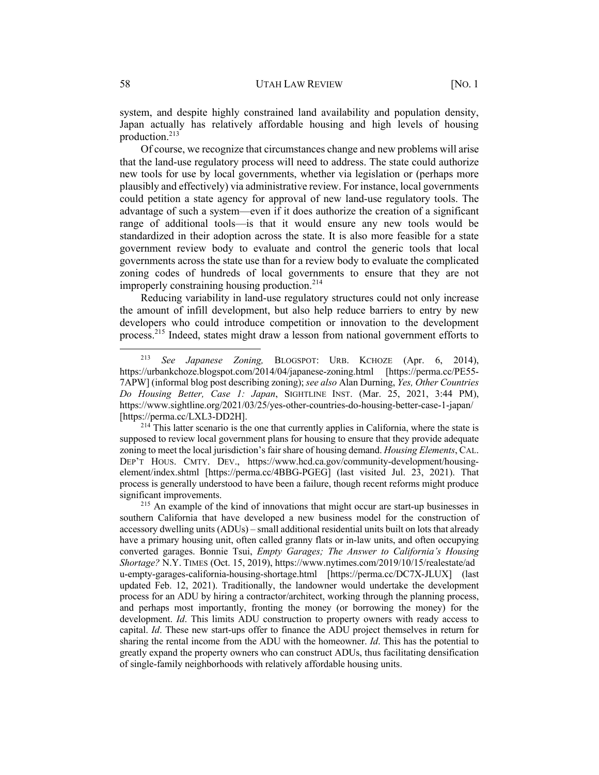system, and despite highly constrained land availability and population density, Japan actually has relatively affordable housing and high levels of housing production.<sup>213</sup>

Of course, we recognize that circumstances change and new problems will arise that the land-use regulatory process will need to address. The state could authorize new tools for use by local governments, whether via legislation or (perhaps more plausibly and effectively) via administrative review. For instance, local governments could petition a state agency for approval of new land-use regulatory tools. The advantage of such a system—even if it does authorize the creation of a significant range of additional tools—is that it would ensure any new tools would be standardized in their adoption across the state. It is also more feasible for a state government review body to evaluate and control the generic tools that local governments across the state use than for a review body to evaluate the complicated zoning codes of hundreds of local governments to ensure that they are not improperly constraining housing production.<sup>214</sup>

Reducing variability in land-use regulatory structures could not only increase the amount of infill development, but also help reduce barriers to entry by new developers who could introduce competition or innovation to the development process.<sup>215</sup> Indeed, states might draw a lesson from national government efforts to

<sup>213</sup> *See Japanese Zoning,* BLOGSPOT: URB. KCHOZE (Apr. 6, 2014), https://urbankchoze.blogspot.com/2014/04/japanese-zoning.html [https://perma.cc/PE55- 7APW] (informal blog post describing zoning); *see also* Alan Durning, *Yes, Other Countries Do Housing Better, Case 1: Japan*, SIGHTLINE INST. (Mar. 25, 2021, 3:44 PM), https://www.sightline.org/2021/03/25/yes-other-countries-do-housing-better-case-1-japan/ [https://perma.cc/LXL3-DD2H].

<sup>&</sup>lt;sup>214</sup> This latter scenario is the one that currently applies in California, where the state is supposed to review local government plans for housing to ensure that they provide adequate zoning to meet the local jurisdiction's fair share of housing demand. *Housing Elements*, CAL. DEP'T HOUS. CMTY. DEV., https://www.hcd.ca.gov/community-development/housingelement/index.shtml [https://perma.cc/4BBG-PGEG] (last visited Jul. 23, 2021). That process is generally understood to have been a failure, though recent reforms might produce significant improvements.

<sup>&</sup>lt;sup>215</sup> An example of the kind of innovations that might occur are start-up businesses in southern California that have developed a new business model for the construction of accessory dwelling units (ADUs) – small additional residential units built on lots that already have a primary housing unit, often called granny flats or in-law units, and often occupying converted garages. Bonnie Tsui, *Empty Garages; The Answer to California's Housing Shortage?* N.Y. TIMES (Oct. 15, 2019), https://www.nytimes.com/2019/10/15/realestate/ad u-empty-garages-california-housing-shortage.html [https://perma.cc/DC7X-JLUX] (last updated Feb. 12, 2021). Traditionally, the landowner would undertake the development process for an ADU by hiring a contractor/architect, working through the planning process, and perhaps most importantly, fronting the money (or borrowing the money) for the development. *Id*. This limits ADU construction to property owners with ready access to capital. *Id*. These new start-ups offer to finance the ADU project themselves in return for sharing the rental income from the ADU with the homeowner. *Id*. This has the potential to greatly expand the property owners who can construct ADUs, thus facilitating densification of single-family neighborhoods with relatively affordable housing units.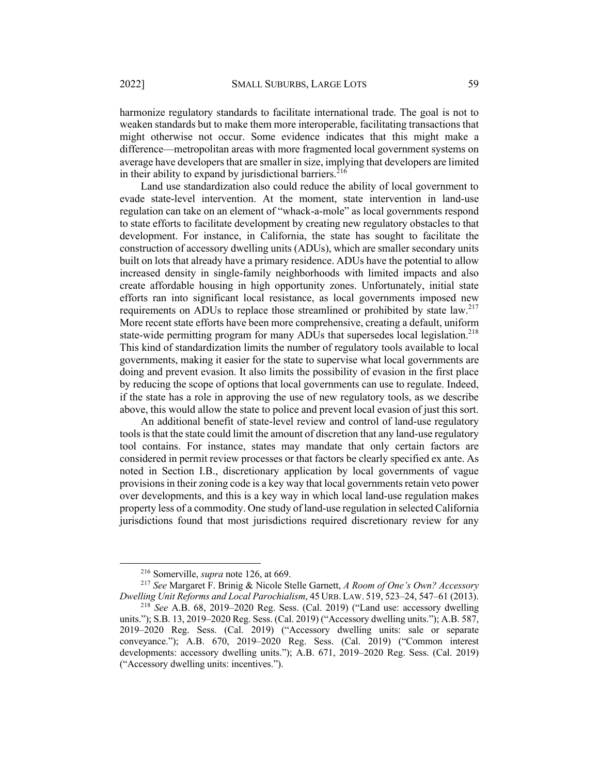harmonize regulatory standards to facilitate international trade. The goal is not to weaken standards but to make them more interoperable, facilitating transactions that might otherwise not occur. Some evidence indicates that this might make a difference—metropolitan areas with more fragmented local government systems on average have developers that are smaller in size, implying that developers are limited in their ability to expand by jurisdictional barriers.<sup>216</sup>

Land use standardization also could reduce the ability of local government to evade state-level intervention. At the moment, state intervention in land-use regulation can take on an element of "whack-a-mole" as local governments respond to state efforts to facilitate development by creating new regulatory obstacles to that development. For instance, in California, the state has sought to facilitate the construction of accessory dwelling units (ADUs), which are smaller secondary units built on lots that already have a primary residence. ADUs have the potential to allow increased density in single-family neighborhoods with limited impacts and also create affordable housing in high opportunity zones. Unfortunately, initial state efforts ran into significant local resistance, as local governments imposed new requirements on ADUs to replace those streamlined or prohibited by state law.<sup>217</sup> More recent state efforts have been more comprehensive, creating a default, uniform state-wide permitting program for many ADUs that supersedes local legislation.<sup>218</sup> This kind of standardization limits the number of regulatory tools available to local governments, making it easier for the state to supervise what local governments are doing and prevent evasion. It also limits the possibility of evasion in the first place by reducing the scope of options that local governments can use to regulate. Indeed, if the state has a role in approving the use of new regulatory tools, as we describe above, this would allow the state to police and prevent local evasion of just this sort.

An additional benefit of state-level review and control of land-use regulatory tools is that the state could limit the amount of discretion that any land-use regulatory tool contains. For instance, states may mandate that only certain factors are considered in permit review processes or that factors be clearly specified ex ante. As noted in Section I.B., discretionary application by local governments of vague provisions in their zoning code is a key way that local governments retain veto power over developments, and this is a key way in which local land-use regulation makes property less of a commodity. One study of land-use regulation in selected California jurisdictions found that most jurisdictions required discretionary review for any

<sup>216</sup> Somerville, *supra* note 126, at 669.

<sup>217</sup> *See* Margaret F. Brinig & Nicole Stelle Garnett, *A Room of One's Own? Accessory Dwelling Unit Reforms and Local Parochialism*, 45 URB. LAW. 519, 523–24, 547–61 (2013).

<sup>218</sup> *See* A.B. 68, 2019–2020 Reg. Sess. (Cal. 2019) ("Land use: accessory dwelling units."); S.B. 13, 2019–2020 Reg. Sess. (Cal. 2019) ("Accessory dwelling units."); A.B. 587, 2019–2020 Reg. Sess. (Cal. 2019) ("Accessory dwelling units: sale or separate conveyance."); A.B. 670, 2019–2020 Reg. Sess. (Cal. 2019) ("Common interest developments: accessory dwelling units."); A.B. 671, 2019–2020 Reg. Sess. (Cal. 2019) ("Accessory dwelling units: incentives.").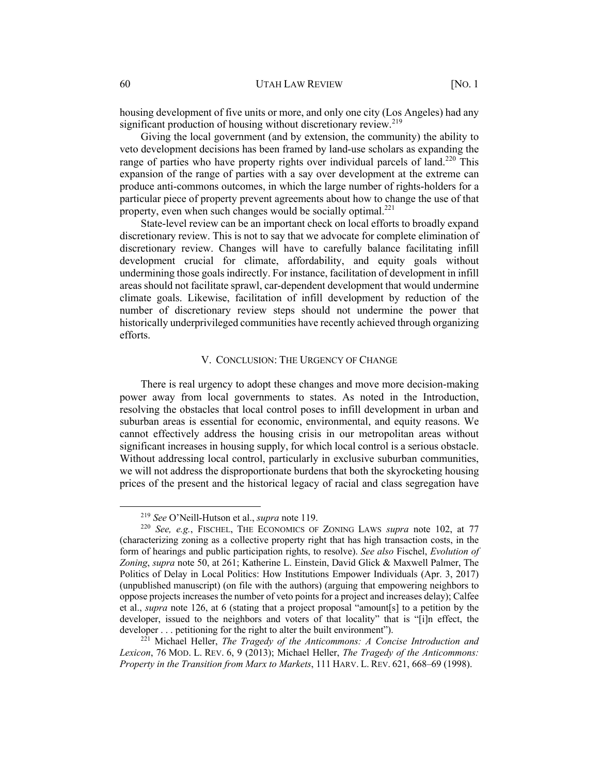housing development of five units or more, and only one city (Los Angeles) had any significant production of housing without discretionary review.<sup>219</sup>

Giving the local government (and by extension, the community) the ability to veto development decisions has been framed by land-use scholars as expanding the range of parties who have property rights over individual parcels of land.<sup>220</sup> This expansion of the range of parties with a say over development at the extreme can produce anti-commons outcomes, in which the large number of rights-holders for a particular piece of property prevent agreements about how to change the use of that property, even when such changes would be socially optimal. $^{221}$ 

State-level review can be an important check on local efforts to broadly expand discretionary review. This is not to say that we advocate for complete elimination of discretionary review. Changes will have to carefully balance facilitating infill development crucial for climate, affordability, and equity goals without undermining those goals indirectly. For instance, facilitation of development in infill areas should not facilitate sprawl, car-dependent development that would undermine climate goals. Likewise, facilitation of infill development by reduction of the number of discretionary review steps should not undermine the power that historically underprivileged communities have recently achieved through organizing efforts.

#### V. CONCLUSION: THE URGENCY OF CHANGE

There is real urgency to adopt these changes and move more decision-making power away from local governments to states. As noted in the Introduction, resolving the obstacles that local control poses to infill development in urban and suburban areas is essential for economic, environmental, and equity reasons. We cannot effectively address the housing crisis in our metropolitan areas without significant increases in housing supply, for which local control is a serious obstacle. Without addressing local control, particularly in exclusive suburban communities, we will not address the disproportionate burdens that both the skyrocketing housing prices of the present and the historical legacy of racial and class segregation have

<sup>219</sup> *See* O'Neill-Hutson et al., *supra* note 119.

<sup>220</sup> *See, e.g.*, FISCHEL, THE ECONOMICS OF ZONING LAWS *supra* note 102, at 77 (characterizing zoning as a collective property right that has high transaction costs, in the form of hearings and public participation rights, to resolve). *See also* Fischel, *Evolution of Zoning*, *supra* note 50, at 261; Katherine L. Einstein, David Glick & Maxwell Palmer, The Politics of Delay in Local Politics: How Institutions Empower Individuals (Apr. 3, 2017) (unpublished manuscript) (on file with the authors) (arguing that empowering neighbors to oppose projects increases the number of veto points for a project and increases delay); Calfee et al., *supra* note 126, at 6 (stating that a project proposal "amount[s] to a petition by the developer, issued to the neighbors and voters of that locality" that is "[i]n effect, the developer . . . petitioning for the right to alter the built environment").

<sup>221</sup> Michael Heller, *The Tragedy of the Anticommons: A Concise Introduction and Lexicon*, 76 MOD. L. REV. 6, 9 (2013); Michael Heller, *The Tragedy of the Anticommons: Property in the Transition from Marx to Markets*, 111 HARV. L. REV. 621, 668–69 (1998).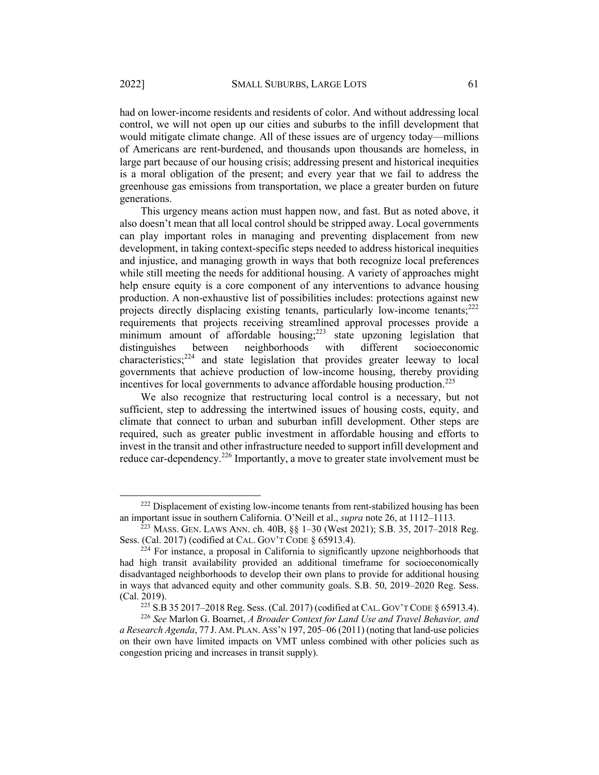had on lower-income residents and residents of color. And without addressing local control, we will not open up our cities and suburbs to the infill development that would mitigate climate change. All of these issues are of urgency today—millions of Americans are rent-burdened, and thousands upon thousands are homeless, in large part because of our housing crisis; addressing present and historical inequities is a moral obligation of the present; and every year that we fail to address the greenhouse gas emissions from transportation, we place a greater burden on future generations.

This urgency means action must happen now, and fast. But as noted above, it also doesn't mean that all local control should be stripped away. Local governments can play important roles in managing and preventing displacement from new development, in taking context-specific steps needed to address historical inequities and injustice, and managing growth in ways that both recognize local preferences while still meeting the needs for additional housing. A variety of approaches might help ensure equity is a core component of any interventions to advance housing production. A non-exhaustive list of possibilities includes: protections against new projects directly displacing existing tenants, particularly low-income tenants;<sup>222</sup> requirements that projects receiving streamlined approval processes provide a minimum amount of affordable housing;<sup>223</sup> state upzoning legislation that distinguishes between neighborhoods with different socioeconomic characteristics;<sup>224</sup> and state legislation that provides greater leeway to local governments that achieve production of low-income housing, thereby providing incentives for local governments to advance affordable housing production.<sup>225</sup>

We also recognize that restructuring local control is a necessary, but not sufficient, step to addressing the intertwined issues of housing costs, equity, and climate that connect to urban and suburban infill development. Other steps are required, such as greater public investment in affordable housing and efforts to invest in the transit and other infrastructure needed to support infill development and reduce car-dependency.<sup>226</sup> Importantly, a move to greater state involvement must be

 $222$  Displacement of existing low-income tenants from rent-stabilized housing has been an important issue in southern California. O'Neill et al., *supra* note 26, at 1112–1113.

 $^{223}$  Mass. Gen. Laws Ann. ch. 40B,  $\S$  $\S$  1–30 (West 2021); S.B. 35, 2017–2018 Reg. Sess. (Cal. 2017) (codified at CAL. GOV'T CODE § 65913.4).

<sup>&</sup>lt;sup>224</sup> For instance, a proposal in California to significantly upzone neighborhoods that had high transit availability provided an additional timeframe for socioeconomically disadvantaged neighborhoods to develop their own plans to provide for additional housing in ways that advanced equity and other community goals. S.B. 50, 2019–2020 Reg. Sess. (Cal. 2019).

<sup>225</sup> S.B 35 2017–2018 Reg. Sess. (Cal. 2017) (codified at CAL. GOV'T CODE § 65913.4).

<sup>226</sup> *See* Marlon G. Boarnet, *A Broader Context for Land Use and Travel Behavior, and a Research Agenda*, 77 J. AM. PLAN. ASS'N 197, 205–06 (2011) (noting that land-use policies on their own have limited impacts on VMT unless combined with other policies such as congestion pricing and increases in transit supply).